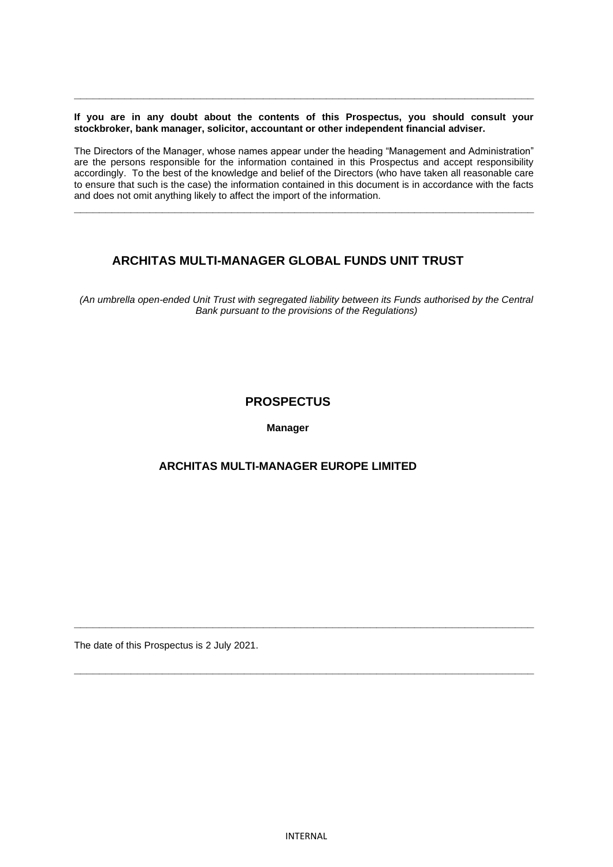**If you are in any doubt about the contents of this Prospectus, you should consult your stockbroker, bank manager, solicitor, accountant or other independent financial adviser.**

**\_\_\_\_\_\_\_\_\_\_\_\_\_\_\_\_\_\_\_\_\_\_\_\_\_\_\_\_\_\_\_\_\_\_\_\_\_\_\_\_\_\_\_\_\_\_\_\_\_\_\_\_\_\_\_\_\_\_\_\_\_\_\_\_\_\_\_\_\_\_\_\_\_**

The Directors of the Manager, whose names appear under the heading "Management and Administration" are the persons responsible for the information contained in this Prospectus and accept responsibility accordingly. To the best of the knowledge and belief of the Directors (who have taken all reasonable care to ensure that such is the case) the information contained in this document is in accordance with the facts and does not omit anything likely to affect the import of the information.

**\_\_\_\_\_\_\_\_\_\_\_\_\_\_\_\_\_\_\_\_\_\_\_\_\_\_\_\_\_\_\_\_\_\_\_\_\_\_\_\_\_\_\_\_\_\_\_\_\_\_\_\_\_\_\_\_\_\_\_\_\_\_\_\_\_\_\_\_\_\_\_\_\_**

# **ARCHITAS MULTI-MANAGER GLOBAL FUNDS UNIT TRUST**

*(An umbrella open-ended Unit Trust with segregated liability between its Funds authorised by the Central Bank pursuant to the provisions of the Regulations)*

# **PROSPECTUS**

**Manager**

# **ARCHITAS MULTI-MANAGER EUROPE LIMITED**

The date of this Prospectus is 2 July 2021.

**\_\_\_\_\_\_\_\_\_\_\_\_\_\_\_\_\_\_\_\_\_\_\_\_\_\_\_\_\_\_\_\_\_\_\_\_\_\_\_\_\_\_\_\_\_\_\_\_\_\_\_\_\_\_\_\_\_\_\_\_\_\_\_\_\_\_\_\_\_\_\_\_\_**

**\_\_\_\_\_\_\_\_\_\_\_\_\_\_\_\_\_\_\_\_\_\_\_\_\_\_\_\_\_\_\_\_\_\_\_\_\_\_\_\_\_\_\_\_\_\_\_\_\_\_\_\_\_\_\_\_\_\_\_\_\_\_\_\_\_\_\_\_\_\_\_\_\_**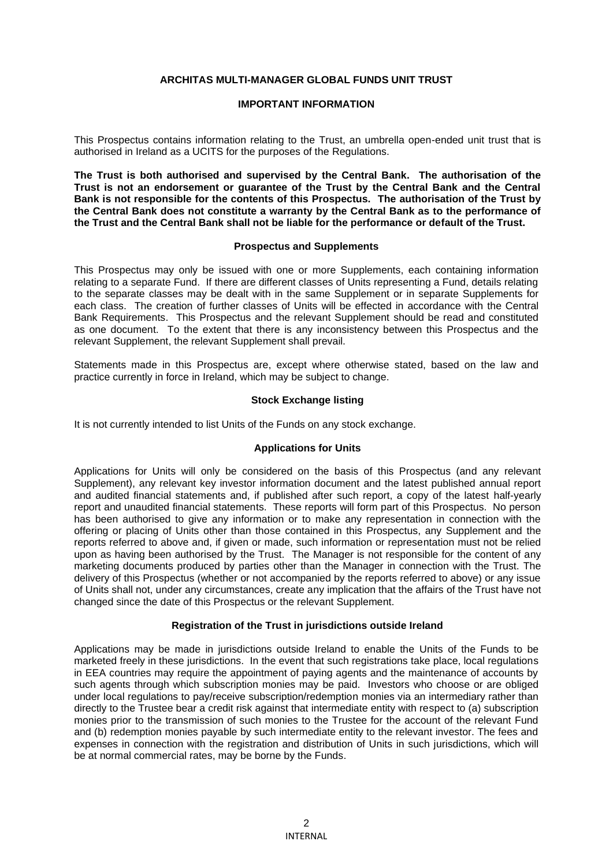## **ARCHITAS MULTI-MANAGER GLOBAL FUNDS UNIT TRUST**

### **IMPORTANT INFORMATION**

This Prospectus contains information relating to the Trust, an umbrella open-ended unit trust that is authorised in Ireland as a UCITS for the purposes of the Regulations.

**The Trust is both authorised and supervised by the Central Bank. The authorisation of the Trust is not an endorsement or guarantee of the Trust by the Central Bank and the Central Bank is not responsible for the contents of this Prospectus. The authorisation of the Trust by the Central Bank does not constitute a warranty by the Central Bank as to the performance of the Trust and the Central Bank shall not be liable for the performance or default of the Trust.**

## **Prospectus and Supplements**

This Prospectus may only be issued with one or more Supplements, each containing information relating to a separate Fund. If there are different classes of Units representing a Fund, details relating to the separate classes may be dealt with in the same Supplement or in separate Supplements for each class. The creation of further classes of Units will be effected in accordance with the Central Bank Requirements. This Prospectus and the relevant Supplement should be read and constituted as one document. To the extent that there is any inconsistency between this Prospectus and the relevant Supplement, the relevant Supplement shall prevail.

Statements made in this Prospectus are, except where otherwise stated, based on the law and practice currently in force in Ireland, which may be subject to change.

## **Stock Exchange listing**

It is not currently intended to list Units of the Funds on any stock exchange.

### **Applications for Units**

Applications for Units will only be considered on the basis of this Prospectus (and any relevant Supplement), any relevant key investor information document and the latest published annual report and audited financial statements and, if published after such report, a copy of the latest half-yearly report and unaudited financial statements. These reports will form part of this Prospectus. No person has been authorised to give any information or to make any representation in connection with the offering or placing of Units other than those contained in this Prospectus, any Supplement and the reports referred to above and, if given or made, such information or representation must not be relied upon as having been authorised by the Trust. The Manager is not responsible for the content of any marketing documents produced by parties other than the Manager in connection with the Trust. The delivery of this Prospectus (whether or not accompanied by the reports referred to above) or any issue of Units shall not, under any circumstances, create any implication that the affairs of the Trust have not changed since the date of this Prospectus or the relevant Supplement.

### **Registration of the Trust in jurisdictions outside Ireland**

Applications may be made in jurisdictions outside Ireland to enable the Units of the Funds to be marketed freely in these jurisdictions. In the event that such registrations take place, local regulations in EEA countries may require the appointment of paying agents and the maintenance of accounts by such agents through which subscription monies may be paid. Investors who choose or are obliged under local regulations to pay/receive subscription/redemption monies via an intermediary rather than directly to the Trustee bear a credit risk against that intermediate entity with respect to (a) subscription monies prior to the transmission of such monies to the Trustee for the account of the relevant Fund and (b) redemption monies payable by such intermediate entity to the relevant investor. The fees and expenses in connection with the registration and distribution of Units in such jurisdictions, which will be at normal commercial rates, may be borne by the Funds.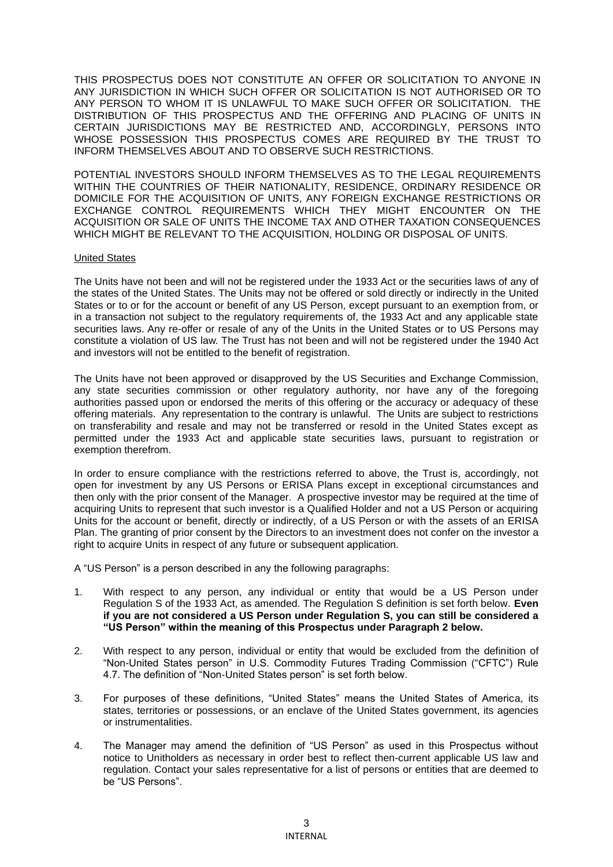THIS PROSPECTUS DOES NOT CONSTITUTE AN OFFER OR SOLICITATION TO ANYONE IN ANY JURISDICTION IN WHICH SUCH OFFER OR SOLICITATION IS NOT AUTHORISED OR TO ANY PERSON TO WHOM IT IS UNLAWFUL TO MAKE SUCH OFFER OR SOLICITATION. THE DISTRIBUTION OF THIS PROSPECTUS AND THE OFFERING AND PLACING OF UNITS IN CERTAIN JURISDICTIONS MAY BE RESTRICTED AND, ACCORDINGLY, PERSONS INTO WHOSE POSSESSION THIS PROSPECTUS COMES ARE REQUIRED BY THE TRUST TO INFORM THEMSELVES ABOUT AND TO OBSERVE SUCH RESTRICTIONS.

POTENTIAL INVESTORS SHOULD INFORM THEMSELVES AS TO THE LEGAL REQUIREMENTS WITHIN THE COUNTRIES OF THEIR NATIONALITY, RESIDENCE, ORDINARY RESIDENCE OR DOMICILE FOR THE ACQUISITION OF UNITS, ANY FOREIGN EXCHANGE RESTRICTIONS OR EXCHANGE CONTROL REQUIREMENTS WHICH THEY MIGHT ENCOUNTER ON THE ACQUISITION OR SALE OF UNITS THE INCOME TAX AND OTHER TAXATION CONSEQUENCES WHICH MIGHT BE RELEVANT TO THE ACQUISITION, HOLDING OR DISPOSAL OF UNITS.

### United States

The Units have not been and will not be registered under the 1933 Act or the securities laws of any of the states of the United States. The Units may not be offered or sold directly or indirectly in the United States or to or for the account or benefit of any US Person, except pursuant to an exemption from, or in a transaction not subject to the regulatory requirements of, the 1933 Act and any applicable state securities laws. Any re-offer or resale of any of the Units in the United States or to US Persons may constitute a violation of US law. The Trust has not been and will not be registered under the 1940 Act and investors will not be entitled to the benefit of registration.

The Units have not been approved or disapproved by the US Securities and Exchange Commission, any state securities commission or other regulatory authority, nor have any of the foregoing authorities passed upon or endorsed the merits of this offering or the accuracy or adequacy of these offering materials. Any representation to the contrary is unlawful. The Units are subject to restrictions on transferability and resale and may not be transferred or resold in the United States except as permitted under the 1933 Act and applicable state securities laws, pursuant to registration or exemption therefrom.

In order to ensure compliance with the restrictions referred to above, the Trust is, accordingly, not open for investment by any US Persons or ERISA Plans except in exceptional circumstances and then only with the prior consent of the Manager. A prospective investor may be required at the time of acquiring Units to represent that such investor is a Qualified Holder and not a US Person or acquiring Units for the account or benefit, directly or indirectly, of a US Person or with the assets of an ERISA Plan. The granting of prior consent by the Directors to an investment does not confer on the investor a right to acquire Units in respect of any future or subsequent application.

A "US Person" is a person described in any the following paragraphs:

- 1. With respect to any person, any individual or entity that would be a US Person under Regulation S of the 1933 Act, as amended. The Regulation S definition is set forth below. **Even if you are not considered a US Person under Regulation S, you can still be considered a "US Person" within the meaning of this Prospectus under Paragraph 2 below.**
- 2. With respect to any person, individual or entity that would be excluded from the definition of "Non-United States person" in U.S. Commodity Futures Trading Commission ("CFTC") Rule 4.7. The definition of "Non-United States person" is set forth below.
- 3. For purposes of these definitions, "United States" means the United States of America, its states, territories or possessions, or an enclave of the United States government, its agencies or instrumentalities.
- 4. The Manager may amend the definition of "US Person" as used in this Prospectus without notice to Unitholders as necessary in order best to reflect then-current applicable US law and regulation. Contact your sales representative for a list of persons or entities that are deemed to be "US Persons".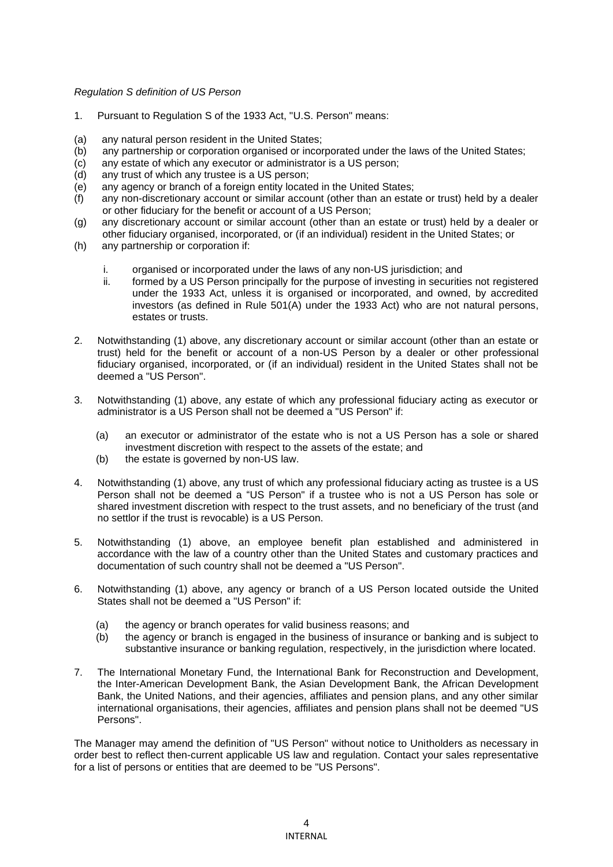# *Regulation S definition of US Person*

- 1. Pursuant to Regulation S of the 1933 Act, "U.S. Person" means:
- (a) any natural person resident in the United States;
- (b) any partnership or corporation organised or incorporated under the laws of the United States;
- (c) any estate of which any executor or administrator is a US person;
- (d) any trust of which any trustee is a US person;
- (e) any agency or branch of a foreign entity located in the United States;
- (f) any non-discretionary account or similar account (other than an estate or trust) held by a dealer or other fiduciary for the benefit or account of a US Person;
- (g) any discretionary account or similar account (other than an estate or trust) held by a dealer or other fiduciary organised, incorporated, or (if an individual) resident in the United States; or
- (h) any partnership or corporation if:
	- i. organised or incorporated under the laws of any non-US jurisdiction; and
	- ii. formed by a US Person principally for the purpose of investing in securities not registered under the 1933 Act, unless it is organised or incorporated, and owned, by accredited investors (as defined in Rule 501(A) under the 1933 Act) who are not natural persons, estates or trusts.
- 2. Notwithstanding (1) above, any discretionary account or similar account (other than an estate or trust) held for the benefit or account of a non-US Person by a dealer or other professional fiduciary organised, incorporated, or (if an individual) resident in the United States shall not be deemed a "US Person".
- 3. Notwithstanding (1) above, any estate of which any professional fiduciary acting as executor or administrator is a US Person shall not be deemed a "US Person" if:
	- (a) an executor or administrator of the estate who is not a US Person has a sole or shared investment discretion with respect to the assets of the estate; and
	- (b) the estate is governed by non-US law.
- 4. Notwithstanding (1) above, any trust of which any professional fiduciary acting as trustee is a US Person shall not be deemed a "US Person" if a trustee who is not a US Person has sole or shared investment discretion with respect to the trust assets, and no beneficiary of the trust (and no settlor if the trust is revocable) is a US Person.
- 5. Notwithstanding (1) above, an employee benefit plan established and administered in accordance with the law of a country other than the United States and customary practices and documentation of such country shall not be deemed a "US Person".
- 6. Notwithstanding (1) above, any agency or branch of a US Person located outside the United States shall not be deemed a "US Person" if:
	- (a) the agency or branch operates for valid business reasons; and
	- (b) the agency or branch is engaged in the business of insurance or banking and is subject to substantive insurance or banking regulation, respectively, in the jurisdiction where located.
- 7. The International Monetary Fund, the International Bank for Reconstruction and Development, the Inter-American Development Bank, the Asian Development Bank, the African Development Bank, the United Nations, and their agencies, affiliates and pension plans, and any other similar international organisations, their agencies, affiliates and pension plans shall not be deemed "US Persons".

The Manager may amend the definition of "US Person" without notice to Unitholders as necessary in order best to reflect then-current applicable US law and regulation. Contact your sales representative for a list of persons or entities that are deemed to be "US Persons".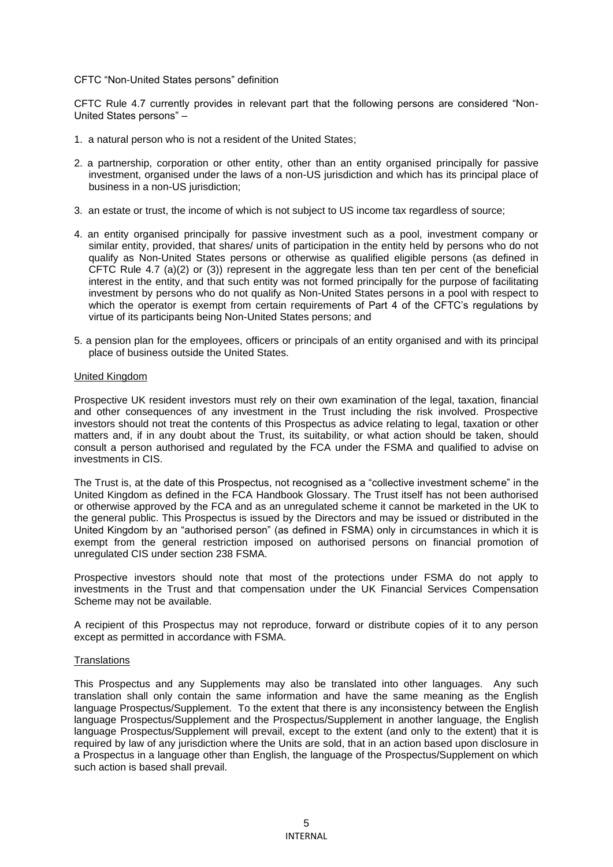### CFTC "Non-United States persons" definition

CFTC Rule 4.7 currently provides in relevant part that the following persons are considered "Non-United States persons" –

- 1. a natural person who is not a resident of the United States;
- 2. a partnership, corporation or other entity, other than an entity organised principally for passive investment, organised under the laws of a non-US jurisdiction and which has its principal place of business in a non-US jurisdiction;
- 3. an estate or trust, the income of which is not subject to US income tax regardless of source;
- 4. an entity organised principally for passive investment such as a pool, investment company or similar entity, provided, that shares/ units of participation in the entity held by persons who do not qualify as Non-United States persons or otherwise as qualified eligible persons (as defined in CFTC Rule 4.7 (a)(2) or (3)) represent in the aggregate less than ten per cent of the beneficial interest in the entity, and that such entity was not formed principally for the purpose of facilitating investment by persons who do not qualify as Non-United States persons in a pool with respect to which the operator is exempt from certain requirements of Part 4 of the CFTC's regulations by virtue of its participants being Non-United States persons; and
- 5. a pension plan for the employees, officers or principals of an entity organised and with its principal place of business outside the United States.

#### United Kingdom

Prospective UK resident investors must rely on their own examination of the legal, taxation, financial and other consequences of any investment in the Trust including the risk involved. Prospective investors should not treat the contents of this Prospectus as advice relating to legal, taxation or other matters and, if in any doubt about the Trust, its suitability, or what action should be taken, should consult a person authorised and regulated by the FCA under the FSMA and qualified to advise on investments in CIS.

The Trust is, at the date of this Prospectus, not recognised as a "collective investment scheme" in the United Kingdom as defined in the FCA Handbook Glossary. The Trust itself has not been authorised or otherwise approved by the FCA and as an unregulated scheme it cannot be marketed in the UK to the general public. This Prospectus is issued by the Directors and may be issued or distributed in the United Kingdom by an "authorised person" (as defined in FSMA) only in circumstances in which it is exempt from the general restriction imposed on authorised persons on financial promotion of unregulated CIS under section 238 FSMA.

Prospective investors should note that most of the protections under FSMA do not apply to investments in the Trust and that compensation under the UK Financial Services Compensation Scheme may not be available.

A recipient of this Prospectus may not reproduce, forward or distribute copies of it to any person except as permitted in accordance with FSMA.

### **Translations**

This Prospectus and any Supplements may also be translated into other languages. Any such translation shall only contain the same information and have the same meaning as the English language Prospectus/Supplement. To the extent that there is any inconsistency between the English language Prospectus/Supplement and the Prospectus/Supplement in another language, the English language Prospectus/Supplement will prevail, except to the extent (and only to the extent) that it is required by law of any jurisdiction where the Units are sold, that in an action based upon disclosure in a Prospectus in a language other than English, the language of the Prospectus/Supplement on which such action is based shall prevail.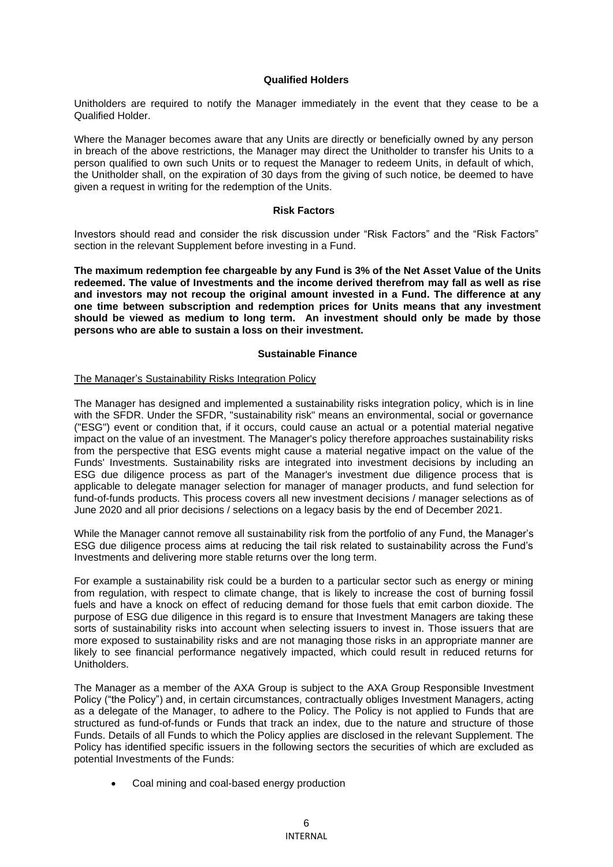### **Qualified Holders**

Unitholders are required to notify the Manager immediately in the event that they cease to be a Qualified Holder.

Where the Manager becomes aware that any Units are directly or beneficially owned by any person in breach of the above restrictions, the Manager may direct the Unitholder to transfer his Units to a person qualified to own such Units or to request the Manager to redeem Units, in default of which, the Unitholder shall, on the expiration of 30 days from the giving of such notice, be deemed to have given a request in writing for the redemption of the Units.

### **Risk Factors**

Investors should read and consider the risk discussion under "Risk Factors" and the "Risk Factors" section in the relevant Supplement before investing in a Fund.

**The maximum redemption fee chargeable by any Fund is 3% of the Net Asset Value of the Units redeemed. The value of Investments and the income derived therefrom may fall as well as rise and investors may not recoup the original amount invested in a Fund. The difference at any one time between subscription and redemption prices for Units means that any investment should be viewed as medium to long term. An investment should only be made by those persons who are able to sustain a loss on their investment.**

## **Sustainable Finance**

### The Manager's Sustainability Risks Integration Policy

The Manager has designed and implemented a sustainability risks integration policy, which is in line with the SFDR. Under the SFDR, "sustainability risk" means an environmental, social or governance ("ESG") event or condition that, if it occurs, could cause an actual or a potential material negative impact on the value of an investment. The Manager's policy therefore approaches sustainability risks from the perspective that ESG events might cause a material negative impact on the value of the Funds' Investments. Sustainability risks are integrated into investment decisions by including an ESG due diligence process as part of the Manager's investment due diligence process that is applicable to delegate manager selection for manager of manager products, and fund selection for fund-of-funds products. This process covers all new investment decisions / manager selections as of June 2020 and all prior decisions / selections on a legacy basis by the end of December 2021.

While the Manager cannot remove all sustainability risk from the portfolio of any Fund, the Manager's ESG due diligence process aims at reducing the tail risk related to sustainability across the Fund's Investments and delivering more stable returns over the long term.

For example a sustainability risk could be a burden to a particular sector such as energy or mining from regulation, with respect to climate change, that is likely to increase the cost of burning fossil fuels and have a knock on effect of reducing demand for those fuels that emit carbon dioxide. The purpose of ESG due diligence in this regard is to ensure that Investment Managers are taking these sorts of sustainability risks into account when selecting issuers to invest in. Those issuers that are more exposed to sustainability risks and are not managing those risks in an appropriate manner are likely to see financial performance negatively impacted, which could result in reduced returns for Unitholders.

The Manager as a member of the AXA Group is subject to the AXA Group Responsible Investment Policy ("the Policy") and, in certain circumstances, contractually obliges Investment Managers, acting as a delegate of the Manager, to adhere to the Policy. The Policy is not applied to Funds that are structured as fund-of-funds or Funds that track an index, due to the nature and structure of those Funds. Details of all Funds to which the Policy applies are disclosed in the relevant Supplement. The Policy has identified specific issuers in the following sectors the securities of which are excluded as potential Investments of the Funds:

• Coal mining and coal-based energy production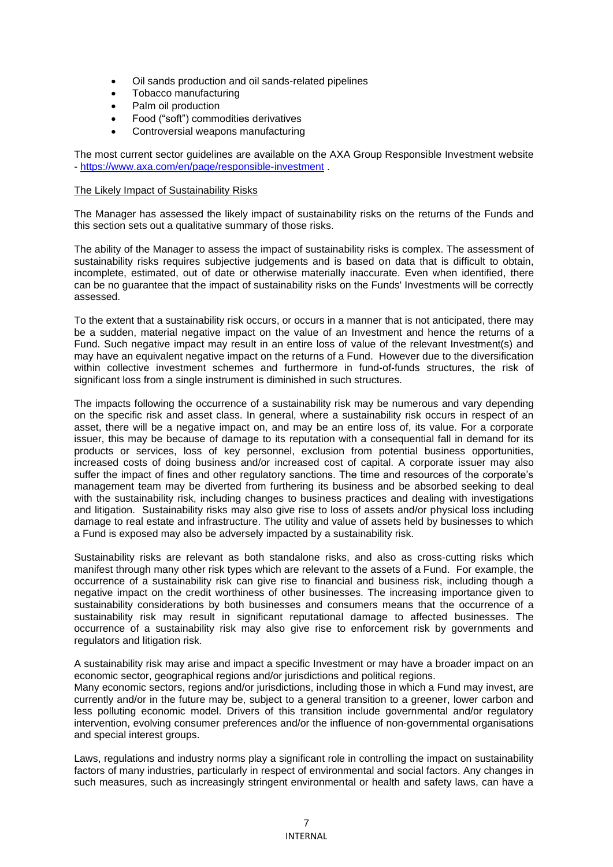- Oil sands production and oil sands-related pipelines
- Tobacco manufacturing
- Palm oil production
- Food ("soft") commodities derivatives
- Controversial weapons manufacturing

The most current sector guidelines are available on the AXA Group Responsible Investment website - <https://www.axa.com/en/page/responsible-investment> .

### The Likely Impact of Sustainability Risks

The Manager has assessed the likely impact of sustainability risks on the returns of the Funds and this section sets out a qualitative summary of those risks.

The ability of the Manager to assess the impact of sustainability risks is complex. The assessment of sustainability risks requires subjective judgements and is based on data that is difficult to obtain, incomplete, estimated, out of date or otherwise materially inaccurate. Even when identified, there can be no guarantee that the impact of sustainability risks on the Funds' Investments will be correctly assessed.

To the extent that a sustainability risk occurs, or occurs in a manner that is not anticipated, there may be a sudden, material negative impact on the value of an Investment and hence the returns of a Fund. Such negative impact may result in an entire loss of value of the relevant Investment(s) and may have an equivalent negative impact on the returns of a Fund. However due to the diversification within collective investment schemes and furthermore in fund-of-funds structures, the risk of significant loss from a single instrument is diminished in such structures.

The impacts following the occurrence of a sustainability risk may be numerous and vary depending on the specific risk and asset class. In general, where a sustainability risk occurs in respect of an asset, there will be a negative impact on, and may be an entire loss of, its value. For a corporate issuer, this may be because of damage to its reputation with a consequential fall in demand for its products or services, loss of key personnel, exclusion from potential business opportunities, increased costs of doing business and/or increased cost of capital. A corporate issuer may also suffer the impact of fines and other regulatory sanctions. The time and resources of the corporate's management team may be diverted from furthering its business and be absorbed seeking to deal with the sustainability risk, including changes to business practices and dealing with investigations and litigation. Sustainability risks may also give rise to loss of assets and/or physical loss including damage to real estate and infrastructure. The utility and value of assets held by businesses to which a Fund is exposed may also be adversely impacted by a sustainability risk.

Sustainability risks are relevant as both standalone risks, and also as cross-cutting risks which manifest through many other risk types which are relevant to the assets of a Fund. For example, the occurrence of a sustainability risk can give rise to financial and business risk, including though a negative impact on the credit worthiness of other businesses. The increasing importance given to sustainability considerations by both businesses and consumers means that the occurrence of a sustainability risk may result in significant reputational damage to affected businesses. The occurrence of a sustainability risk may also give rise to enforcement risk by governments and regulators and litigation risk.

A sustainability risk may arise and impact a specific Investment or may have a broader impact on an economic sector, geographical regions and/or jurisdictions and political regions. Many economic sectors, regions and/or jurisdictions, including those in which a Fund may invest, are currently and/or in the future may be, subject to a general transition to a greener, lower carbon and less polluting economic model. Drivers of this transition include governmental and/or regulatory intervention, evolving consumer preferences and/or the influence of non-governmental organisations and special interest groups.

Laws, regulations and industry norms play a significant role in controlling the impact on sustainability factors of many industries, particularly in respect of environmental and social factors. Any changes in such measures, such as increasingly stringent environmental or health and safety laws, can have a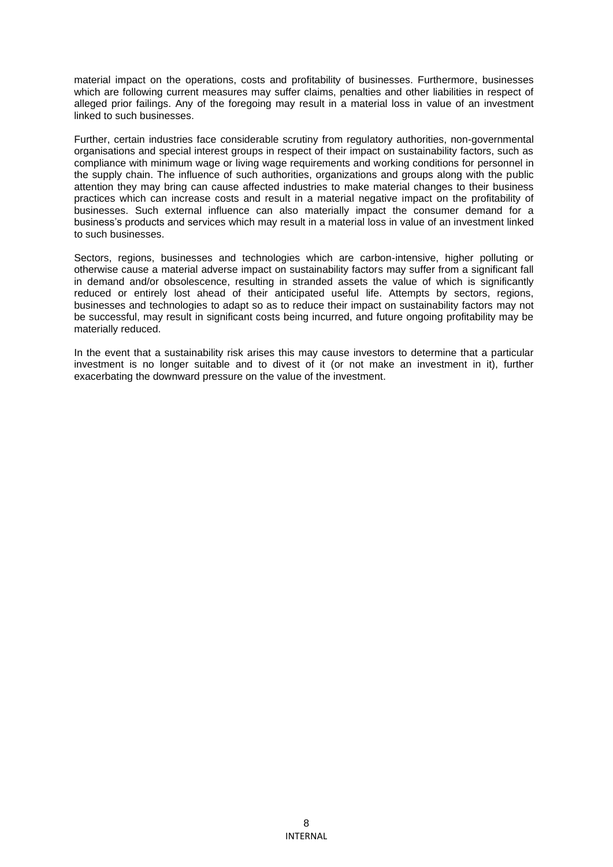material impact on the operations, costs and profitability of businesses. Furthermore, businesses which are following current measures may suffer claims, penalties and other liabilities in respect of alleged prior failings. Any of the foregoing may result in a material loss in value of an investment linked to such businesses.

Further, certain industries face considerable scrutiny from regulatory authorities, non-governmental organisations and special interest groups in respect of their impact on sustainability factors, such as compliance with minimum wage or living wage requirements and working conditions for personnel in the supply chain. The influence of such authorities, organizations and groups along with the public attention they may bring can cause affected industries to make material changes to their business practices which can increase costs and result in a material negative impact on the profitability of businesses. Such external influence can also materially impact the consumer demand for a business's products and services which may result in a material loss in value of an investment linked to such businesses.

Sectors, regions, businesses and technologies which are carbon-intensive, higher polluting or otherwise cause a material adverse impact on sustainability factors may suffer from a significant fall in demand and/or obsolescence, resulting in stranded assets the value of which is significantly reduced or entirely lost ahead of their anticipated useful life. Attempts by sectors, regions, businesses and technologies to adapt so as to reduce their impact on sustainability factors may not be successful, may result in significant costs being incurred, and future ongoing profitability may be materially reduced.

In the event that a sustainability risk arises this may cause investors to determine that a particular investment is no longer suitable and to divest of it (or not make an investment in it), further exacerbating the downward pressure on the value of the investment.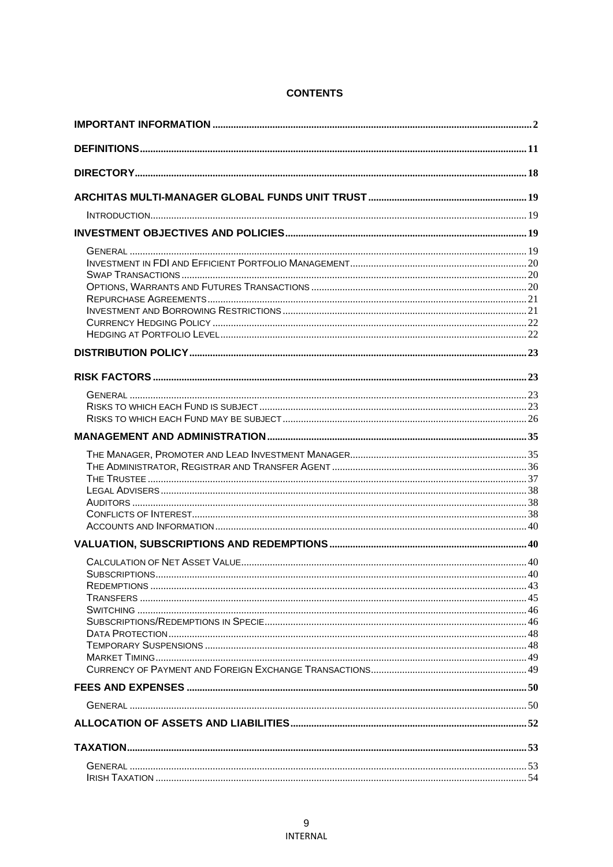# **CONTENTS**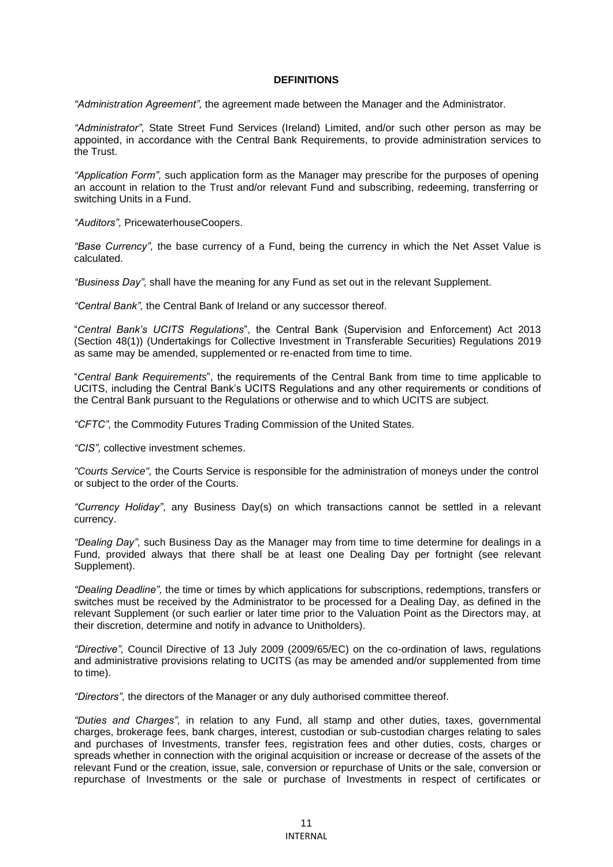### **DEFINITIONS**

*"Administration Agreement",* the agreement made between the Manager and the Administrator.

*"Administrator",* State Street Fund Services (Ireland) Limited, and/or such other person as may be appointed, in accordance with the Central Bank Requirements, to provide administration services to the Trust.

*"Application Form",* such application form as the Manager may prescribe for the purposes of opening an account in relation to the Trust and/or relevant Fund and subscribing, redeeming, transferring or switching Units in a Fund.

*"Auditors",* PricewaterhouseCoopers.

*"Base Currency",* the base currency of a Fund, being the currency in which the Net Asset Value is calculated.

*"Business Day",* shall have the meaning for any Fund as set out in the relevant Supplement.

*"Central Bank",* the Central Bank of Ireland or any successor thereof.

"*Central Bank's UCITS Regulations*", the Central Bank (Supervision and Enforcement) Act 2013 (Section 48(1)) (Undertakings for Collective Investment in Transferable Securities) Regulations 2019 as same may be amended, supplemented or re-enacted from time to time.

"*Central Bank Requirements*", the requirements of the Central Bank from time to time applicable to UCITS, including the Central Bank's UCITS Regulations and any other requirements or conditions of the Central Bank pursuant to the Regulations or otherwise and to which UCITS are subject.

*"CFTC",* the Commodity Futures Trading Commission of the United States.

*"CIS",* collective investment schemes.

*"Courts Service",* the Courts Service is responsible for the administration of moneys under the control or subject to the order of the Courts.

*"Currency Holiday"*, any Business Day(s) on which transactions cannot be settled in a relevant currency.

*"Dealing Day",* such Business Day as the Manager may from time to time determine for dealings in a Fund, provided always that there shall be at least one Dealing Day per fortnight (see relevant Supplement).

*"Dealing Deadline",* the time or times by which applications for subscriptions, redemptions, transfers or switches must be received by the Administrator to be processed for a Dealing Day, as defined in the relevant Supplement (or such earlier or later time prior to the Valuation Point as the Directors may, at their discretion, determine and notify in advance to Unitholders).

*"Directive",* Council Directive of 13 July 2009 (2009/65/EC) on the co-ordination of laws, regulations and administrative provisions relating to UCITS (as may be amended and/or supplemented from time to time).

*"Directors",* the directors of the Manager or any duly authorised committee thereof.

*"Duties and Charges",* in relation to any Fund, all stamp and other duties, taxes, governmental charges, brokerage fees, bank charges, interest, custodian or sub-custodian charges relating to sales and purchases of Investments, transfer fees, registration fees and other duties, costs, charges or spreads whether in connection with the original acquisition or increase or decrease of the assets of the relevant Fund or the creation, issue, sale, conversion or repurchase of Units or the sale, conversion or repurchase of Investments or the sale or purchase of Investments in respect of certificates or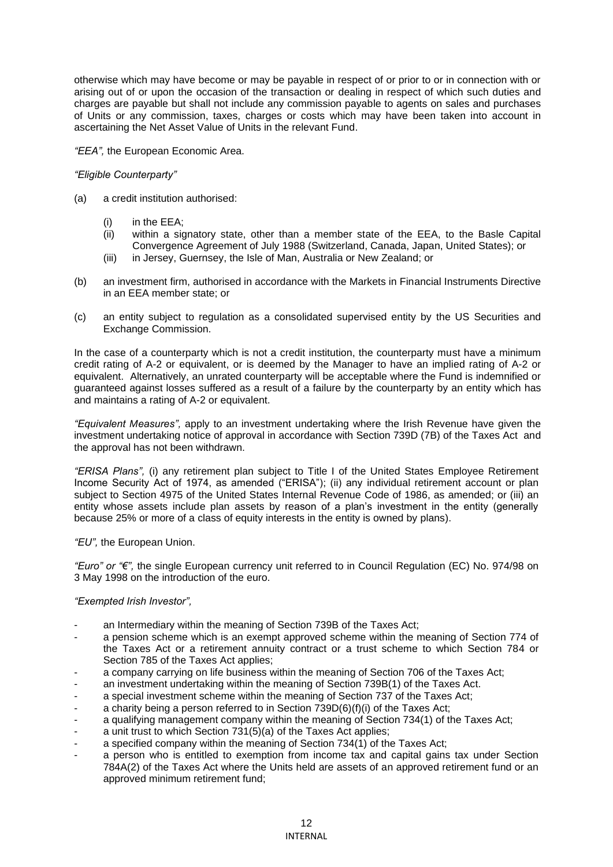otherwise which may have become or may be payable in respect of or prior to or in connection with or arising out of or upon the occasion of the transaction or dealing in respect of which such duties and charges are payable but shall not include any commission payable to agents on sales and purchases of Units or any commission, taxes, charges or costs which may have been taken into account in ascertaining the Net Asset Value of Units in the relevant Fund.

*"EEA",* the European Economic Area.

# *"Eligible Counterparty"*

- (a) a credit institution authorised:
	- (i) in the EEA;
	- (ii) within a signatory state, other than a member state of the EEA, to the Basle Capital Convergence Agreement of July 1988 (Switzerland, Canada, Japan, United States); or
	- (iii) in Jersey, Guernsey, the Isle of Man, Australia or New Zealand; or
- (b) an investment firm, authorised in accordance with the Markets in Financial Instruments Directive in an EEA member state; or
- (c) an entity subject to regulation as a consolidated supervised entity by the US Securities and Exchange Commission.

In the case of a counterparty which is not a credit institution, the counterparty must have a minimum credit rating of A-2 or equivalent, or is deemed by the Manager to have an implied rating of A-2 or equivalent. Alternatively, an unrated counterparty will be acceptable where the Fund is indemnified or guaranteed against losses suffered as a result of a failure by the counterparty by an entity which has and maintains a rating of A-2 or equivalent.

*"Equivalent Measures",* apply to an investment undertaking where the Irish Revenue have given the investment undertaking notice of approval in accordance with Section 739D (7B) of the Taxes Act and the approval has not been withdrawn.

*"ERISA Plans",* (i) any retirement plan subject to Title I of the United States Employee Retirement Income Security Act of 1974, as amended ("ERISA"); (ii) any individual retirement account or plan subject to Section 4975 of the United States Internal Revenue Code of 1986, as amended; or (iii) an entity whose assets include plan assets by reason of a plan's investment in the entity (generally because 25% or more of a class of equity interests in the entity is owned by plans).

*"EU",* the European Union.

*"Euro" or "€",* the single European currency unit referred to in Council Regulation (EC) No. 974/98 on 3 May 1998 on the introduction of the euro.

# *"Exempted Irish Investor",*

- an Intermediary within the meaning of Section 739B of the Taxes Act;
- a pension scheme which is an exempt approved scheme within the meaning of Section 774 of the Taxes Act or a retirement annuity contract or a trust scheme to which Section 784 or Section 785 of the Taxes Act applies;
- a company carrying on life business within the meaning of Section 706 of the Taxes Act;
- an investment undertaking within the meaning of Section 739B(1) of the Taxes Act.
- a special investment scheme within the meaning of Section 737 of the Taxes Act;
- a charity being a person referred to in Section  $739D(6)(f)(i)$  of the Taxes Act;
- a qualifying management company within the meaning of Section 734(1) of the Taxes Act;
- a unit trust to which Section 731(5)(a) of the Taxes Act applies;
- a specified company within the meaning of Section 734(1) of the Taxes Act;
- a person who is entitled to exemption from income tax and capital gains tax under Section 784A(2) of the Taxes Act where the Units held are assets of an approved retirement fund or an approved minimum retirement fund;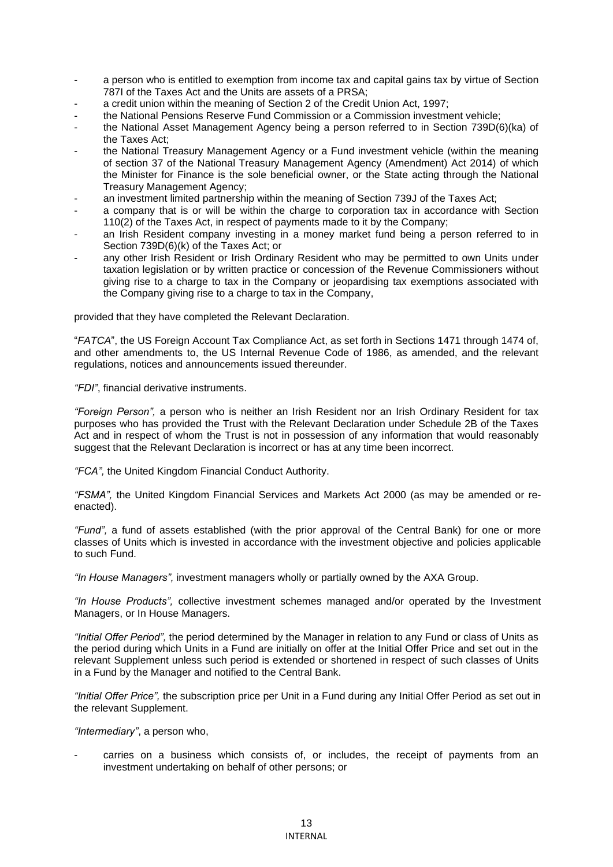- a person who is entitled to exemption from income tax and capital gains tax by virtue of Section 787I of the Taxes Act and the Units are assets of a PRSA;
- a credit union within the meaning of Section 2 of the Credit Union Act, 1997;
- the National Pensions Reserve Fund Commission or a Commission investment vehicle;
- the National Asset Management Agency being a person referred to in Section 739D(6)(ka) of the Taxes Act;
- the National Treasury Management Agency or a Fund investment vehicle (within the meaning of section 37 of the National Treasury Management Agency (Amendment) Act 2014) of which the Minister for Finance is the sole beneficial owner, or the State acting through the National Treasury Management Agency;
- an investment limited partnership within the meaning of Section 739J of the Taxes Act;
- a company that is or will be within the charge to corporation tax in accordance with Section 110(2) of the Taxes Act, in respect of payments made to it by the Company;
- an Irish Resident company investing in a money market fund being a person referred to in Section 739D(6)(k) of the Taxes Act; or
- any other Irish Resident or Irish Ordinary Resident who may be permitted to own Units under taxation legislation or by written practice or concession of the Revenue Commissioners without giving rise to a charge to tax in the Company or jeopardising tax exemptions associated with the Company giving rise to a charge to tax in the Company,

provided that they have completed the Relevant Declaration.

"*FATCA*", the US Foreign Account Tax Compliance Act, as set forth in Sections 1471 through 1474 of, and other amendments to, the US Internal Revenue Code of 1986, as amended, and the relevant regulations, notices and announcements issued thereunder.

*"FDI"*, financial derivative instruments.

*"Foreign Person",* a person who is neither an Irish Resident nor an Irish Ordinary Resident for tax purposes who has provided the Trust with the Relevant Declaration under Schedule 2B of the Taxes Act and in respect of whom the Trust is not in possession of any information that would reasonably suggest that the Relevant Declaration is incorrect or has at any time been incorrect.

*"FCA",* the United Kingdom Financial Conduct Authority.

*"FSMA",* the United Kingdom Financial Services and Markets Act 2000 (as may be amended or reenacted).

*"Fund",* a fund of assets established (with the prior approval of the Central Bank) for one or more classes of Units which is invested in accordance with the investment objective and policies applicable to such Fund.

*"In House Managers",* investment managers wholly or partially owned by the AXA Group.

*"In House Products",* collective investment schemes managed and/or operated by the Investment Managers, or In House Managers.

*"Initial Offer Period",* the period determined by the Manager in relation to any Fund or class of Units as the period during which Units in a Fund are initially on offer at the Initial Offer Price and set out in the relevant Supplement unless such period is extended or shortened in respect of such classes of Units in a Fund by the Manager and notified to the Central Bank.

*"Initial Offer Price",* the subscription price per Unit in a Fund during any Initial Offer Period as set out in the relevant Supplement.

*"Intermediary"*, a person who,

carries on a business which consists of, or includes, the receipt of payments from an investment undertaking on behalf of other persons; or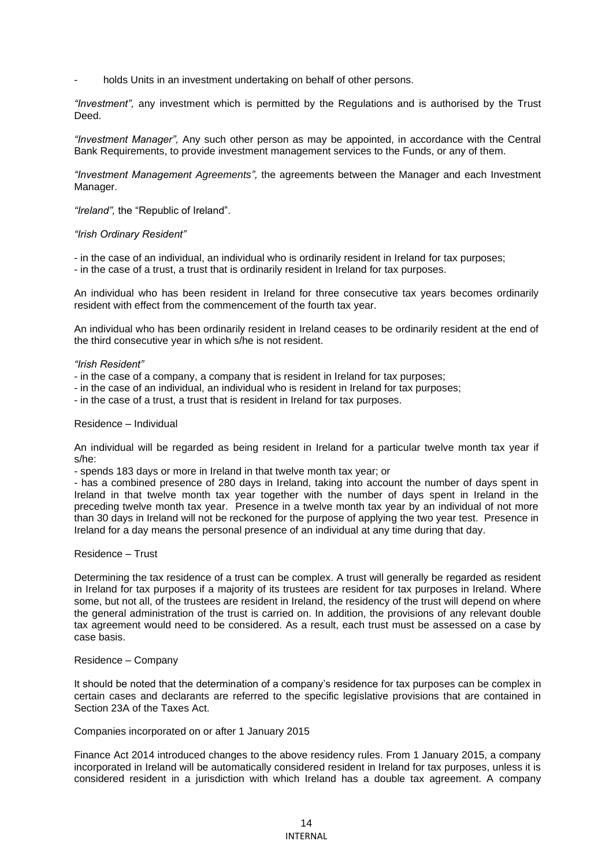holds Units in an investment undertaking on behalf of other persons.

*"Investment",* any investment which is permitted by the Regulations and is authorised by the Trust Deed.

*"Investment Manager",* Any such other person as may be appointed, in accordance with the Central Bank Requirements, to provide investment management services to the Funds, or any of them.

*"Investment Management Agreements",* the agreements between the Manager and each Investment Manager.

*"Ireland",* the "Republic of Ireland".

#### *"Irish Ordinary Resident"*

- in the case of an individual, an individual who is ordinarily resident in Ireland for tax purposes; - in the case of a trust, a trust that is ordinarily resident in Ireland for tax purposes.

An individual who has been resident in Ireland for three consecutive tax years becomes ordinarily resident with effect from the commencement of the fourth tax year.

An individual who has been ordinarily resident in Ireland ceases to be ordinarily resident at the end of the third consecutive year in which s/he is not resident.

#### *"Irish Resident"*

- in the case of a company, a company that is resident in Ireland for tax purposes;
- in the case of an individual, an individual who is resident in Ireland for tax purposes;
- in the case of a trust, a trust that is resident in Ireland for tax purposes.

#### Residence – Individual

An individual will be regarded as being resident in Ireland for a particular twelve month tax year if s/he:

- spends 183 days or more in Ireland in that twelve month tax year; or

- has a combined presence of 280 days in Ireland, taking into account the number of days spent in Ireland in that twelve month tax year together with the number of days spent in Ireland in the preceding twelve month tax year. Presence in a twelve month tax year by an individual of not more than 30 days in Ireland will not be reckoned for the purpose of applying the two year test. Presence in Ireland for a day means the personal presence of an individual at any time during that day.

#### Residence – Trust

Determining the tax residence of a trust can be complex. A trust will generally be regarded as resident in Ireland for tax purposes if a majority of its trustees are resident for tax purposes in Ireland. Where some, but not all, of the trustees are resident in Ireland, the residency of the trust will depend on where the general administration of the trust is carried on. In addition, the provisions of any relevant double tax agreement would need to be considered. As a result, each trust must be assessed on a case by case basis.

### Residence – Company

It should be noted that the determination of a company's residence for tax purposes can be complex in certain cases and declarants are referred to the specific legislative provisions that are contained in Section 23A of the Taxes Act.

### Companies incorporated on or after 1 January 2015

Finance Act 2014 introduced changes to the above residency rules. From 1 January 2015, a company incorporated in Ireland will be automatically considered resident in Ireland for tax purposes, unless it is considered resident in a jurisdiction with which Ireland has a double tax agreement. A company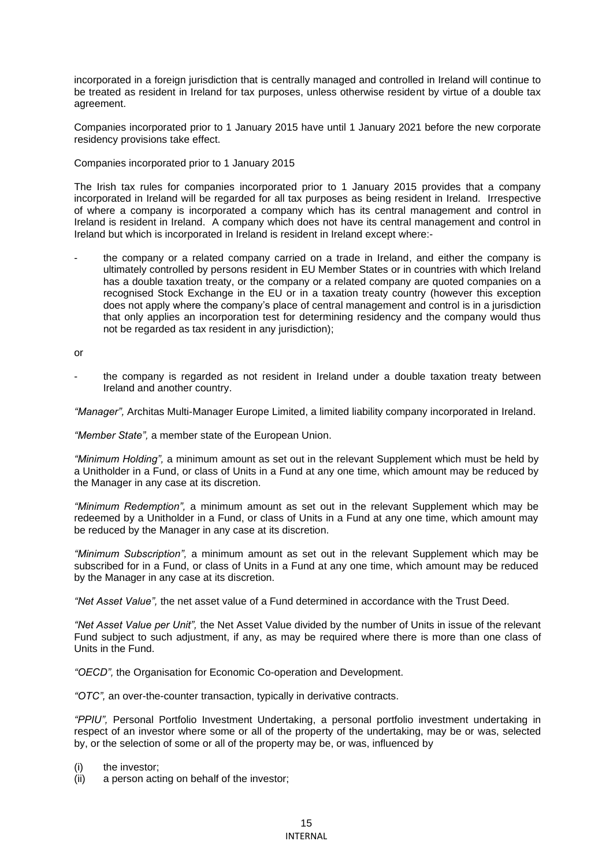incorporated in a foreign jurisdiction that is centrally managed and controlled in Ireland will continue to be treated as resident in Ireland for tax purposes, unless otherwise resident by virtue of a double tax agreement.

Companies incorporated prior to 1 January 2015 have until 1 January 2021 before the new corporate residency provisions take effect.

Companies incorporated prior to 1 January 2015

The Irish tax rules for companies incorporated prior to 1 January 2015 provides that a company incorporated in Ireland will be regarded for all tax purposes as being resident in Ireland. Irrespective of where a company is incorporated a company which has its central management and control in Ireland is resident in Ireland. A company which does not have its central management and control in Ireland but which is incorporated in Ireland is resident in Ireland except where:-

the company or a related company carried on a trade in Ireland, and either the company is ultimately controlled by persons resident in EU Member States or in countries with which Ireland has a double taxation treaty, or the company or a related company are quoted companies on a recognised Stock Exchange in the EU or in a taxation treaty country (however this exception does not apply where the company's place of central management and control is in a jurisdiction that only applies an incorporation test for determining residency and the company would thus not be regarded as tax resident in any jurisdiction);

or

the company is regarded as not resident in Ireland under a double taxation treaty between Ireland and another country.

*"Manager",* Architas Multi-Manager Europe Limited, a limited liability company incorporated in Ireland.

*"Member State",* a member state of the European Union.

*"Minimum Holding",* a minimum amount as set out in the relevant Supplement which must be held by a Unitholder in a Fund, or class of Units in a Fund at any one time, which amount may be reduced by the Manager in any case at its discretion.

*"Minimum Redemption",* a minimum amount as set out in the relevant Supplement which may be redeemed by a Unitholder in a Fund, or class of Units in a Fund at any one time, which amount may be reduced by the Manager in any case at its discretion.

*"Minimum Subscription",* a minimum amount as set out in the relevant Supplement which may be subscribed for in a Fund, or class of Units in a Fund at any one time, which amount may be reduced by the Manager in any case at its discretion.

*"Net Asset Value",* the net asset value of a Fund determined in accordance with the Trust Deed.

*"Net Asset Value per Unit",* the Net Asset Value divided by the number of Units in issue of the relevant Fund subject to such adjustment, if any, as may be required where there is more than one class of Units in the Fund.

*"OECD",* the Organisation for Economic Co-operation and Development.

*"OTC",* an over-the-counter transaction, typically in derivative contracts.

*"PPIU",* Personal Portfolio Investment Undertaking, a personal portfolio investment undertaking in respect of an investor where some or all of the property of the undertaking, may be or was, selected by, or the selection of some or all of the property may be, or was, influenced by

(i) the investor;

(ii) a person acting on behalf of the investor;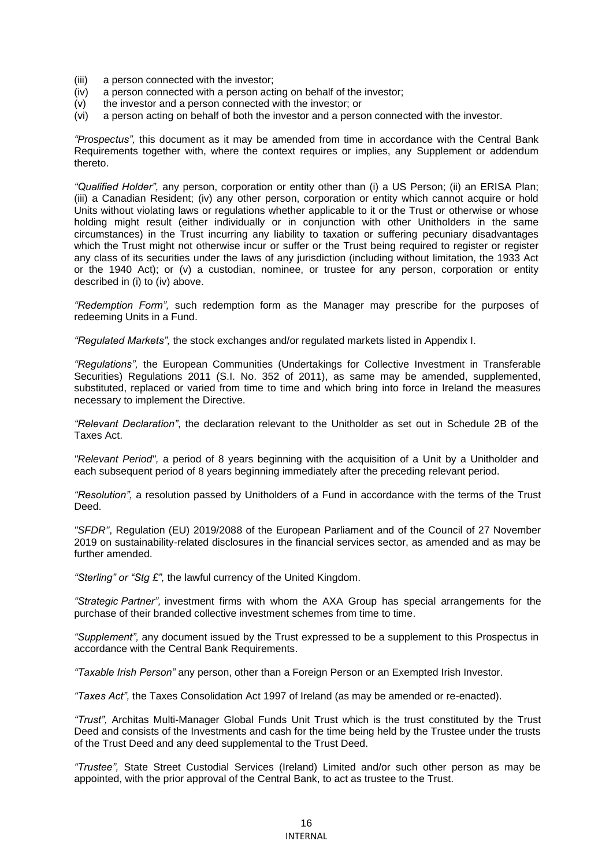- (iii) a person connected with the investor;
- (iv) a person connected with a person acting on behalf of the investor;
- (v) the investor and a person connected with the investor; or
- (vi) a person acting on behalf of both the investor and a person connected with the investor.

*"Prospectus",* this document as it may be amended from time in accordance with the Central Bank Requirements together with, where the context requires or implies, any Supplement or addendum thereto.

*"Qualified Holder",* any person, corporation or entity other than (i) a US Person; (ii) an ERISA Plan; (iii) a Canadian Resident; (iv) any other person, corporation or entity which cannot acquire or hold Units without violating laws or regulations whether applicable to it or the Trust or otherwise or whose holding might result (either individually or in conjunction with other Unitholders in the same circumstances) in the Trust incurring any liability to taxation or suffering pecuniary disadvantages which the Trust might not otherwise incur or suffer or the Trust being required to register or register any class of its securities under the laws of any jurisdiction (including without limitation, the 1933 Act or the 1940 Act); or (v) a custodian, nominee, or trustee for any person, corporation or entity described in (i) to (iv) above.

*"Redemption Form",* such redemption form as the Manager may prescribe for the purposes of redeeming Units in a Fund.

*"Regulated Markets",* the stock exchanges and/or regulated markets listed in Appendix I.

*"Regulations",* the European Communities (Undertakings for Collective Investment in Transferable Securities) Regulations 2011 (S.I. No. 352 of 2011), as same may be amended, supplemented, substituted, replaced or varied from time to time and which bring into force in Ireland the measures necessary to implement the Directive.

*"Relevant Declaration"*, the declaration relevant to the Unitholder as set out in Schedule 2B of the Taxes Act.

*"Relevant Period",* a period of 8 years beginning with the acquisition of a Unit by a Unitholder and each subsequent period of 8 years beginning immediately after the preceding relevant period.

*"Resolution",* a resolution passed by Unitholders of a Fund in accordance with the terms of the Trust Deed.

*"SFDR"*, Regulation (EU) 2019/2088 of the European Parliament and of the Council of 27 November 2019 on sustainability-related disclosures in the financial services sector, as amended and as may be further amended.

*"Sterling" or "Stg £",* the lawful currency of the United Kingdom.

*"Strategic Partner",* investment firms with whom the AXA Group has special arrangements for the purchase of their branded collective investment schemes from time to time.

*"Supplement",* any document issued by the Trust expressed to be a supplement to this Prospectus in accordance with the Central Bank Requirements.

*"Taxable Irish Person"* any person, other than a Foreign Person or an Exempted Irish Investor.

*"Taxes Act",* the Taxes Consolidation Act 1997 of Ireland (as may be amended or re-enacted).

*"Trust",* Architas Multi-Manager Global Funds Unit Trust which is the trust constituted by the Trust Deed and consists of the Investments and cash for the time being held by the Trustee under the trusts of the Trust Deed and any deed supplemental to the Trust Deed.

*"Trustee",* State Street Custodial Services (Ireland) Limited and/or such other person as may be appointed, with the prior approval of the Central Bank, to act as trustee to the Trust.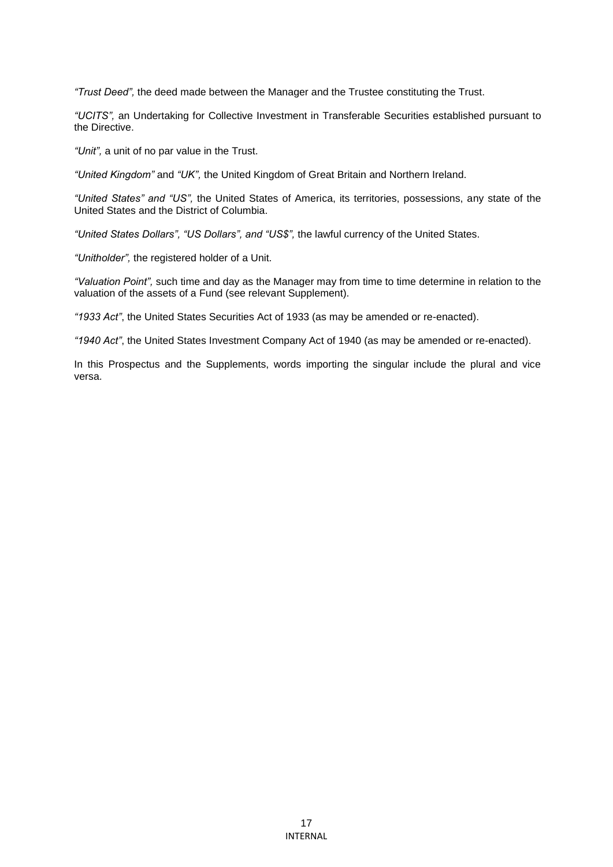*"Trust Deed",* the deed made between the Manager and the Trustee constituting the Trust.

*"UCITS",* an Undertaking for Collective Investment in Transferable Securities established pursuant to the Directive.

*"Unit",* a unit of no par value in the Trust.

*"United Kingdom"* and *"UK",* the United Kingdom of Great Britain and Northern Ireland.

*"United States" and "US",* the United States of America, its territories, possessions, any state of the United States and the District of Columbia.

*"United States Dollars", "US Dollars", and "US\$",* the lawful currency of the United States.

*"Unitholder",* the registered holder of a Unit.

*"Valuation Point",* such time and day as the Manager may from time to time determine in relation to the valuation of the assets of a Fund (see relevant Supplement).

*"1933 Act"*, the United States Securities Act of 1933 (as may be amended or re-enacted).

*"1940 Act"*, the United States Investment Company Act of 1940 (as may be amended or re-enacted).

In this Prospectus and the Supplements, words importing the singular include the plural and vice versa.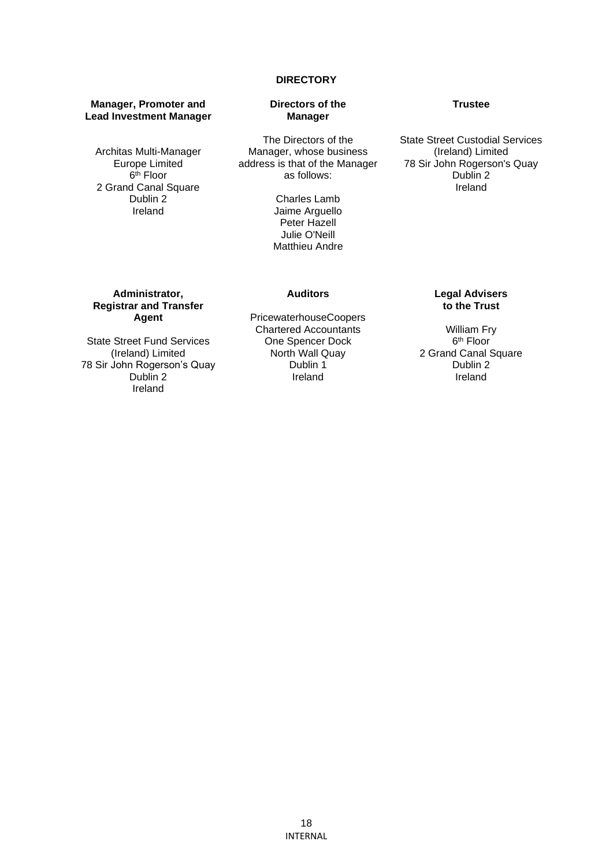### **DIRECTORY**

#### **Manager, Promoter and Lead Investment Manager**

Architas Multi-Manager Europe Limited 6<sup>th</sup> Floor 2 Grand Canal Square Dublin 2 Ireland

### **Directors of the Manager**

The Directors of the Manager, whose business address is that of the Manager as follows:

> Charles Lamb Jaime Arguello Peter Hazell Julie O'Neill Matthieu Andre

#### **Trustee**

State Street Custodial Services (Ireland) Limited 78 Sir John Rogerson's Quay Dublin 2 Ireland

## **Administrator, Registrar and Transfer Agent**

State Street Fund Services (Ireland) Limited 78 Sir John Rogerson's Quay Dublin 2 Ireland

PricewaterhouseCoopers Chartered Accountants One Spencer Dock North Wall Quay Dublin 1 Ireland

**Auditors** 

# **Legal Advisers to the Trust**

William Fry 6 th Floor 2 Grand Canal Square Dublin 2 Ireland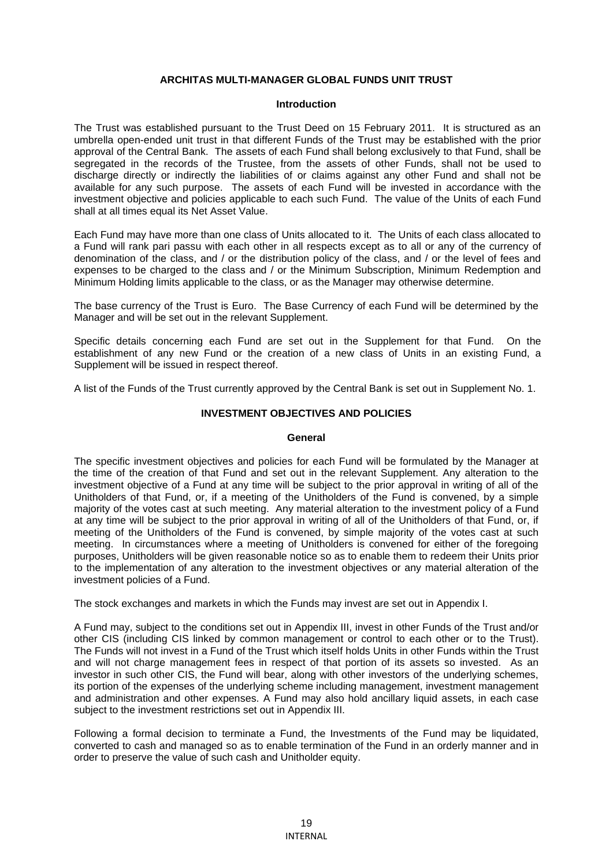# **ARCHITAS MULTI-MANAGER GLOBAL FUNDS UNIT TRUST**

#### **Introduction**

The Trust was established pursuant to the Trust Deed on 15 February 2011. It is structured as an umbrella open-ended unit trust in that different Funds of the Trust may be established with the prior approval of the Central Bank. The assets of each Fund shall belong exclusively to that Fund, shall be segregated in the records of the Trustee, from the assets of other Funds, shall not be used to discharge directly or indirectly the liabilities of or claims against any other Fund and shall not be available for any such purpose. The assets of each Fund will be invested in accordance with the investment objective and policies applicable to each such Fund. The value of the Units of each Fund shall at all times equal its Net Asset Value.

Each Fund may have more than one class of Units allocated to it. The Units of each class allocated to a Fund will rank pari passu with each other in all respects except as to all or any of the currency of denomination of the class, and / or the distribution policy of the class, and / or the level of fees and expenses to be charged to the class and / or the Minimum Subscription, Minimum Redemption and Minimum Holding limits applicable to the class, or as the Manager may otherwise determine.

The base currency of the Trust is Euro. The Base Currency of each Fund will be determined by the Manager and will be set out in the relevant Supplement.

Specific details concerning each Fund are set out in the Supplement for that Fund. On the establishment of any new Fund or the creation of a new class of Units in an existing Fund, a Supplement will be issued in respect thereof.

A list of the Funds of the Trust currently approved by the Central Bank is set out in Supplement No. 1.

### **INVESTMENT OBJECTIVES AND POLICIES**

#### **General**

The specific investment objectives and policies for each Fund will be formulated by the Manager at the time of the creation of that Fund and set out in the relevant Supplement. Any alteration to the investment objective of a Fund at any time will be subject to the prior approval in writing of all of the Unitholders of that Fund, or, if a meeting of the Unitholders of the Fund is convened, by a simple majority of the votes cast at such meeting. Any material alteration to the investment policy of a Fund at any time will be subject to the prior approval in writing of all of the Unitholders of that Fund, or, if meeting of the Unitholders of the Fund is convened, by simple majority of the votes cast at such meeting. In circumstances where a meeting of Unitholders is convened for either of the foregoing purposes, Unitholders will be given reasonable notice so as to enable them to redeem their Units prior to the implementation of any alteration to the investment objectives or any material alteration of the investment policies of a Fund.

The stock exchanges and markets in which the Funds may invest are set out in Appendix I.

A Fund may, subject to the conditions set out in Appendix III, invest in other Funds of the Trust and/or other CIS (including CIS linked by common management or control to each other or to the Trust). The Funds will not invest in a Fund of the Trust which itself holds Units in other Funds within the Trust and will not charge management fees in respect of that portion of its assets so invested. As an investor in such other CIS, the Fund will bear, along with other investors of the underlying schemes, its portion of the expenses of the underlying scheme including management, investment management and administration and other expenses. A Fund may also hold ancillary liquid assets, in each case subject to the investment restrictions set out in Appendix III.

Following a formal decision to terminate a Fund, the Investments of the Fund may be liquidated, converted to cash and managed so as to enable termination of the Fund in an orderly manner and in order to preserve the value of such cash and Unitholder equity.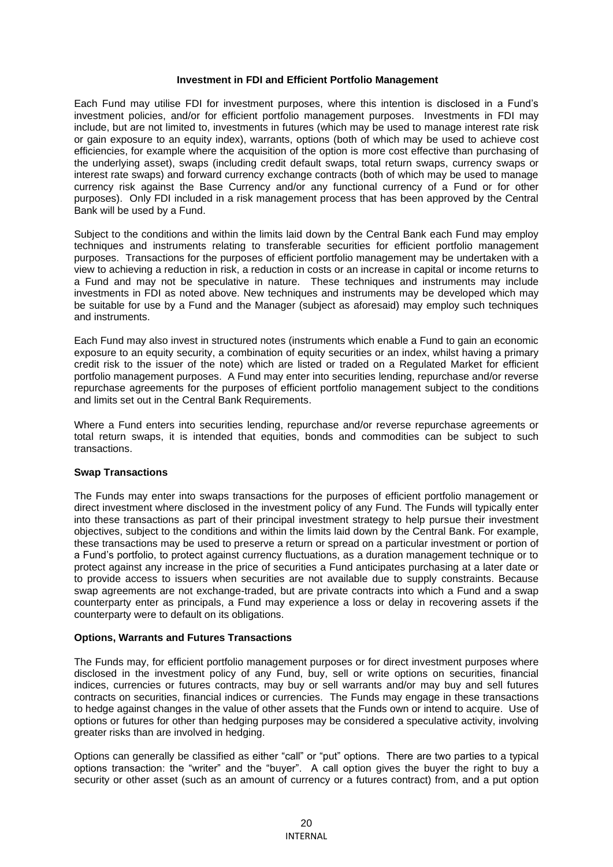### **Investment in FDI and Efficient Portfolio Management**

Each Fund may utilise FDI for investment purposes, where this intention is disclosed in a Fund's investment policies, and/or for efficient portfolio management purposes. Investments in FDI may include, but are not limited to, investments in futures (which may be used to manage interest rate risk or gain exposure to an equity index), warrants, options (both of which may be used to achieve cost efficiencies, for example where the acquisition of the option is more cost effective than purchasing of the underlying asset), swaps (including credit default swaps, total return swaps, currency swaps or interest rate swaps) and forward currency exchange contracts (both of which may be used to manage currency risk against the Base Currency and/or any functional currency of a Fund or for other purposes). Only FDI included in a risk management process that has been approved by the Central Bank will be used by a Fund.

Subject to the conditions and within the limits laid down by the Central Bank each Fund may employ techniques and instruments relating to transferable securities for efficient portfolio management purposes. Transactions for the purposes of efficient portfolio management may be undertaken with a view to achieving a reduction in risk, a reduction in costs or an increase in capital or income returns to a Fund and may not be speculative in nature. These techniques and instruments may include investments in FDI as noted above. New techniques and instruments may be developed which may be suitable for use by a Fund and the Manager (subject as aforesaid) may employ such techniques and instruments.

Each Fund may also invest in structured notes (instruments which enable a Fund to gain an economic exposure to an equity security, a combination of equity securities or an index, whilst having a primary credit risk to the issuer of the note) which are listed or traded on a Regulated Market for efficient portfolio management purposes. A Fund may enter into securities lending, repurchase and/or reverse repurchase agreements for the purposes of efficient portfolio management subject to the conditions and limits set out in the Central Bank Requirements.

Where a Fund enters into securities lending, repurchase and/or reverse repurchase agreements or total return swaps, it is intended that equities, bonds and commodities can be subject to such transactions.

### **Swap Transactions**

The Funds may enter into swaps transactions for the purposes of efficient portfolio management or direct investment where disclosed in the investment policy of any Fund. The Funds will typically enter into these transactions as part of their principal investment strategy to help pursue their investment objectives, subject to the conditions and within the limits laid down by the Central Bank. For example, these transactions may be used to preserve a return or spread on a particular investment or portion of a Fund's portfolio, to protect against currency fluctuations, as a duration management technique or to protect against any increase in the price of securities a Fund anticipates purchasing at a later date or to provide access to issuers when securities are not available due to supply constraints. Because swap agreements are not exchange-traded, but are private contracts into which a Fund and a swap counterparty enter as principals, a Fund may experience a loss or delay in recovering assets if the counterparty were to default on its obligations.

#### **Options, Warrants and Futures Transactions**

The Funds may, for efficient portfolio management purposes or for direct investment purposes where disclosed in the investment policy of any Fund, buy, sell or write options on securities, financial indices, currencies or futures contracts, may buy or sell warrants and/or may buy and sell futures contracts on securities, financial indices or currencies. The Funds may engage in these transactions to hedge against changes in the value of other assets that the Funds own or intend to acquire. Use of options or futures for other than hedging purposes may be considered a speculative activity, involving greater risks than are involved in hedging.

Options can generally be classified as either "call" or "put" options. There are two parties to a typical options transaction: the "writer" and the "buyer". A call option gives the buyer the right to buy a security or other asset (such as an amount of currency or a futures contract) from, and a put option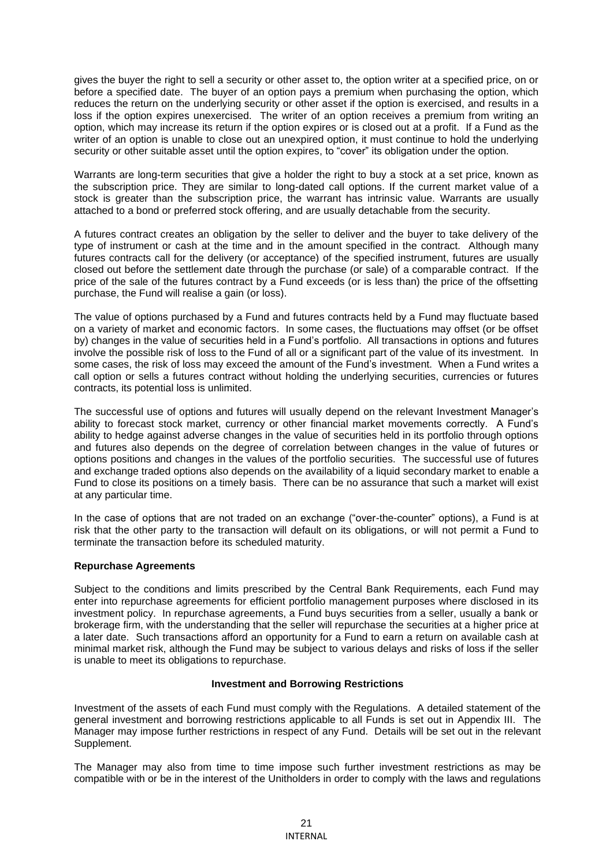gives the buyer the right to sell a security or other asset to, the option writer at a specified price, on or before a specified date. The buyer of an option pays a premium when purchasing the option, which reduces the return on the underlying security or other asset if the option is exercised, and results in a loss if the option expires unexercised. The writer of an option receives a premium from writing an option, which may increase its return if the option expires or is closed out at a profit. If a Fund as the writer of an option is unable to close out an unexpired option, it must continue to hold the underlying security or other suitable asset until the option expires, to "cover" its obligation under the option.

Warrants are long-term securities that give a holder the right to buy a stock at a set price, known as the subscription price. They are similar to long-dated call options. If the current market value of a stock is greater than the subscription price, the warrant has intrinsic value. Warrants are usually attached to a bond or preferred stock offering, and are usually detachable from the security.

A futures contract creates an obligation by the seller to deliver and the buyer to take delivery of the type of instrument or cash at the time and in the amount specified in the contract. Although many futures contracts call for the delivery (or acceptance) of the specified instrument, futures are usually closed out before the settlement date through the purchase (or sale) of a comparable contract. If the price of the sale of the futures contract by a Fund exceeds (or is less than) the price of the offsetting purchase, the Fund will realise a gain (or loss).

The value of options purchased by a Fund and futures contracts held by a Fund may fluctuate based on a variety of market and economic factors. In some cases, the fluctuations may offset (or be offset by) changes in the value of securities held in a Fund's portfolio. All transactions in options and futures involve the possible risk of loss to the Fund of all or a significant part of the value of its investment. In some cases, the risk of loss may exceed the amount of the Fund's investment. When a Fund writes a call option or sells a futures contract without holding the underlying securities, currencies or futures contracts, its potential loss is unlimited.

The successful use of options and futures will usually depend on the relevant Investment Manager's ability to forecast stock market, currency or other financial market movements correctly. A Fund's ability to hedge against adverse changes in the value of securities held in its portfolio through options and futures also depends on the degree of correlation between changes in the value of futures or options positions and changes in the values of the portfolio securities. The successful use of futures and exchange traded options also depends on the availability of a liquid secondary market to enable a Fund to close its positions on a timely basis. There can be no assurance that such a market will exist at any particular time.

In the case of options that are not traded on an exchange ("over-the-counter" options), a Fund is at risk that the other party to the transaction will default on its obligations, or will not permit a Fund to terminate the transaction before its scheduled maturity.

# **Repurchase Agreements**

Subject to the conditions and limits prescribed by the Central Bank Requirements, each Fund may enter into repurchase agreements for efficient portfolio management purposes where disclosed in its investment policy. In repurchase agreements, a Fund buys securities from a seller, usually a bank or brokerage firm, with the understanding that the seller will repurchase the securities at a higher price at a later date. Such transactions afford an opportunity for a Fund to earn a return on available cash at minimal market risk, although the Fund may be subject to various delays and risks of loss if the seller is unable to meet its obligations to repurchase.

### **Investment and Borrowing Restrictions**

Investment of the assets of each Fund must comply with the Regulations. A detailed statement of the general investment and borrowing restrictions applicable to all Funds is set out in Appendix III. The Manager may impose further restrictions in respect of any Fund. Details will be set out in the relevant Supplement.

The Manager may also from time to time impose such further investment restrictions as may be compatible with or be in the interest of the Unitholders in order to comply with the laws and regulations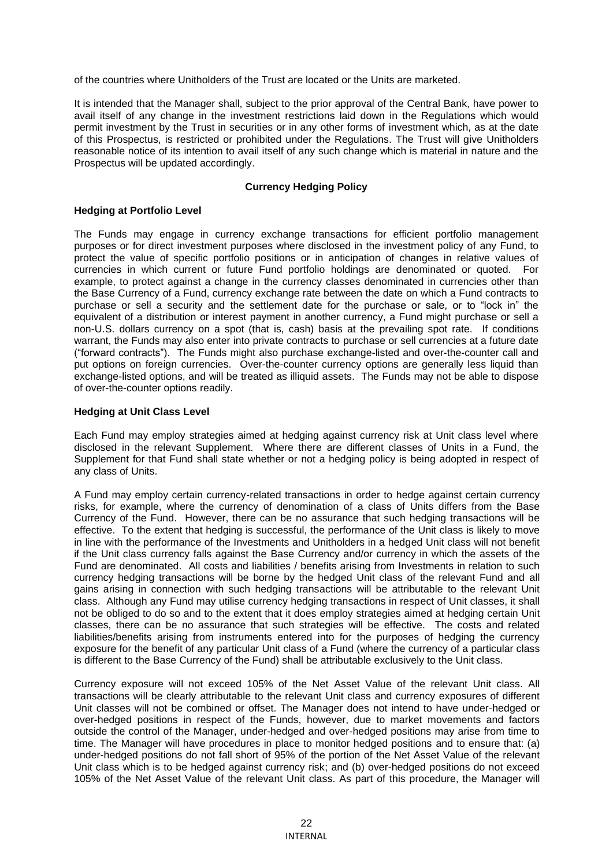of the countries where Unitholders of the Trust are located or the Units are marketed.

It is intended that the Manager shall, subject to the prior approval of the Central Bank, have power to avail itself of any change in the investment restrictions laid down in the Regulations which would permit investment by the Trust in securities or in any other forms of investment which, as at the date of this Prospectus, is restricted or prohibited under the Regulations. The Trust will give Unitholders reasonable notice of its intention to avail itself of any such change which is material in nature and the Prospectus will be updated accordingly.

## **Currency Hedging Policy**

### **Hedging at Portfolio Level**

The Funds may engage in currency exchange transactions for efficient portfolio management purposes or for direct investment purposes where disclosed in the investment policy of any Fund, to protect the value of specific portfolio positions or in anticipation of changes in relative values of currencies in which current or future Fund portfolio holdings are denominated or quoted. For example, to protect against a change in the currency classes denominated in currencies other than the Base Currency of a Fund, currency exchange rate between the date on which a Fund contracts to purchase or sell a security and the settlement date for the purchase or sale, or to "lock in" the equivalent of a distribution or interest payment in another currency, a Fund might purchase or sell a non-U.S. dollars currency on a spot (that is, cash) basis at the prevailing spot rate. If conditions warrant, the Funds may also enter into private contracts to purchase or sell currencies at a future date ("forward contracts"). The Funds might also purchase exchange-listed and over-the-counter call and put options on foreign currencies. Over-the-counter currency options are generally less liquid than exchange-listed options, and will be treated as illiquid assets. The Funds may not be able to dispose of over-the-counter options readily.

## **Hedging at Unit Class Level**

Each Fund may employ strategies aimed at hedging against currency risk at Unit class level where disclosed in the relevant Supplement. Where there are different classes of Units in a Fund, the Supplement for that Fund shall state whether or not a hedging policy is being adopted in respect of any class of Units.

A Fund may employ certain currency-related transactions in order to hedge against certain currency risks, for example, where the currency of denomination of a class of Units differs from the Base Currency of the Fund. However, there can be no assurance that such hedging transactions will be effective. To the extent that hedging is successful, the performance of the Unit class is likely to move in line with the performance of the Investments and Unitholders in a hedged Unit class will not benefit if the Unit class currency falls against the Base Currency and/or currency in which the assets of the Fund are denominated. All costs and liabilities / benefits arising from Investments in relation to such currency hedging transactions will be borne by the hedged Unit class of the relevant Fund and all gains arising in connection with such hedging transactions will be attributable to the relevant Unit class. Although any Fund may utilise currency hedging transactions in respect of Unit classes, it shall not be obliged to do so and to the extent that it does employ strategies aimed at hedging certain Unit classes, there can be no assurance that such strategies will be effective. The costs and related liabilities/benefits arising from instruments entered into for the purposes of hedging the currency exposure for the benefit of any particular Unit class of a Fund (where the currency of a particular class is different to the Base Currency of the Fund) shall be attributable exclusively to the Unit class.

Currency exposure will not exceed 105% of the Net Asset Value of the relevant Unit class. All transactions will be clearly attributable to the relevant Unit class and currency exposures of different Unit classes will not be combined or offset. The Manager does not intend to have under-hedged or over-hedged positions in respect of the Funds, however, due to market movements and factors outside the control of the Manager, under-hedged and over-hedged positions may arise from time to time. The Manager will have procedures in place to monitor hedged positions and to ensure that: (a) under-hedged positions do not fall short of 95% of the portion of the Net Asset Value of the relevant Unit class which is to be hedged against currency risk; and (b) over-hedged positions do not exceed 105% of the Net Asset Value of the relevant Unit class. As part of this procedure, the Manager will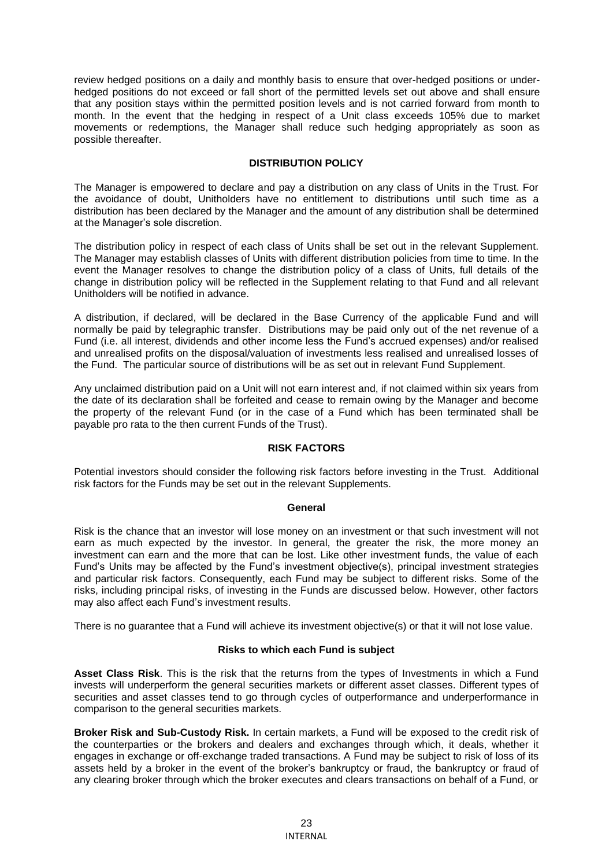review hedged positions on a daily and monthly basis to ensure that over-hedged positions or underhedged positions do not exceed or fall short of the permitted levels set out above and shall ensure that any position stays within the permitted position levels and is not carried forward from month to month. In the event that the hedging in respect of a Unit class exceeds 105% due to market movements or redemptions, the Manager shall reduce such hedging appropriately as soon as possible thereafter.

# **DISTRIBUTION POLICY**

The Manager is empowered to declare and pay a distribution on any class of Units in the Trust. For the avoidance of doubt, Unitholders have no entitlement to distributions until such time as a distribution has been declared by the Manager and the amount of any distribution shall be determined at the Manager's sole discretion.

The distribution policy in respect of each class of Units shall be set out in the relevant Supplement. The Manager may establish classes of Units with different distribution policies from time to time. In the event the Manager resolves to change the distribution policy of a class of Units, full details of the change in distribution policy will be reflected in the Supplement relating to that Fund and all relevant Unitholders will be notified in advance.

A distribution, if declared, will be declared in the Base Currency of the applicable Fund and will normally be paid by telegraphic transfer. Distributions may be paid only out of the net revenue of a Fund (i.e. all interest, dividends and other income less the Fund's accrued expenses) and/or realised and unrealised profits on the disposal/valuation of investments less realised and unrealised losses of the Fund. The particular source of distributions will be as set out in relevant Fund Supplement.

Any unclaimed distribution paid on a Unit will not earn interest and, if not claimed within six years from the date of its declaration shall be forfeited and cease to remain owing by the Manager and become the property of the relevant Fund (or in the case of a Fund which has been terminated shall be payable pro rata to the then current Funds of the Trust).

# **RISK FACTORS**

Potential investors should consider the following risk factors before investing in the Trust. Additional risk factors for the Funds may be set out in the relevant Supplements.

### **General**

Risk is the chance that an investor will lose money on an investment or that such investment will not earn as much expected by the investor. In general, the greater the risk, the more money an investment can earn and the more that can be lost. Like other investment funds, the value of each Fund's Units may be affected by the Fund's investment objective(s), principal investment strategies and particular risk factors. Consequently, each Fund may be subject to different risks. Some of the risks, including principal risks, of investing in the Funds are discussed below. However, other factors may also affect each Fund's investment results.

There is no guarantee that a Fund will achieve its investment objective(s) or that it will not lose value.

# **Risks to which each Fund is subject**

**Asset Class Risk**. This is the risk that the returns from the types of Investments in which a Fund invests will underperform the general securities markets or different asset classes. Different types of securities and asset classes tend to go through cycles of outperformance and underperformance in comparison to the general securities markets.

**Broker Risk and Sub-Custody Risk.** In certain markets, a Fund will be exposed to the credit risk of the counterparties or the brokers and dealers and exchanges through which, it deals, whether it engages in exchange or off-exchange traded transactions. A Fund may be subject to risk of loss of its assets held by a broker in the event of the broker's bankruptcy or fraud, the bankruptcy or fraud of any clearing broker through which the broker executes and clears transactions on behalf of a Fund, or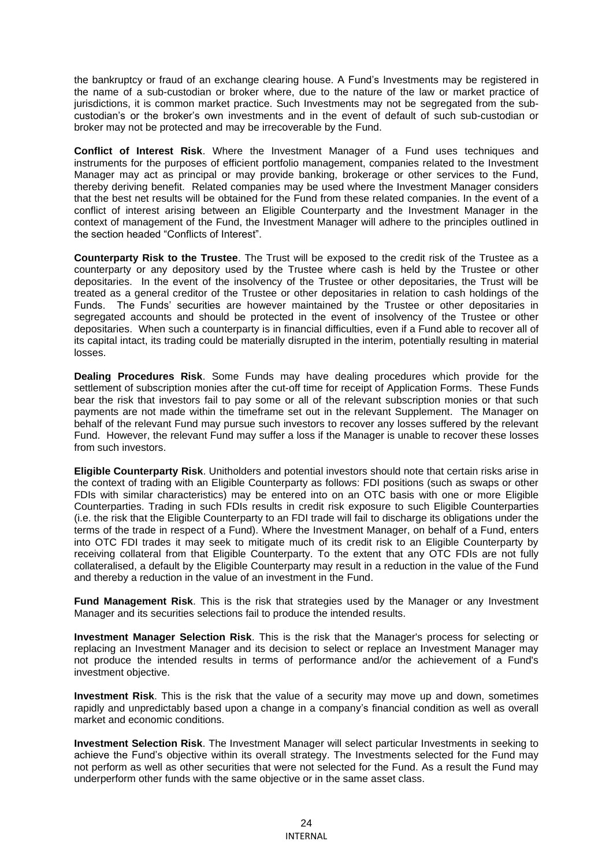the bankruptcy or fraud of an exchange clearing house. A Fund's Investments may be registered in the name of a sub-custodian or broker where, due to the nature of the law or market practice of jurisdictions, it is common market practice. Such Investments may not be segregated from the subcustodian's or the broker's own investments and in the event of default of such sub-custodian or broker may not be protected and may be irrecoverable by the Fund.

**Conflict of Interest Risk**. Where the Investment Manager of a Fund uses techniques and instruments for the purposes of efficient portfolio management, companies related to the Investment Manager may act as principal or may provide banking, brokerage or other services to the Fund, thereby deriving benefit. Related companies may be used where the Investment Manager considers that the best net results will be obtained for the Fund from these related companies. In the event of a conflict of interest arising between an Eligible Counterparty and the Investment Manager in the context of management of the Fund, the Investment Manager will adhere to the principles outlined in the section headed "Conflicts of Interest".

**Counterparty Risk to the Trustee**. The Trust will be exposed to the credit risk of the Trustee as a counterparty or any depository used by the Trustee where cash is held by the Trustee or other depositaries. In the event of the insolvency of the Trustee or other depositaries, the Trust will be treated as a general creditor of the Trustee or other depositaries in relation to cash holdings of the Funds. The Funds' securities are however maintained by the Trustee or other depositaries in segregated accounts and should be protected in the event of insolvency of the Trustee or other depositaries. When such a counterparty is in financial difficulties, even if a Fund able to recover all of its capital intact, its trading could be materially disrupted in the interim, potentially resulting in material losses.

**Dealing Procedures Risk**. Some Funds may have dealing procedures which provide for the settlement of subscription monies after the cut-off time for receipt of Application Forms. These Funds bear the risk that investors fail to pay some or all of the relevant subscription monies or that such payments are not made within the timeframe set out in the relevant Supplement. The Manager on behalf of the relevant Fund may pursue such investors to recover any losses suffered by the relevant Fund. However, the relevant Fund may suffer a loss if the Manager is unable to recover these losses from such investors.

**Eligible Counterparty Risk**. Unitholders and potential investors should note that certain risks arise in the context of trading with an Eligible Counterparty as follows: FDI positions (such as swaps or other FDIs with similar characteristics) may be entered into on an OTC basis with one or more Eligible Counterparties. Trading in such FDIs results in credit risk exposure to such Eligible Counterparties (i.e. the risk that the Eligible Counterparty to an FDI trade will fail to discharge its obligations under the terms of the trade in respect of a Fund). Where the Investment Manager, on behalf of a Fund, enters into OTC FDI trades it may seek to mitigate much of its credit risk to an Eligible Counterparty by receiving collateral from that Eligible Counterparty. To the extent that any OTC FDIs are not fully collateralised, a default by the Eligible Counterparty may result in a reduction in the value of the Fund and thereby a reduction in the value of an investment in the Fund.

**Fund Management Risk**. This is the risk that strategies used by the Manager or any Investment Manager and its securities selections fail to produce the intended results.

**Investment Manager Selection Risk**. This is the risk that the Manager's process for selecting or replacing an Investment Manager and its decision to select or replace an Investment Manager may not produce the intended results in terms of performance and/or the achievement of a Fund's investment objective.

**Investment Risk**. This is the risk that the value of a security may move up and down, sometimes rapidly and unpredictably based upon a change in a company's financial condition as well as overall market and economic conditions.

**Investment Selection Risk**. The Investment Manager will select particular Investments in seeking to achieve the Fund's objective within its overall strategy. The Investments selected for the Fund may not perform as well as other securities that were not selected for the Fund. As a result the Fund may underperform other funds with the same objective or in the same asset class.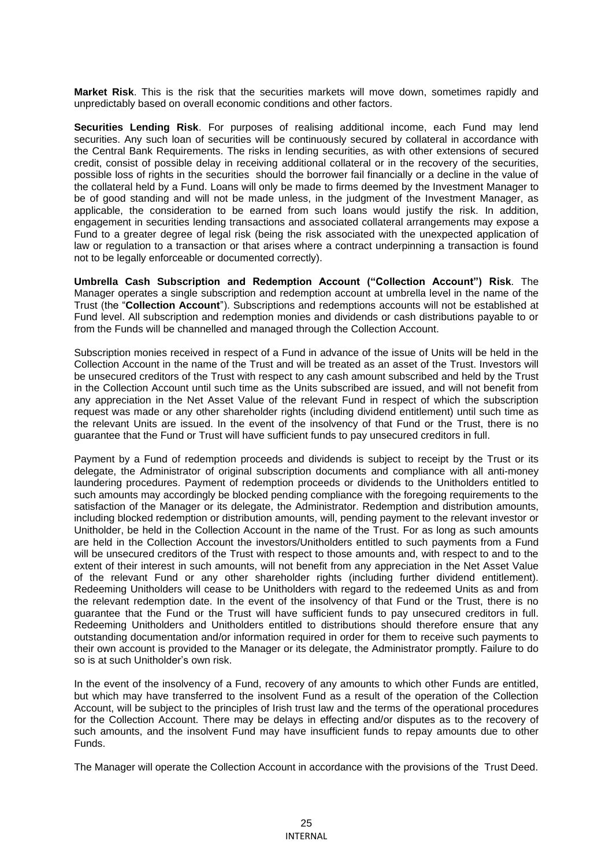**Market Risk**. This is the risk that the securities markets will move down, sometimes rapidly and unpredictably based on overall economic conditions and other factors.

**Securities Lending Risk**. For purposes of realising additional income, each Fund may lend securities. Any such loan of securities will be continuously secured by collateral in accordance with the Central Bank Requirements. The risks in lending securities, as with other extensions of secured credit, consist of possible delay in receiving additional collateral or in the recovery of the securities, possible loss of rights in the securities should the borrower fail financially or a decline in the value of the collateral held by a Fund. Loans will only be made to firms deemed by the Investment Manager to be of good standing and will not be made unless, in the judgment of the Investment Manager, as applicable, the consideration to be earned from such loans would justify the risk. In addition, engagement in securities lending transactions and associated collateral arrangements may expose a Fund to a greater degree of legal risk (being the risk associated with the unexpected application of law or regulation to a transaction or that arises where a contract underpinning a transaction is found not to be legally enforceable or documented correctly).

**Umbrella Cash Subscription and Redemption Account ("Collection Account") Risk**. The Manager operates a single subscription and redemption account at umbrella level in the name of the Trust (the "**Collection Account**"). Subscriptions and redemptions accounts will not be established at Fund level. All subscription and redemption monies and dividends or cash distributions payable to or from the Funds will be channelled and managed through the Collection Account.

Subscription monies received in respect of a Fund in advance of the issue of Units will be held in the Collection Account in the name of the Trust and will be treated as an asset of the Trust. Investors will be unsecured creditors of the Trust with respect to any cash amount subscribed and held by the Trust in the Collection Account until such time as the Units subscribed are issued, and will not benefit from any appreciation in the Net Asset Value of the relevant Fund in respect of which the subscription request was made or any other shareholder rights (including dividend entitlement) until such time as the relevant Units are issued. In the event of the insolvency of that Fund or the Trust, there is no guarantee that the Fund or Trust will have sufficient funds to pay unsecured creditors in full.

Payment by a Fund of redemption proceeds and dividends is subject to receipt by the Trust or its delegate, the Administrator of original subscription documents and compliance with all anti-money laundering procedures. Payment of redemption proceeds or dividends to the Unitholders entitled to such amounts may accordingly be blocked pending compliance with the foregoing requirements to the satisfaction of the Manager or its delegate, the Administrator. Redemption and distribution amounts, including blocked redemption or distribution amounts, will, pending payment to the relevant investor or Unitholder, be held in the Collection Account in the name of the Trust. For as long as such amounts are held in the Collection Account the investors/Unitholders entitled to such payments from a Fund will be unsecured creditors of the Trust with respect to those amounts and, with respect to and to the extent of their interest in such amounts, will not benefit from any appreciation in the Net Asset Value of the relevant Fund or any other shareholder rights (including further dividend entitlement). Redeeming Unitholders will cease to be Unitholders with regard to the redeemed Units as and from the relevant redemption date. In the event of the insolvency of that Fund or the Trust, there is no guarantee that the Fund or the Trust will have sufficient funds to pay unsecured creditors in full. Redeeming Unitholders and Unitholders entitled to distributions should therefore ensure that any outstanding documentation and/or information required in order for them to receive such payments to their own account is provided to the Manager or its delegate, the Administrator promptly. Failure to do so is at such Unitholder's own risk.

In the event of the insolvency of a Fund, recovery of any amounts to which other Funds are entitled, but which may have transferred to the insolvent Fund as a result of the operation of the Collection Account, will be subject to the principles of Irish trust law and the terms of the operational procedures for the Collection Account. There may be delays in effecting and/or disputes as to the recovery of such amounts, and the insolvent Fund may have insufficient funds to repay amounts due to other Funds.

The Manager will operate the Collection Account in accordance with the provisions of the Trust Deed.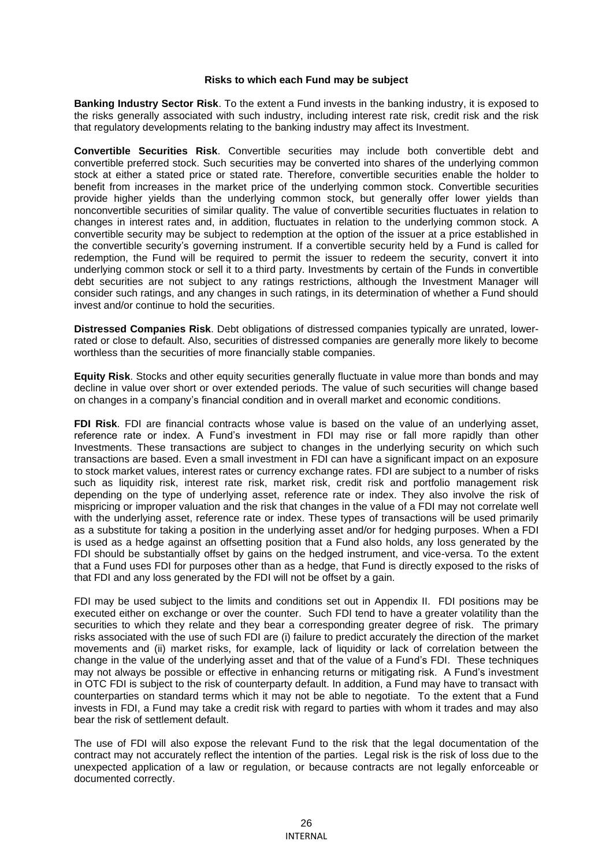#### **Risks to which each Fund may be subject**

**Banking Industry Sector Risk**. To the extent a Fund invests in the banking industry, it is exposed to the risks generally associated with such industry, including interest rate risk, credit risk and the risk that regulatory developments relating to the banking industry may affect its Investment.

**Convertible Securities Risk**. Convertible securities may include both convertible debt and convertible preferred stock. Such securities may be converted into shares of the underlying common stock at either a stated price or stated rate. Therefore, convertible securities enable the holder to benefit from increases in the market price of the underlying common stock. Convertible securities provide higher yields than the underlying common stock, but generally offer lower yields than nonconvertible securities of similar quality. The value of convertible securities fluctuates in relation to changes in interest rates and, in addition, fluctuates in relation to the underlying common stock. A convertible security may be subject to redemption at the option of the issuer at a price established in the convertible security's governing instrument. If a convertible security held by a Fund is called for redemption, the Fund will be required to permit the issuer to redeem the security, convert it into underlying common stock or sell it to a third party. Investments by certain of the Funds in convertible debt securities are not subject to any ratings restrictions, although the Investment Manager will consider such ratings, and any changes in such ratings, in its determination of whether a Fund should invest and/or continue to hold the securities.

**Distressed Companies Risk**. Debt obligations of distressed companies typically are unrated, lowerrated or close to default. Also, securities of distressed companies are generally more likely to become worthless than the securities of more financially stable companies.

**Equity Risk**. Stocks and other equity securities generally fluctuate in value more than bonds and may decline in value over short or over extended periods. The value of such securities will change based on changes in a company's financial condition and in overall market and economic conditions.

**FDI Risk**. FDI are financial contracts whose value is based on the value of an underlying asset, reference rate or index. A Fund's investment in FDI may rise or fall more rapidly than other Investments. These transactions are subject to changes in the underlying security on which such transactions are based. Even a small investment in FDI can have a significant impact on an exposure to stock market values, interest rates or currency exchange rates. FDI are subject to a number of risks such as liquidity risk, interest rate risk, market risk, credit risk and portfolio management risk depending on the type of underlying asset, reference rate or index. They also involve the risk of mispricing or improper valuation and the risk that changes in the value of a FDI may not correlate well with the underlying asset, reference rate or index. These types of transactions will be used primarily as a substitute for taking a position in the underlying asset and/or for hedging purposes. When a FDI is used as a hedge against an offsetting position that a Fund also holds, any loss generated by the FDI should be substantially offset by gains on the hedged instrument, and vice-versa. To the extent that a Fund uses FDI for purposes other than as a hedge, that Fund is directly exposed to the risks of that FDI and any loss generated by the FDI will not be offset by a gain.

FDI may be used subject to the limits and conditions set out in Appendix II. FDI positions may be executed either on exchange or over the counter. Such FDI tend to have a greater volatility than the securities to which they relate and they bear a corresponding greater degree of risk. The primary risks associated with the use of such FDI are (i) failure to predict accurately the direction of the market movements and (ii) market risks, for example, lack of liquidity or lack of correlation between the change in the value of the underlying asset and that of the value of a Fund's FDI. These techniques may not always be possible or effective in enhancing returns or mitigating risk. A Fund's investment in OTC FDI is subject to the risk of counterparty default. In addition, a Fund may have to transact with counterparties on standard terms which it may not be able to negotiate. To the extent that a Fund invests in FDI, a Fund may take a credit risk with regard to parties with whom it trades and may also bear the risk of settlement default.

The use of FDI will also expose the relevant Fund to the risk that the legal documentation of the contract may not accurately reflect the intention of the parties. Legal risk is the risk of loss due to the unexpected application of a law or regulation, or because contracts are not legally enforceable or documented correctly.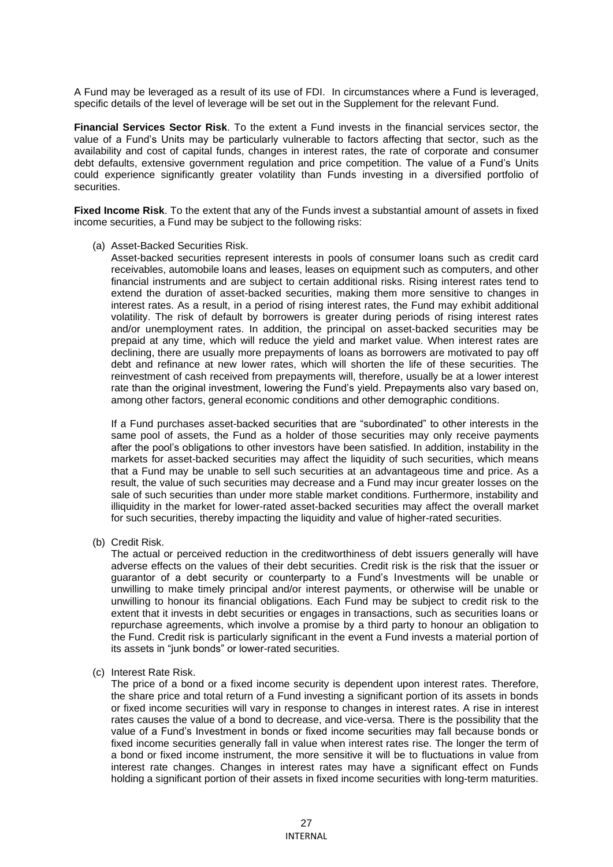A Fund may be leveraged as a result of its use of FDI. In circumstances where a Fund is leveraged, specific details of the level of leverage will be set out in the Supplement for the relevant Fund.

**Financial Services Sector Risk**. To the extent a Fund invests in the financial services sector, the value of a Fund's Units may be particularly vulnerable to factors affecting that sector, such as the availability and cost of capital funds, changes in interest rates, the rate of corporate and consumer debt defaults, extensive government regulation and price competition. The value of a Fund's Units could experience significantly greater volatility than Funds investing in a diversified portfolio of securities.

**Fixed Income Risk**. To the extent that any of the Funds invest a substantial amount of assets in fixed income securities, a Fund may be subject to the following risks:

(a) Asset-Backed Securities Risk.

Asset-backed securities represent interests in pools of consumer loans such as credit card receivables, automobile loans and leases, leases on equipment such as computers, and other financial instruments and are subject to certain additional risks. Rising interest rates tend to extend the duration of asset-backed securities, making them more sensitive to changes in interest rates. As a result, in a period of rising interest rates, the Fund may exhibit additional volatility. The risk of default by borrowers is greater during periods of rising interest rates and/or unemployment rates. In addition, the principal on asset-backed securities may be prepaid at any time, which will reduce the yield and market value. When interest rates are declining, there are usually more prepayments of loans as borrowers are motivated to pay off debt and refinance at new lower rates, which will shorten the life of these securities. The reinvestment of cash received from prepayments will, therefore, usually be at a lower interest rate than the original investment, lowering the Fund's yield. Prepayments also vary based on, among other factors, general economic conditions and other demographic conditions.

If a Fund purchases asset-backed securities that are "subordinated" to other interests in the same pool of assets, the Fund as a holder of those securities may only receive payments after the pool's obligations to other investors have been satisfied. In addition, instability in the markets for asset-backed securities may affect the liquidity of such securities, which means that a Fund may be unable to sell such securities at an advantageous time and price. As a result, the value of such securities may decrease and a Fund may incur greater losses on the sale of such securities than under more stable market conditions. Furthermore, instability and illiquidity in the market for lower-rated asset-backed securities may affect the overall market for such securities, thereby impacting the liquidity and value of higher-rated securities.

(b) Credit Risk.

The actual or perceived reduction in the creditworthiness of debt issuers generally will have adverse effects on the values of their debt securities. Credit risk is the risk that the issuer or guarantor of a debt security or counterparty to a Fund's Investments will be unable or unwilling to make timely principal and/or interest payments, or otherwise will be unable or unwilling to honour its financial obligations. Each Fund may be subject to credit risk to the extent that it invests in debt securities or engages in transactions, such as securities loans or repurchase agreements, which involve a promise by a third party to honour an obligation to the Fund. Credit risk is particularly significant in the event a Fund invests a material portion of its assets in "junk bonds" or lower-rated securities.

(c) Interest Rate Risk.

The price of a bond or a fixed income security is dependent upon interest rates. Therefore, the share price and total return of a Fund investing a significant portion of its assets in bonds or fixed income securities will vary in response to changes in interest rates. A rise in interest rates causes the value of a bond to decrease, and vice-versa. There is the possibility that the value of a Fund's Investment in bonds or fixed income securities may fall because bonds or fixed income securities generally fall in value when interest rates rise. The longer the term of a bond or fixed income instrument, the more sensitive it will be to fluctuations in value from interest rate changes. Changes in interest rates may have a significant effect on Funds holding a significant portion of their assets in fixed income securities with long-term maturities.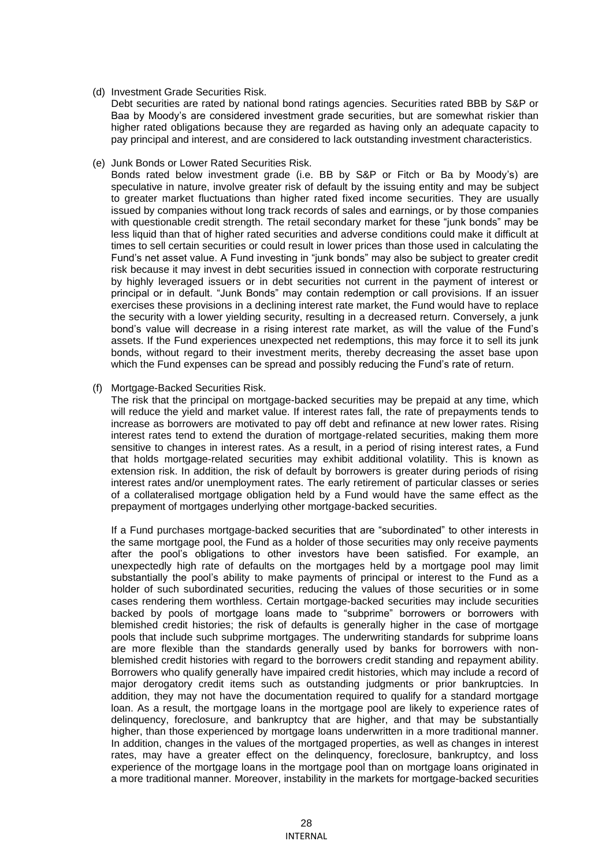### (d) Investment Grade Securities Risk.

Debt securities are rated by national bond ratings agencies. Securities rated BBB by S&P or Baa by Moody's are considered investment grade securities, but are somewhat riskier than higher rated obligations because they are regarded as having only an adequate capacity to pay principal and interest, and are considered to lack outstanding investment characteristics.

# (e) Junk Bonds or Lower Rated Securities Risk.

Bonds rated below investment grade (i.e. BB by S&P or Fitch or Ba by Moody's) are speculative in nature, involve greater risk of default by the issuing entity and may be subject to greater market fluctuations than higher rated fixed income securities. They are usually issued by companies without long track records of sales and earnings, or by those companies with questionable credit strength. The retail secondary market for these "junk bonds" may be less liquid than that of higher rated securities and adverse conditions could make it difficult at times to sell certain securities or could result in lower prices than those used in calculating the Fund's net asset value. A Fund investing in "junk bonds" may also be subject to greater credit risk because it may invest in debt securities issued in connection with corporate restructuring by highly leveraged issuers or in debt securities not current in the payment of interest or principal or in default. "Junk Bonds" may contain redemption or call provisions. If an issuer exercises these provisions in a declining interest rate market, the Fund would have to replace the security with a lower yielding security, resulting in a decreased return. Conversely, a junk bond's value will decrease in a rising interest rate market, as will the value of the Fund's assets. If the Fund experiences unexpected net redemptions, this may force it to sell its junk bonds, without regard to their investment merits, thereby decreasing the asset base upon which the Fund expenses can be spread and possibly reducing the Fund's rate of return.

(f) Mortgage-Backed Securities Risk.

The risk that the principal on mortgage-backed securities may be prepaid at any time, which will reduce the yield and market value. If interest rates fall, the rate of prepayments tends to increase as borrowers are motivated to pay off debt and refinance at new lower rates. Rising interest rates tend to extend the duration of mortgage-related securities, making them more sensitive to changes in interest rates. As a result, in a period of rising interest rates, a Fund that holds mortgage-related securities may exhibit additional volatility. This is known as extension risk. In addition, the risk of default by borrowers is greater during periods of rising interest rates and/or unemployment rates. The early retirement of particular classes or series of a collateralised mortgage obligation held by a Fund would have the same effect as the prepayment of mortgages underlying other mortgage-backed securities.

If a Fund purchases mortgage-backed securities that are "subordinated" to other interests in the same mortgage pool, the Fund as a holder of those securities may only receive payments after the pool's obligations to other investors have been satisfied. For example, an unexpectedly high rate of defaults on the mortgages held by a mortgage pool may limit substantially the pool's ability to make payments of principal or interest to the Fund as a holder of such subordinated securities, reducing the values of those securities or in some cases rendering them worthless. Certain mortgage-backed securities may include securities backed by pools of mortgage loans made to "subprime" borrowers or borrowers with blemished credit histories; the risk of defaults is generally higher in the case of mortgage pools that include such subprime mortgages. The underwriting standards for subprime loans are more flexible than the standards generally used by banks for borrowers with nonblemished credit histories with regard to the borrowers credit standing and repayment ability. Borrowers who qualify generally have impaired credit histories, which may include a record of major derogatory credit items such as outstanding judgments or prior bankruptcies. In addition, they may not have the documentation required to qualify for a standard mortgage loan. As a result, the mortgage loans in the mortgage pool are likely to experience rates of delinquency, foreclosure, and bankruptcy that are higher, and that may be substantially higher, than those experienced by mortgage loans underwritten in a more traditional manner. In addition, changes in the values of the mortgaged properties, as well as changes in interest rates, may have a greater effect on the delinquency, foreclosure, bankruptcy, and loss experience of the mortgage loans in the mortgage pool than on mortgage loans originated in a more traditional manner. Moreover, instability in the markets for mortgage-backed securities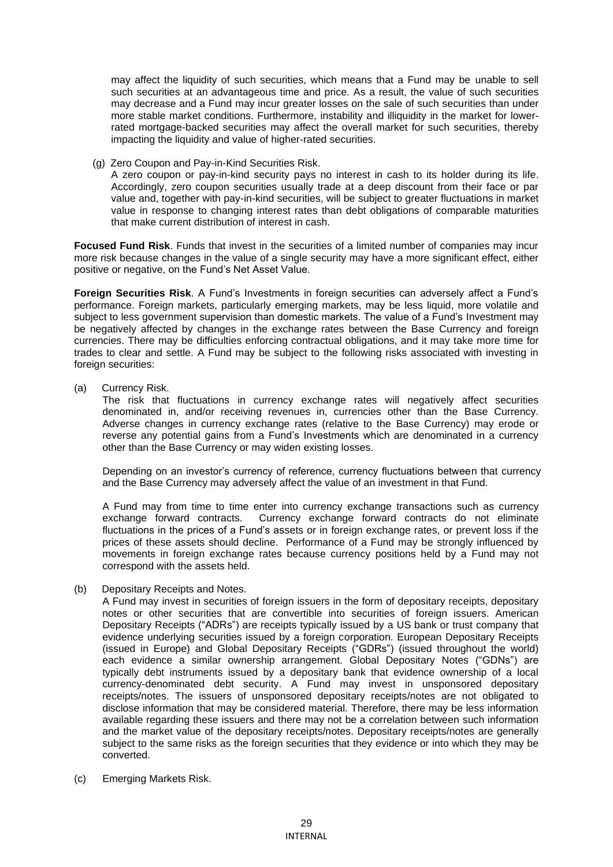may affect the liquidity of such securities, which means that a Fund may be unable to sell such securities at an advantageous time and price. As a result, the value of such securities may decrease and a Fund may incur greater losses on the sale of such securities than under more stable market conditions. Furthermore, instability and illiquidity in the market for lowerrated mortgage-backed securities may affect the overall market for such securities, thereby impacting the liquidity and value of higher-rated securities.

(g) Zero Coupon and Pay-in-Kind Securities Risk.

A zero coupon or pay-in-kind security pays no interest in cash to its holder during its life. Accordingly, zero coupon securities usually trade at a deep discount from their face or par value and, together with pay-in-kind securities, will be subject to greater fluctuations in market value in response to changing interest rates than debt obligations of comparable maturities that make current distribution of interest in cash.

**Focused Fund Risk**. Funds that invest in the securities of a limited number of companies may incur more risk because changes in the value of a single security may have a more significant effect, either positive or negative, on the Fund's Net Asset Value.

**Foreign Securities Risk**. A Fund's Investments in foreign securities can adversely affect a Fund's performance. Foreign markets, particularly emerging markets, may be less liquid, more volatile and subject to less government supervision than domestic markets. The value of a Fund's Investment may be negatively affected by changes in the exchange rates between the Base Currency and foreign currencies. There may be difficulties enforcing contractual obligations, and it may take more time for trades to clear and settle. A Fund may be subject to the following risks associated with investing in foreign securities:

(a) Currency Risk.

The risk that fluctuations in currency exchange rates will negatively affect securities denominated in, and/or receiving revenues in, currencies other than the Base Currency. Adverse changes in currency exchange rates (relative to the Base Currency) may erode or reverse any potential gains from a Fund's Investments which are denominated in a currency other than the Base Currency or may widen existing losses.

Depending on an investor's currency of reference, currency fluctuations between that currency and the Base Currency may adversely affect the value of an investment in that Fund.

A Fund may from time to time enter into currency exchange transactions such as currency exchange forward contracts. Currency exchange forward contracts do not eliminate fluctuations in the prices of a Fund's assets or in foreign exchange rates, or prevent loss if the prices of these assets should decline. Performance of a Fund may be strongly influenced by movements in foreign exchange rates because currency positions held by a Fund may not correspond with the assets held.

(b) Depositary Receipts and Notes.

A Fund may invest in securities of foreign issuers in the form of depositary receipts, depositary notes or other securities that are convertible into securities of foreign issuers. American Depositary Receipts ("ADRs") are receipts typically issued by a US bank or trust company that evidence underlying securities issued by a foreign corporation. European Depositary Receipts (issued in Europe) and Global Depositary Receipts ("GDRs") (issued throughout the world) each evidence a similar ownership arrangement. Global Depositary Notes ("GDNs") are typically debt instruments issued by a depositary bank that evidence ownership of a local currency-denominated debt security. A Fund may invest in unsponsored depositary receipts/notes. The issuers of unsponsored depositary receipts/notes are not obligated to disclose information that may be considered material. Therefore, there may be less information available regarding these issuers and there may not be a correlation between such information and the market value of the depositary receipts/notes. Depositary receipts/notes are generally subject to the same risks as the foreign securities that they evidence or into which they may be converted.

(c) Emerging Markets Risk.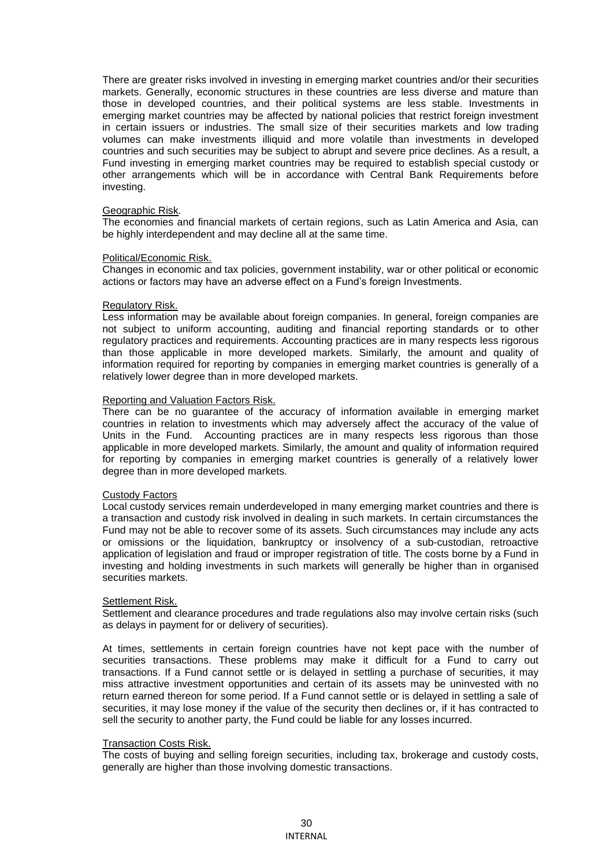There are greater risks involved in investing in emerging market countries and/or their securities markets. Generally, economic structures in these countries are less diverse and mature than those in developed countries, and their political systems are less stable. Investments in emerging market countries may be affected by national policies that restrict foreign investment in certain issuers or industries. The small size of their securities markets and low trading volumes can make investments illiquid and more volatile than investments in developed countries and such securities may be subject to abrupt and severe price declines. As a result, a Fund investing in emerging market countries may be required to establish special custody or other arrangements which will be in accordance with Central Bank Requirements before investing.

#### Geographic Risk.

The economies and financial markets of certain regions, such as Latin America and Asia, can be highly interdependent and may decline all at the same time.

#### Political/Economic Risk.

Changes in economic and tax policies, government instability, war or other political or economic actions or factors may have an adverse effect on a Fund's foreign Investments.

#### Regulatory Risk.

Less information may be available about foreign companies. In general, foreign companies are not subject to uniform accounting, auditing and financial reporting standards or to other regulatory practices and requirements. Accounting practices are in many respects less rigorous than those applicable in more developed markets. Similarly, the amount and quality of information required for reporting by companies in emerging market countries is generally of a relatively lower degree than in more developed markets.

### Reporting and Valuation Factors Risk.

There can be no guarantee of the accuracy of information available in emerging market countries in relation to investments which may adversely affect the accuracy of the value of Units in the Fund. Accounting practices are in many respects less rigorous than those applicable in more developed markets. Similarly, the amount and quality of information required for reporting by companies in emerging market countries is generally of a relatively lower degree than in more developed markets.

#### Custody Factors

Local custody services remain underdeveloped in many emerging market countries and there is a transaction and custody risk involved in dealing in such markets. In certain circumstances the Fund may not be able to recover some of its assets. Such circumstances may include any acts or omissions or the liquidation, bankruptcy or insolvency of a sub-custodian, retroactive application of legislation and fraud or improper registration of title. The costs borne by a Fund in investing and holding investments in such markets will generally be higher than in organised securities markets.

#### Settlement Risk.

Settlement and clearance procedures and trade regulations also may involve certain risks (such as delays in payment for or delivery of securities).

At times, settlements in certain foreign countries have not kept pace with the number of securities transactions. These problems may make it difficult for a Fund to carry out transactions. If a Fund cannot settle or is delayed in settling a purchase of securities, it may miss attractive investment opportunities and certain of its assets may be uninvested with no return earned thereon for some period. If a Fund cannot settle or is delayed in settling a sale of securities, it may lose money if the value of the security then declines or, if it has contracted to sell the security to another party, the Fund could be liable for any losses incurred.

### Transaction Costs Risk.

The costs of buying and selling foreign securities, including tax, brokerage and custody costs, generally are higher than those involving domestic transactions.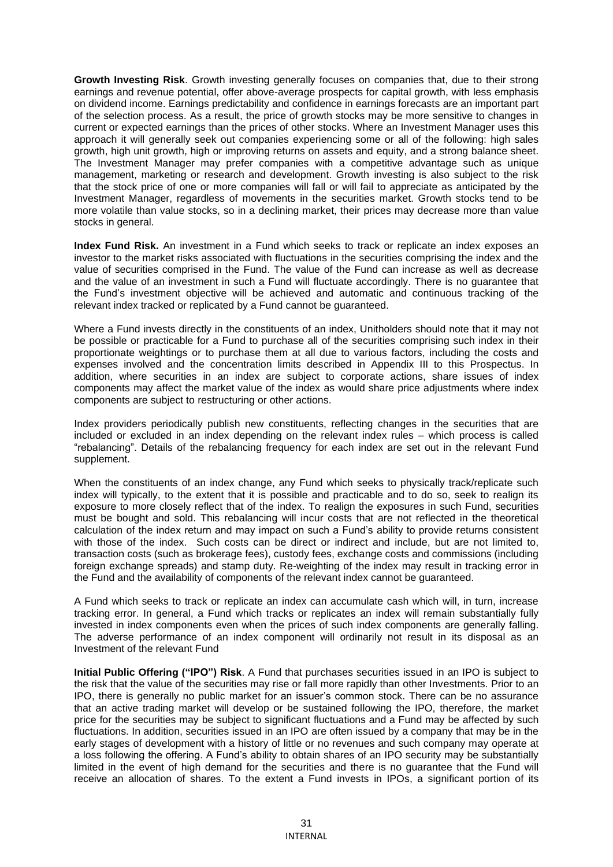**Growth Investing Risk**. Growth investing generally focuses on companies that, due to their strong earnings and revenue potential, offer above-average prospects for capital growth, with less emphasis on dividend income. Earnings predictability and confidence in earnings forecasts are an important part of the selection process. As a result, the price of growth stocks may be more sensitive to changes in current or expected earnings than the prices of other stocks. Where an Investment Manager uses this approach it will generally seek out companies experiencing some or all of the following: high sales growth, high unit growth, high or improving returns on assets and equity, and a strong balance sheet. The Investment Manager may prefer companies with a competitive advantage such as unique management, marketing or research and development. Growth investing is also subject to the risk that the stock price of one or more companies will fall or will fail to appreciate as anticipated by the Investment Manager, regardless of movements in the securities market. Growth stocks tend to be more volatile than value stocks, so in a declining market, their prices may decrease more than value stocks in general.

**Index Fund Risk.** An investment in a Fund which seeks to track or replicate an index exposes an investor to the market risks associated with fluctuations in the securities comprising the index and the value of securities comprised in the Fund. The value of the Fund can increase as well as decrease and the value of an investment in such a Fund will fluctuate accordingly. There is no guarantee that the Fund's investment objective will be achieved and automatic and continuous tracking of the relevant index tracked or replicated by a Fund cannot be guaranteed.

Where a Fund invests directly in the constituents of an index, Unitholders should note that it may not be possible or practicable for a Fund to purchase all of the securities comprising such index in their proportionate weightings or to purchase them at all due to various factors, including the costs and expenses involved and the concentration limits described in Appendix III to this Prospectus. In addition, where securities in an index are subject to corporate actions, share issues of index components may affect the market value of the index as would share price adjustments where index components are subject to restructuring or other actions.

Index providers periodically publish new constituents, reflecting changes in the securities that are included or excluded in an index depending on the relevant index rules – which process is called "rebalancing". Details of the rebalancing frequency for each index are set out in the relevant Fund supplement.

When the constituents of an index change, any Fund which seeks to physically track/replicate such index will typically, to the extent that it is possible and practicable and to do so, seek to realign its exposure to more closely reflect that of the index. To realign the exposures in such Fund, securities must be bought and sold. This rebalancing will incur costs that are not reflected in the theoretical calculation of the index return and may impact on such a Fund's ability to provide returns consistent with those of the index. Such costs can be direct or indirect and include, but are not limited to, transaction costs (such as brokerage fees), custody fees, exchange costs and commissions (including foreign exchange spreads) and stamp duty. Re-weighting of the index may result in tracking error in the Fund and the availability of components of the relevant index cannot be guaranteed.

A Fund which seeks to track or replicate an index can accumulate cash which will, in turn, increase tracking error. In general, a Fund which tracks or replicates an index will remain substantially fully invested in index components even when the prices of such index components are generally falling. The adverse performance of an index component will ordinarily not result in its disposal as an Investment of the relevant Fund

**Initial Public Offering ("IPO") Risk**. A Fund that purchases securities issued in an IPO is subject to the risk that the value of the securities may rise or fall more rapidly than other Investments. Prior to an IPO, there is generally no public market for an issuer's common stock. There can be no assurance that an active trading market will develop or be sustained following the IPO, therefore, the market price for the securities may be subject to significant fluctuations and a Fund may be affected by such fluctuations. In addition, securities issued in an IPO are often issued by a company that may be in the early stages of development with a history of little or no revenues and such company may operate at a loss following the offering. A Fund's ability to obtain shares of an IPO security may be substantially limited in the event of high demand for the securities and there is no guarantee that the Fund will receive an allocation of shares. To the extent a Fund invests in IPOs, a significant portion of its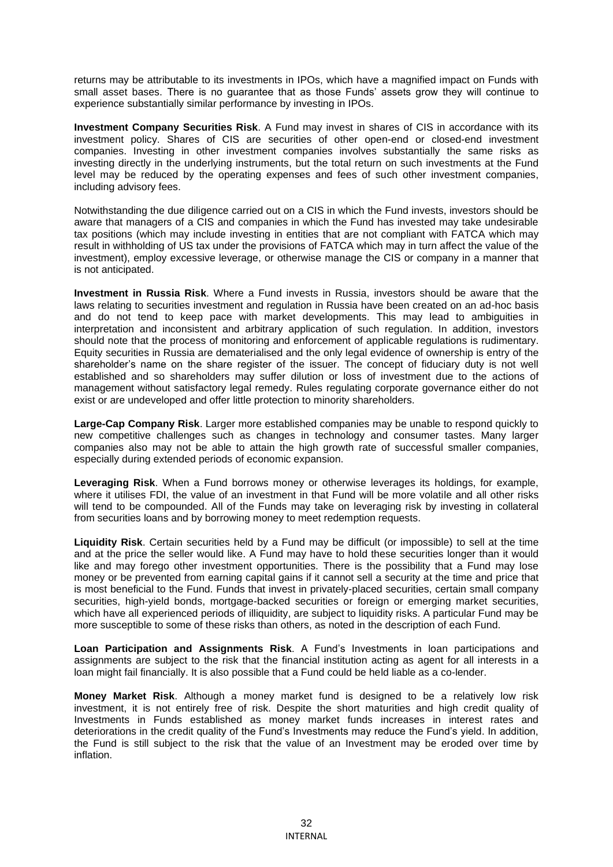returns may be attributable to its investments in IPOs, which have a magnified impact on Funds with small asset bases. There is no guarantee that as those Funds' assets grow they will continue to experience substantially similar performance by investing in IPOs.

**Investment Company Securities Risk**. A Fund may invest in shares of CIS in accordance with its investment policy. Shares of CIS are securities of other open-end or closed-end investment companies. Investing in other investment companies involves substantially the same risks as investing directly in the underlying instruments, but the total return on such investments at the Fund level may be reduced by the operating expenses and fees of such other investment companies, including advisory fees.

Notwithstanding the due diligence carried out on a CIS in which the Fund invests, investors should be aware that managers of a CIS and companies in which the Fund has invested may take undesirable tax positions (which may include investing in entities that are not compliant with FATCA which may result in withholding of US tax under the provisions of FATCA which may in turn affect the value of the investment), employ excessive leverage, or otherwise manage the CIS or company in a manner that is not anticipated.

**Investment in Russia Risk**. Where a Fund invests in Russia, investors should be aware that the laws relating to securities investment and regulation in Russia have been created on an ad-hoc basis and do not tend to keep pace with market developments. This may lead to ambiguities in interpretation and inconsistent and arbitrary application of such regulation. In addition, investors should note that the process of monitoring and enforcement of applicable regulations is rudimentary. Equity securities in Russia are dematerialised and the only legal evidence of ownership is entry of the shareholder's name on the share register of the issuer. The concept of fiduciary duty is not well established and so shareholders may suffer dilution or loss of investment due to the actions of management without satisfactory legal remedy. Rules regulating corporate governance either do not exist or are undeveloped and offer little protection to minority shareholders.

**Large-Cap Company Risk**. Larger more established companies may be unable to respond quickly to new competitive challenges such as changes in technology and consumer tastes. Many larger companies also may not be able to attain the high growth rate of successful smaller companies, especially during extended periods of economic expansion.

**Leveraging Risk**. When a Fund borrows money or otherwise leverages its holdings, for example, where it utilises FDI, the value of an investment in that Fund will be more volatile and all other risks will tend to be compounded. All of the Funds may take on leveraging risk by investing in collateral from securities loans and by borrowing money to meet redemption requests.

**Liquidity Risk**. Certain securities held by a Fund may be difficult (or impossible) to sell at the time and at the price the seller would like. A Fund may have to hold these securities longer than it would like and may forego other investment opportunities. There is the possibility that a Fund may lose money or be prevented from earning capital gains if it cannot sell a security at the time and price that is most beneficial to the Fund. Funds that invest in privately-placed securities, certain small company securities, high-yield bonds, mortgage-backed securities or foreign or emerging market securities, which have all experienced periods of illiquidity, are subject to liquidity risks. A particular Fund may be more susceptible to some of these risks than others, as noted in the description of each Fund.

**Loan Participation and Assignments Risk**. A Fund's Investments in loan participations and assignments are subject to the risk that the financial institution acting as agent for all interests in a loan might fail financially. It is also possible that a Fund could be held liable as a co-lender.

**Money Market Risk**. Although a money market fund is designed to be a relatively low risk investment, it is not entirely free of risk. Despite the short maturities and high credit quality of Investments in Funds established as money market funds increases in interest rates and deteriorations in the credit quality of the Fund's Investments may reduce the Fund's yield. In addition, the Fund is still subject to the risk that the value of an Investment may be eroded over time by inflation.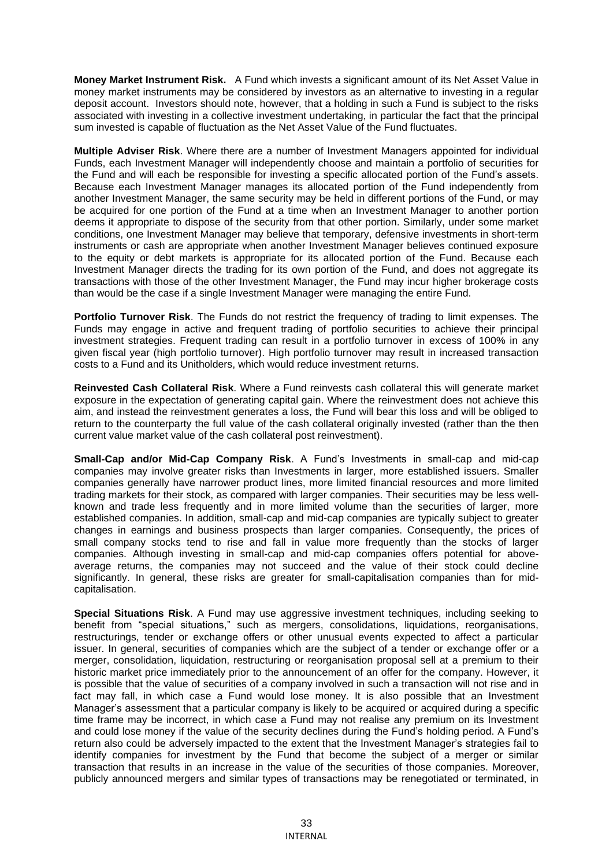**Money Market Instrument Risk.** A Fund which invests a significant amount of its Net Asset Value in money market instruments may be considered by investors as an alternative to investing in a regular deposit account. Investors should note, however, that a holding in such a Fund is subject to the risks associated with investing in a collective investment undertaking, in particular the fact that the principal sum invested is capable of fluctuation as the Net Asset Value of the Fund fluctuates.

**Multiple Adviser Risk**. Where there are a number of Investment Managers appointed for individual Funds, each Investment Manager will independently choose and maintain a portfolio of securities for the Fund and will each be responsible for investing a specific allocated portion of the Fund's assets. Because each Investment Manager manages its allocated portion of the Fund independently from another Investment Manager, the same security may be held in different portions of the Fund, or may be acquired for one portion of the Fund at a time when an Investment Manager to another portion deems it appropriate to dispose of the security from that other portion. Similarly, under some market conditions, one Investment Manager may believe that temporary, defensive investments in short-term instruments or cash are appropriate when another Investment Manager believes continued exposure to the equity or debt markets is appropriate for its allocated portion of the Fund. Because each Investment Manager directs the trading for its own portion of the Fund, and does not aggregate its transactions with those of the other Investment Manager, the Fund may incur higher brokerage costs than would be the case if a single Investment Manager were managing the entire Fund.

**Portfolio Turnover Risk**. The Funds do not restrict the frequency of trading to limit expenses. The Funds may engage in active and frequent trading of portfolio securities to achieve their principal investment strategies. Frequent trading can result in a portfolio turnover in excess of 100% in any given fiscal year (high portfolio turnover). High portfolio turnover may result in increased transaction costs to a Fund and its Unitholders, which would reduce investment returns.

**Reinvested Cash Collateral Risk**. Where a Fund reinvests cash collateral this will generate market exposure in the expectation of generating capital gain. Where the reinvestment does not achieve this aim, and instead the reinvestment generates a loss, the Fund will bear this loss and will be obliged to return to the counterparty the full value of the cash collateral originally invested (rather than the then current value market value of the cash collateral post reinvestment).

**Small-Cap and/or Mid-Cap Company Risk**. A Fund's Investments in small-cap and mid-cap companies may involve greater risks than Investments in larger, more established issuers. Smaller companies generally have narrower product lines, more limited financial resources and more limited trading markets for their stock, as compared with larger companies. Their securities may be less wellknown and trade less frequently and in more limited volume than the securities of larger, more established companies. In addition, small-cap and mid-cap companies are typically subject to greater changes in earnings and business prospects than larger companies. Consequently, the prices of small company stocks tend to rise and fall in value more frequently than the stocks of larger companies. Although investing in small-cap and mid-cap companies offers potential for aboveaverage returns, the companies may not succeed and the value of their stock could decline significantly. In general, these risks are greater for small-capitalisation companies than for midcapitalisation.

**Special Situations Risk**. A Fund may use aggressive investment techniques, including seeking to benefit from "special situations," such as mergers, consolidations, liquidations, reorganisations, restructurings, tender or exchange offers or other unusual events expected to affect a particular issuer. In general, securities of companies which are the subject of a tender or exchange offer or a merger, consolidation, liquidation, restructuring or reorganisation proposal sell at a premium to their historic market price immediately prior to the announcement of an offer for the company. However, it is possible that the value of securities of a company involved in such a transaction will not rise and in fact may fall, in which case a Fund would lose money. It is also possible that an Investment Manager's assessment that a particular company is likely to be acquired or acquired during a specific time frame may be incorrect, in which case a Fund may not realise any premium on its Investment and could lose money if the value of the security declines during the Fund's holding period. A Fund's return also could be adversely impacted to the extent that the Investment Manager's strategies fail to identify companies for investment by the Fund that become the subject of a merger or similar transaction that results in an increase in the value of the securities of those companies. Moreover, publicly announced mergers and similar types of transactions may be renegotiated or terminated, in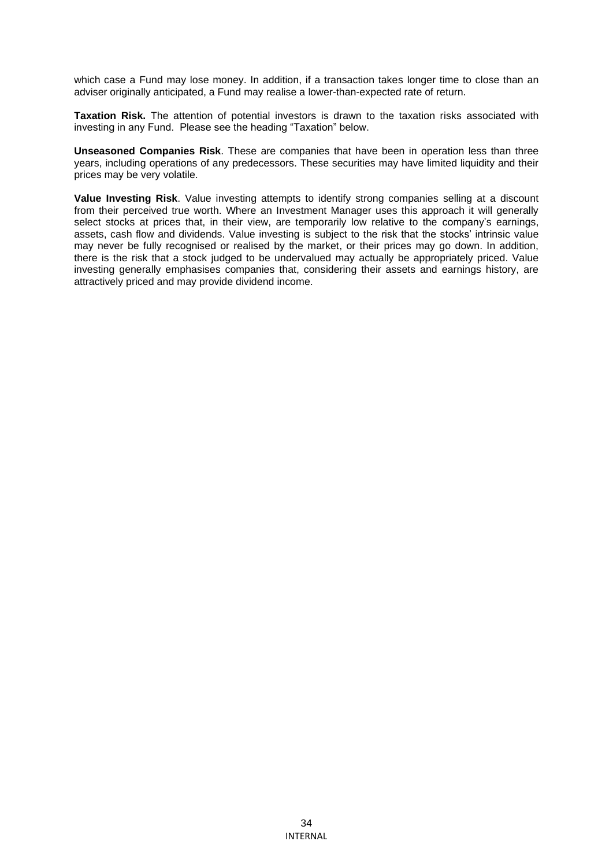which case a Fund may lose money. In addition, if a transaction takes longer time to close than an adviser originally anticipated, a Fund may realise a lower-than-expected rate of return.

**Taxation Risk.** The attention of potential investors is drawn to the taxation risks associated with investing in any Fund. Please see the heading "Taxation" below.

**Unseasoned Companies Risk**. These are companies that have been in operation less than three years, including operations of any predecessors. These securities may have limited liquidity and their prices may be very volatile.

**Value Investing Risk**. Value investing attempts to identify strong companies selling at a discount from their perceived true worth. Where an Investment Manager uses this approach it will generally select stocks at prices that, in their view, are temporarily low relative to the company's earnings, assets, cash flow and dividends. Value investing is subject to the risk that the stocks' intrinsic value may never be fully recognised or realised by the market, or their prices may go down. In addition, there is the risk that a stock judged to be undervalued may actually be appropriately priced. Value investing generally emphasises companies that, considering their assets and earnings history, are attractively priced and may provide dividend income.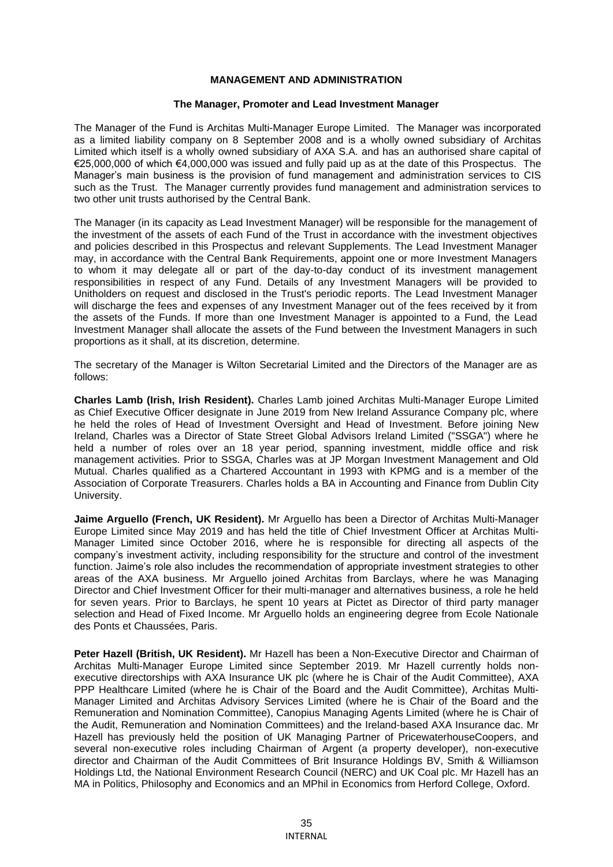### **MANAGEMENT AND ADMINISTRATION**

### **The Manager, Promoter and Lead Investment Manager**

The Manager of the Fund is Architas Multi-Manager Europe Limited. The Manager was incorporated as a limited liability company on 8 September 2008 and is a wholly owned subsidiary of Architas Limited which itself is a wholly owned subsidiary of AXA S.A. and has an authorised share capital of €25,000,000 of which €4,000,000 was issued and fully paid up as at the date of this Prospectus. The Manager's main business is the provision of fund management and administration services to CIS such as the Trust. The Manager currently provides fund management and administration services to two other unit trusts authorised by the Central Bank.

The Manager (in its capacity as Lead Investment Manager) will be responsible for the management of the investment of the assets of each Fund of the Trust in accordance with the investment objectives and policies described in this Prospectus and relevant Supplements. The Lead Investment Manager may, in accordance with the Central Bank Requirements, appoint one or more Investment Managers to whom it may delegate all or part of the day-to-day conduct of its investment management responsibilities in respect of any Fund. Details of any Investment Managers will be provided to Unitholders on request and disclosed in the Trust's periodic reports. The Lead Investment Manager will discharge the fees and expenses of any Investment Manager out of the fees received by it from the assets of the Funds. If more than one Investment Manager is appointed to a Fund, the Lead Investment Manager shall allocate the assets of the Fund between the Investment Managers in such proportions as it shall, at its discretion, determine.

The secretary of the Manager is Wilton Secretarial Limited and the Directors of the Manager are as follows:

**Charles Lamb (Irish, Irish Resident).** Charles Lamb joined Architas Multi-Manager Europe Limited as Chief Executive Officer designate in June 2019 from New Ireland Assurance Company plc, where he held the roles of Head of Investment Oversight and Head of Investment. Before joining New Ireland, Charles was a Director of State Street Global Advisors Ireland Limited ("SSGA") where he held a number of roles over an 18 year period, spanning investment, middle office and risk management activities. Prior to SSGA, Charles was at JP Morgan Investment Management and Old Mutual. Charles qualified as a Chartered Accountant in 1993 with KPMG and is a member of the Association of Corporate Treasurers. Charles holds a BA in Accounting and Finance from Dublin City University.

**Jaime Arguello (French, UK Resident).** Mr Arguello has been a Director of Architas Multi-Manager Europe Limited since May 2019 and has held the title of Chief Investment Officer at Architas Multi-Manager Limited since October 2016, where he is responsible for directing all aspects of the company's investment activity, including responsibility for the structure and control of the investment function. Jaime's role also includes the recommendation of appropriate investment strategies to other areas of the AXA business. Mr Arguello joined Architas from Barclays, where he was Managing Director and Chief Investment Officer for their multi-manager and alternatives business, a role he held for seven years. Prior to Barclays, he spent 10 years at Pictet as Director of third party manager selection and Head of Fixed Income. Mr Arguello holds an engineering degree from Ecole Nationale des Ponts et Chaussées, Paris.

**Peter Hazell (British, UK Resident).** Mr Hazell has been a Non-Executive Director and Chairman of Architas Multi-Manager Europe Limited since September 2019. Mr Hazell currently holds nonexecutive directorships with AXA Insurance UK plc (where he is Chair of the Audit Committee), AXA PPP Healthcare Limited (where he is Chair of the Board and the Audit Committee), Architas Multi-Manager Limited and Architas Advisory Services Limited (where he is Chair of the Board and the Remuneration and Nomination Committee), Canopius Managing Agents Limited (where he is Chair of the Audit, Remuneration and Nomination Committees) and the Ireland-based AXA Insurance dac. Mr Hazell has previously held the position of UK Managing Partner of PricewaterhouseCoopers, and several non-executive roles including Chairman of Argent (a property developer), non-executive director and Chairman of the Audit Committees of Brit Insurance Holdings BV, Smith & Williamson Holdings Ltd, the National Environment Research Council (NERC) and UK Coal plc. Mr Hazell has an MA in Politics, Philosophy and Economics and an MPhil in Economics from Herford College, Oxford.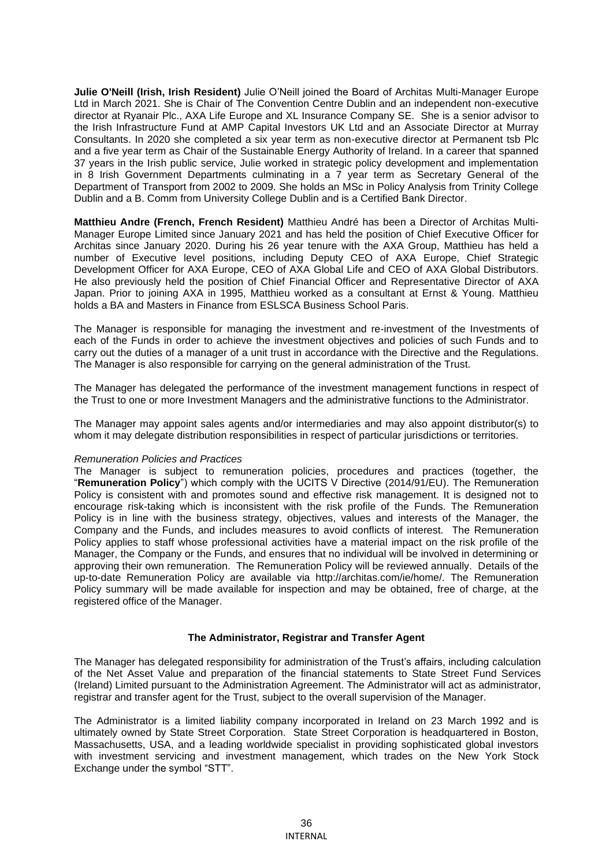**Julie O'Neill (Irish, Irish Resident)** Julie O'Neill joined the Board of Architas Multi-Manager Europe Ltd in March 2021. She is Chair of The Convention Centre Dublin and an independent non-executive director at Ryanair Plc., AXA Life Europe and XL Insurance Company SE. She is a senior advisor to the Irish Infrastructure Fund at AMP Capital Investors UK Ltd and an Associate Director at Murray Consultants. In 2020 she completed a six year term as non-executive director at Permanent tsb Plc and a five year term as Chair of the Sustainable Energy Authority of Ireland. In a career that spanned 37 years in the Irish public service, Julie worked in strategic policy development and implementation in 8 Irish Government Departments culminating in a 7 year term as Secretary General of the Department of Transport from 2002 to 2009. She holds an MSc in Policy Analysis from Trinity College Dublin and a B. Comm from University College Dublin and is a Certified Bank Director.

**Matthieu Andre (French, French Resident)** Matthieu André has been a Director of Architas Multi-Manager Europe Limited since January 2021 and has held the position of Chief Executive Officer for Architas since January 2020. During his 26 year tenure with the AXA Group, Matthieu has held a number of Executive level positions, including Deputy CEO of AXA Europe, Chief Strategic Development Officer for AXA Europe, CEO of AXA Global Life and CEO of AXA Global Distributors. He also previously held the position of Chief Financial Officer and Representative Director of AXA Japan. Prior to joining AXA in 1995, Matthieu worked as a consultant at Ernst & Young. Matthieu holds a BA and Masters in Finance from ESLSCA Business School Paris.

The Manager is responsible for managing the investment and re-investment of the Investments of each of the Funds in order to achieve the investment objectives and policies of such Funds and to carry out the duties of a manager of a unit trust in accordance with the Directive and the Regulations. The Manager is also responsible for carrying on the general administration of the Trust.

The Manager has delegated the performance of the investment management functions in respect of the Trust to one or more Investment Managers and the administrative functions to the Administrator.

The Manager may appoint sales agents and/or intermediaries and may also appoint distributor(s) to whom it may delegate distribution responsibilities in respect of particular jurisdictions or territories.

### *Remuneration Policies and Practices*

The Manager is subject to remuneration policies, procedures and practices (together, the "**Remuneration Policy**") which comply with the UCITS V Directive (2014/91/EU). The Remuneration Policy is consistent with and promotes sound and effective risk management. It is designed not to encourage risk-taking which is inconsistent with the risk profile of the Funds. The Remuneration Policy is in line with the business strategy, objectives, values and interests of the Manager, the Company and the Funds, and includes measures to avoid conflicts of interest. The Remuneration Policy applies to staff whose professional activities have a material impact on the risk profile of the Manager, the Company or the Funds, and ensures that no individual will be involved in determining or approving their own remuneration. The Remuneration Policy will be reviewed annually. Details of the up-to-date Remuneration Policy are available via http://architas.com/ie/home/. The Remuneration Policy summary will be made available for inspection and may be obtained, free of charge, at the registered office of the Manager.

### **The Administrator, Registrar and Transfer Agent**

The Manager has delegated responsibility for administration of the Trust's affairs, including calculation of the Net Asset Value and preparation of the financial statements to State Street Fund Services (Ireland) Limited pursuant to the Administration Agreement. The Administrator will act as administrator, registrar and transfer agent for the Trust, subject to the overall supervision of the Manager.

The Administrator is a limited liability company incorporated in Ireland on 23 March 1992 and is ultimately owned by State Street Corporation. State Street Corporation is headquartered in Boston, Massachusetts, USA, and a leading worldwide specialist in providing sophisticated global investors with investment servicing and investment management, which trades on the New York Stock Exchange under the symbol "STT".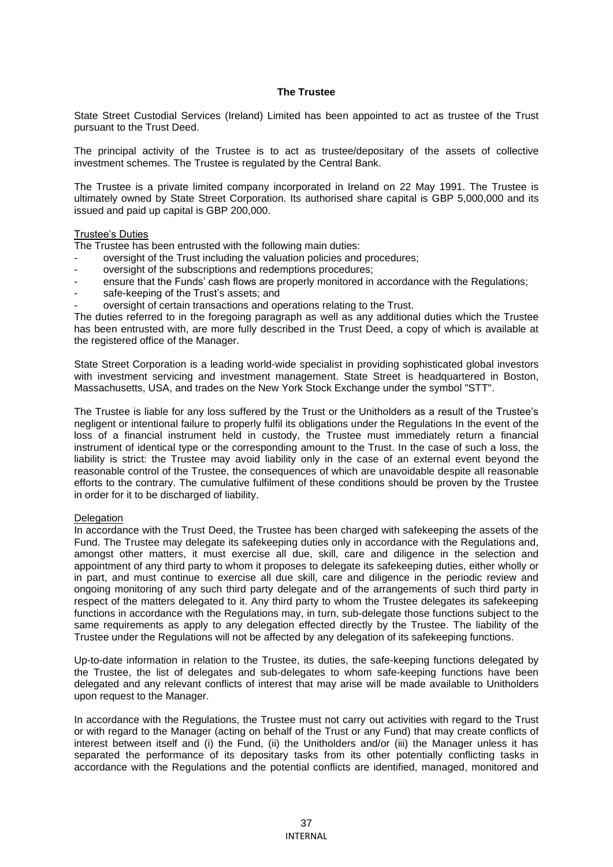# **The Trustee**

State Street Custodial Services (Ireland) Limited has been appointed to act as trustee of the Trust pursuant to the Trust Deed.

The principal activity of the Trustee is to act as trustee/depositary of the assets of collective investment schemes. The Trustee is regulated by the Central Bank.

The Trustee is a private limited company incorporated in Ireland on 22 May 1991. The Trustee is ultimately owned by State Street Corporation. Its authorised share capital is GBP 5,000,000 and its issued and paid up capital is GBP 200,000.

#### Trustee's Duties

The Trustee has been entrusted with the following main duties:

- oversight of the Trust including the valuation policies and procedures;
- oversight of the subscriptions and redemptions procedures;
- ensure that the Funds' cash flows are properly monitored in accordance with the Regulations;
- safe-keeping of the Trust's assets; and
- oversight of certain transactions and operations relating to the Trust.

The duties referred to in the foregoing paragraph as well as any additional duties which the Trustee has been entrusted with, are more fully described in the Trust Deed, a copy of which is available at the registered office of the Manager.

State Street Corporation is a leading world-wide specialist in providing sophisticated global investors with investment servicing and investment management. State Street is headquartered in Boston, Massachusetts, USA, and trades on the New York Stock Exchange under the symbol "STT".

The Trustee is liable for any loss suffered by the Trust or the Unitholders as a result of the Trustee's negligent or intentional failure to properly fulfil its obligations under the Regulations In the event of the loss of a financial instrument held in custody, the Trustee must immediately return a financial instrument of identical type or the corresponding amount to the Trust. In the case of such a loss, the liability is strict: the Trustee may avoid liability only in the case of an external event beyond the reasonable control of the Trustee, the consequences of which are unavoidable despite all reasonable efforts to the contrary. The cumulative fulfilment of these conditions should be proven by the Trustee in order for it to be discharged of liability.

## **Delegation**

In accordance with the Trust Deed, the Trustee has been charged with safekeeping the assets of the Fund. The Trustee may delegate its safekeeping duties only in accordance with the Regulations and, amongst other matters, it must exercise all due, skill, care and diligence in the selection and appointment of any third party to whom it proposes to delegate its safekeeping duties, either wholly or in part, and must continue to exercise all due skill, care and diligence in the periodic review and ongoing monitoring of any such third party delegate and of the arrangements of such third party in respect of the matters delegated to it. Any third party to whom the Trustee delegates its safekeeping functions in accordance with the Regulations may, in turn, sub-delegate those functions subject to the same requirements as apply to any delegation effected directly by the Trustee. The liability of the Trustee under the Regulations will not be affected by any delegation of its safekeeping functions.

Up-to-date information in relation to the Trustee, its duties, the safe-keeping functions delegated by the Trustee, the list of delegates and sub-delegates to whom safe-keeping functions have been delegated and any relevant conflicts of interest that may arise will be made available to Unitholders upon request to the Manager.

In accordance with the Regulations, the Trustee must not carry out activities with regard to the Trust or with regard to the Manager (acting on behalf of the Trust or any Fund) that may create conflicts of interest between itself and (i) the Fund, (ii) the Unitholders and/or (iii) the Manager unless it has separated the performance of its depositary tasks from its other potentially conflicting tasks in accordance with the Regulations and the potential conflicts are identified, managed, monitored and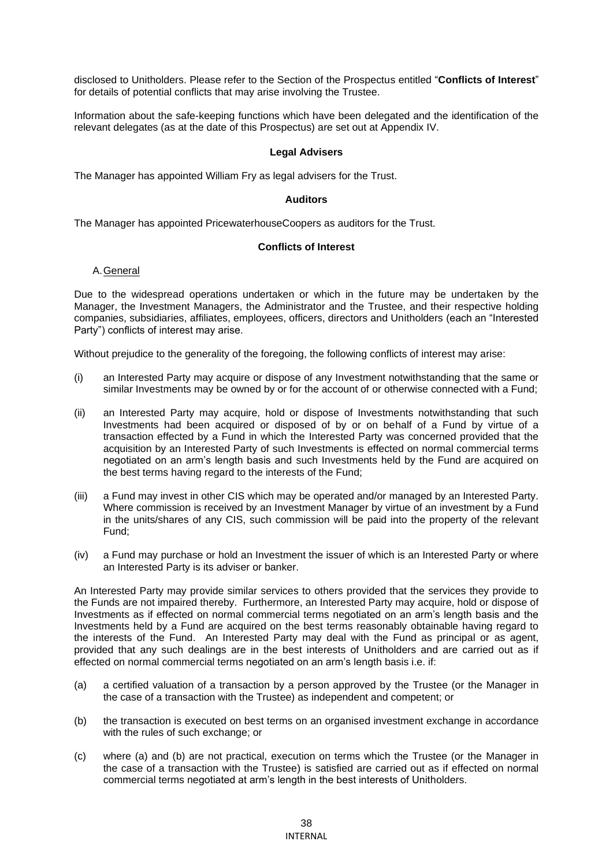disclosed to Unitholders. Please refer to the Section of the Prospectus entitled "**Conflicts of Interest**" for details of potential conflicts that may arise involving the Trustee.

Information about the safe-keeping functions which have been delegated and the identification of the relevant delegates (as at the date of this Prospectus) are set out at Appendix IV.

# **Legal Advisers**

The Manager has appointed William Fry as legal advisers for the Trust.

#### **Auditors**

The Manager has appointed PricewaterhouseCoopers as auditors for the Trust.

# **Conflicts of Interest**

# A.General

Due to the widespread operations undertaken or which in the future may be undertaken by the Manager, the Investment Managers, the Administrator and the Trustee, and their respective holding companies, subsidiaries, affiliates, employees, officers, directors and Unitholders (each an "Interested Party") conflicts of interest may arise.

Without prejudice to the generality of the foregoing, the following conflicts of interest may arise:

- (i) an Interested Party may acquire or dispose of any Investment notwithstanding that the same or similar Investments may be owned by or for the account of or otherwise connected with a Fund;
- (ii) an Interested Party may acquire, hold or dispose of Investments notwithstanding that such Investments had been acquired or disposed of by or on behalf of a Fund by virtue of a transaction effected by a Fund in which the Interested Party was concerned provided that the acquisition by an Interested Party of such Investments is effected on normal commercial terms negotiated on an arm's length basis and such Investments held by the Fund are acquired on the best terms having regard to the interests of the Fund;
- (iii) a Fund may invest in other CIS which may be operated and/or managed by an Interested Party. Where commission is received by an Investment Manager by virtue of an investment by a Fund in the units/shares of any CIS, such commission will be paid into the property of the relevant Fund;
- (iv) a Fund may purchase or hold an Investment the issuer of which is an Interested Party or where an Interested Party is its adviser or banker.

An Interested Party may provide similar services to others provided that the services they provide to the Funds are not impaired thereby. Furthermore, an Interested Party may acquire, hold or dispose of Investments as if effected on normal commercial terms negotiated on an arm's length basis and the Investments held by a Fund are acquired on the best terms reasonably obtainable having regard to the interests of the Fund. An Interested Party may deal with the Fund as principal or as agent, provided that any such dealings are in the best interests of Unitholders and are carried out as if effected on normal commercial terms negotiated on an arm's length basis i.e. if:

- (a) a certified valuation of a transaction by a person approved by the Trustee (or the Manager in the case of a transaction with the Trustee) as independent and competent; or
- (b) the transaction is executed on best terms on an organised investment exchange in accordance with the rules of such exchange; or
- (c) where (a) and (b) are not practical, execution on terms which the Trustee (or the Manager in the case of a transaction with the Trustee) is satisfied are carried out as if effected on normal commercial terms negotiated at arm's length in the best interests of Unitholders.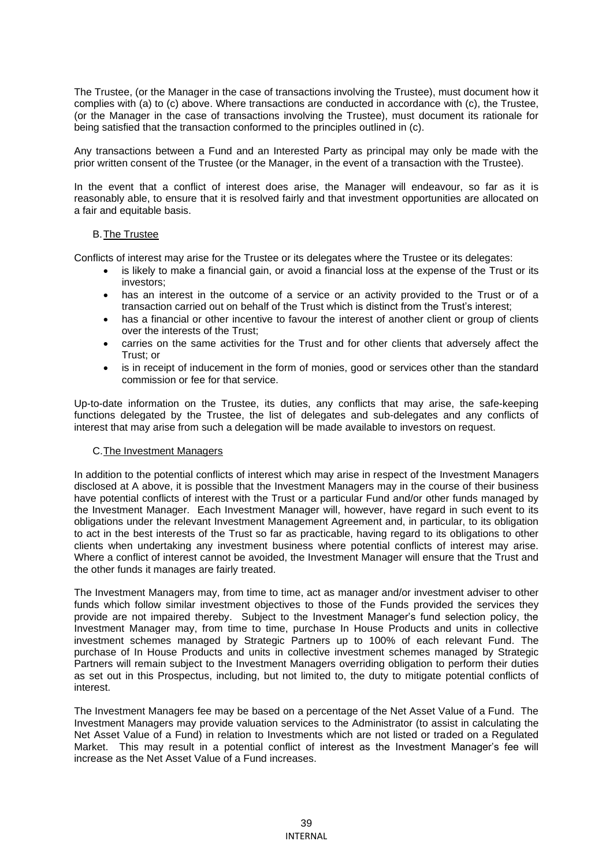The Trustee, (or the Manager in the case of transactions involving the Trustee), must document how it complies with (a) to (c) above. Where transactions are conducted in accordance with (c), the Trustee, (or the Manager in the case of transactions involving the Trustee), must document its rationale for being satisfied that the transaction conformed to the principles outlined in (c).

Any transactions between a Fund and an Interested Party as principal may only be made with the prior written consent of the Trustee (or the Manager, in the event of a transaction with the Trustee).

In the event that a conflict of interest does arise, the Manager will endeavour, so far as it is reasonably able, to ensure that it is resolved fairly and that investment opportunities are allocated on a fair and equitable basis.

# B.The Trustee

Conflicts of interest may arise for the Trustee or its delegates where the Trustee or its delegates:

- is likely to make a financial gain, or avoid a financial loss at the expense of the Trust or its investors;
- has an interest in the outcome of a service or an activity provided to the Trust or of a transaction carried out on behalf of the Trust which is distinct from the Trust's interest;
- has a financial or other incentive to favour the interest of another client or group of clients over the interests of the Trust;
- carries on the same activities for the Trust and for other clients that adversely affect the Trust; or
- is in receipt of inducement in the form of monies, good or services other than the standard commission or fee for that service.

Up-to-date information on the Trustee, its duties, any conflicts that may arise, the safe-keeping functions delegated by the Trustee, the list of delegates and sub-delegates and any conflicts of interest that may arise from such a delegation will be made available to investors on request.

# C.The Investment Managers

In addition to the potential conflicts of interest which may arise in respect of the Investment Managers disclosed at A above, it is possible that the Investment Managers may in the course of their business have potential conflicts of interest with the Trust or a particular Fund and/or other funds managed by the Investment Manager. Each Investment Manager will, however, have regard in such event to its obligations under the relevant Investment Management Agreement and, in particular, to its obligation to act in the best interests of the Trust so far as practicable, having regard to its obligations to other clients when undertaking any investment business where potential conflicts of interest may arise. Where a conflict of interest cannot be avoided, the Investment Manager will ensure that the Trust and the other funds it manages are fairly treated.

The Investment Managers may, from time to time, act as manager and/or investment adviser to other funds which follow similar investment objectives to those of the Funds provided the services they provide are not impaired thereby. Subject to the Investment Manager's fund selection policy, the Investment Manager may, from time to time, purchase In House Products and units in collective investment schemes managed by Strategic Partners up to 100% of each relevant Fund. The purchase of In House Products and units in collective investment schemes managed by Strategic Partners will remain subject to the Investment Managers overriding obligation to perform their duties as set out in this Prospectus, including, but not limited to, the duty to mitigate potential conflicts of interest.

The Investment Managers fee may be based on a percentage of the Net Asset Value of a Fund. The Investment Managers may provide valuation services to the Administrator (to assist in calculating the Net Asset Value of a Fund) in relation to Investments which are not listed or traded on a Regulated Market. This may result in a potential conflict of interest as the Investment Manager's fee will increase as the Net Asset Value of a Fund increases.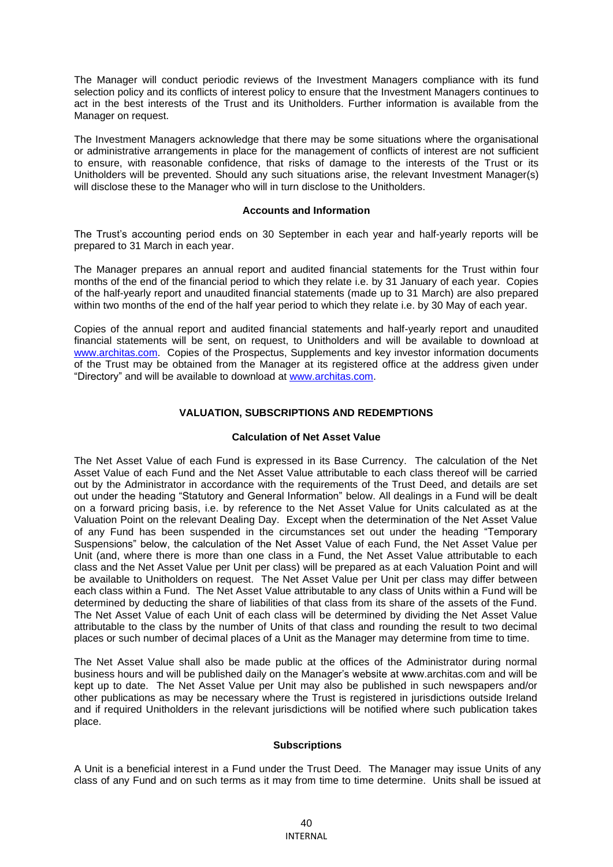The Manager will conduct periodic reviews of the Investment Managers compliance with its fund selection policy and its conflicts of interest policy to ensure that the Investment Managers continues to act in the best interests of the Trust and its Unitholders. Further information is available from the Manager on request.

The Investment Managers acknowledge that there may be some situations where the organisational or administrative arrangements in place for the management of conflicts of interest are not sufficient to ensure, with reasonable confidence, that risks of damage to the interests of the Trust or its Unitholders will be prevented. Should any such situations arise, the relevant Investment Manager(s) will disclose these to the Manager who will in turn disclose to the Unitholders.

#### **Accounts and Information**

The Trust's accounting period ends on 30 September in each year and half-yearly reports will be prepared to 31 March in each year.

The Manager prepares an annual report and audited financial statements for the Trust within four months of the end of the financial period to which they relate i.e. by 31 January of each year. Copies of the half-yearly report and unaudited financial statements (made up to 31 March) are also prepared within two months of the end of the half year period to which they relate i.e. by 30 May of each year.

Copies of the annual report and audited financial statements and half-yearly report and unaudited financial statements will be sent, on request, to Unitholders and will be available to download at [www.architas.com.](http://www.architas.com/) Copies of the Prospectus. Supplements and key investor information documents of the Trust may be obtained from the Manager at its registered office at the address given under "Directory" and will be available to download at [www.architas.com.](http://www.architas.com/)

# **VALUATION, SUBSCRIPTIONS AND REDEMPTIONS**

# **Calculation of Net Asset Value**

The Net Asset Value of each Fund is expressed in its Base Currency. The calculation of the Net Asset Value of each Fund and the Net Asset Value attributable to each class thereof will be carried out by the Administrator in accordance with the requirements of the Trust Deed, and details are set out under the heading "Statutory and General Information" below. All dealings in a Fund will be dealt on a forward pricing basis, i.e. by reference to the Net Asset Value for Units calculated as at the Valuation Point on the relevant Dealing Day. Except when the determination of the Net Asset Value of any Fund has been suspended in the circumstances set out under the heading "Temporary Suspensions" below, the calculation of the Net Asset Value of each Fund, the Net Asset Value per Unit (and, where there is more than one class in a Fund, the Net Asset Value attributable to each class and the Net Asset Value per Unit per class) will be prepared as at each Valuation Point and will be available to Unitholders on request. The Net Asset Value per Unit per class may differ between each class within a Fund. The Net Asset Value attributable to any class of Units within a Fund will be determined by deducting the share of liabilities of that class from its share of the assets of the Fund. The Net Asset Value of each Unit of each class will be determined by dividing the Net Asset Value attributable to the class by the number of Units of that class and rounding the result to two decimal places or such number of decimal places of a Unit as the Manager may determine from time to time.

The Net Asset Value shall also be made public at the offices of the Administrator during normal business hours and will be published daily on the Manager's website at www.architas.com and will be kept up to date. The Net Asset Value per Unit may also be published in such newspapers and/or other publications as may be necessary where the Trust is registered in jurisdictions outside Ireland and if required Unitholders in the relevant jurisdictions will be notified where such publication takes place.

#### **Subscriptions**

A Unit is a beneficial interest in a Fund under the Trust Deed. The Manager may issue Units of any class of any Fund and on such terms as it may from time to time determine. Units shall be issued at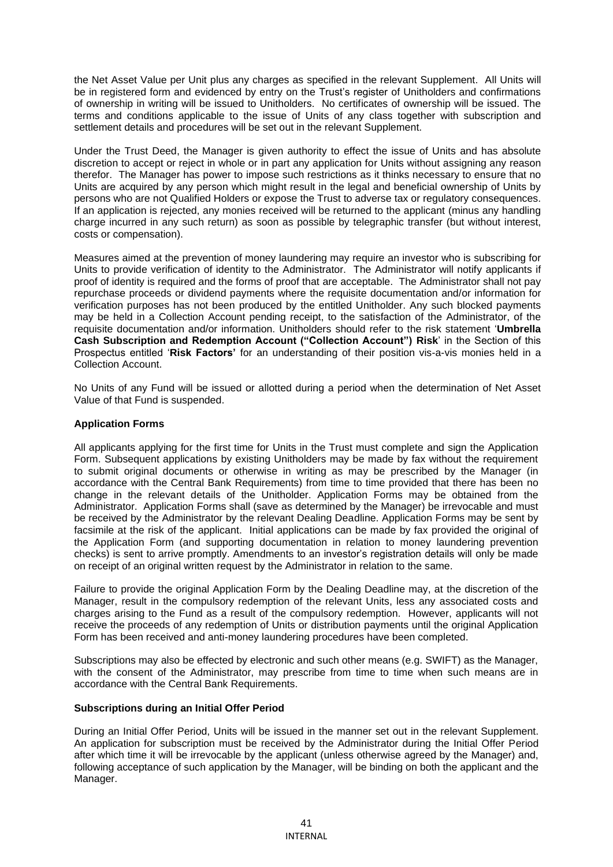the Net Asset Value per Unit plus any charges as specified in the relevant Supplement. All Units will be in registered form and evidenced by entry on the Trust's register of Unitholders and confirmations of ownership in writing will be issued to Unitholders. No certificates of ownership will be issued. The terms and conditions applicable to the issue of Units of any class together with subscription and settlement details and procedures will be set out in the relevant Supplement.

Under the Trust Deed, the Manager is given authority to effect the issue of Units and has absolute discretion to accept or reject in whole or in part any application for Units without assigning any reason therefor. The Manager has power to impose such restrictions as it thinks necessary to ensure that no Units are acquired by any person which might result in the legal and beneficial ownership of Units by persons who are not Qualified Holders or expose the Trust to adverse tax or regulatory consequences. If an application is rejected, any monies received will be returned to the applicant (minus any handling charge incurred in any such return) as soon as possible by telegraphic transfer (but without interest, costs or compensation).

Measures aimed at the prevention of money laundering may require an investor who is subscribing for Units to provide verification of identity to the Administrator. The Administrator will notify applicants if proof of identity is required and the forms of proof that are acceptable. The Administrator shall not pay repurchase proceeds or dividend payments where the requisite documentation and/or information for verification purposes has not been produced by the entitled Unitholder. Any such blocked payments may be held in a Collection Account pending receipt, to the satisfaction of the Administrator, of the requisite documentation and/or information. Unitholders should refer to the risk statement '**Umbrella Cash Subscription and Redemption Account ("Collection Account") Risk**' in the Section of this Prospectus entitled '**Risk Factors'** for an understanding of their position vis-a-vis monies held in a Collection Account.

No Units of any Fund will be issued or allotted during a period when the determination of Net Asset Value of that Fund is suspended.

# **Application Forms**

All applicants applying for the first time for Units in the Trust must complete and sign the Application Form. Subsequent applications by existing Unitholders may be made by fax without the requirement to submit original documents or otherwise in writing as may be prescribed by the Manager (in accordance with the Central Bank Requirements) from time to time provided that there has been no change in the relevant details of the Unitholder. Application Forms may be obtained from the Administrator. Application Forms shall (save as determined by the Manager) be irrevocable and must be received by the Administrator by the relevant Dealing Deadline. Application Forms may be sent by facsimile at the risk of the applicant. Initial applications can be made by fax provided the original of the Application Form (and supporting documentation in relation to money laundering prevention checks) is sent to arrive promptly. Amendments to an investor's registration details will only be made on receipt of an original written request by the Administrator in relation to the same.

Failure to provide the original Application Form by the Dealing Deadline may, at the discretion of the Manager, result in the compulsory redemption of the relevant Units, less any associated costs and charges arising to the Fund as a result of the compulsory redemption. However, applicants will not receive the proceeds of any redemption of Units or distribution payments until the original Application Form has been received and anti-money laundering procedures have been completed.

Subscriptions may also be effected by electronic and such other means (e.g. SWIFT) as the Manager, with the consent of the Administrator, may prescribe from time to time when such means are in accordance with the Central Bank Requirements.

#### **Subscriptions during an Initial Offer Period**

During an Initial Offer Period, Units will be issued in the manner set out in the relevant Supplement. An application for subscription must be received by the Administrator during the Initial Offer Period after which time it will be irrevocable by the applicant (unless otherwise agreed by the Manager) and, following acceptance of such application by the Manager, will be binding on both the applicant and the Manager.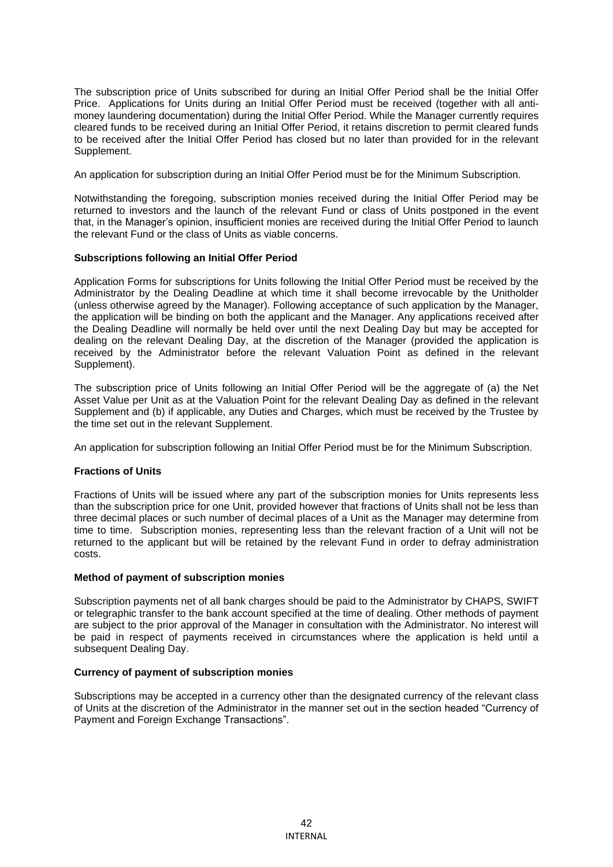The subscription price of Units subscribed for during an Initial Offer Period shall be the Initial Offer Price. Applications for Units during an Initial Offer Period must be received (together with all antimoney laundering documentation) during the Initial Offer Period. While the Manager currently requires cleared funds to be received during an Initial Offer Period, it retains discretion to permit cleared funds to be received after the Initial Offer Period has closed but no later than provided for in the relevant Supplement.

An application for subscription during an Initial Offer Period must be for the Minimum Subscription.

Notwithstanding the foregoing, subscription monies received during the Initial Offer Period may be returned to investors and the launch of the relevant Fund or class of Units postponed in the event that, in the Manager's opinion, insufficient monies are received during the Initial Offer Period to launch the relevant Fund or the class of Units as viable concerns.

# **Subscriptions following an Initial Offer Period**

Application Forms for subscriptions for Units following the Initial Offer Period must be received by the Administrator by the Dealing Deadline at which time it shall become irrevocable by the Unitholder (unless otherwise agreed by the Manager). Following acceptance of such application by the Manager, the application will be binding on both the applicant and the Manager. Any applications received after the Dealing Deadline will normally be held over until the next Dealing Day but may be accepted for dealing on the relevant Dealing Day, at the discretion of the Manager (provided the application is received by the Administrator before the relevant Valuation Point as defined in the relevant Supplement).

The subscription price of Units following an Initial Offer Period will be the aggregate of (a) the Net Asset Value per Unit as at the Valuation Point for the relevant Dealing Day as defined in the relevant Supplement and (b) if applicable, any Duties and Charges, which must be received by the Trustee by the time set out in the relevant Supplement.

An application for subscription following an Initial Offer Period must be for the Minimum Subscription.

# **Fractions of Units**

Fractions of Units will be issued where any part of the subscription monies for Units represents less than the subscription price for one Unit, provided however that fractions of Units shall not be less than three decimal places or such number of decimal places of a Unit as the Manager may determine from time to time. Subscription monies, representing less than the relevant fraction of a Unit will not be returned to the applicant but will be retained by the relevant Fund in order to defray administration costs.

#### **Method of payment of subscription monies**

Subscription payments net of all bank charges should be paid to the Administrator by CHAPS, SWIFT or telegraphic transfer to the bank account specified at the time of dealing. Other methods of payment are subject to the prior approval of the Manager in consultation with the Administrator. No interest will be paid in respect of payments received in circumstances where the application is held until a subsequent Dealing Day.

#### **Currency of payment of subscription monies**

Subscriptions may be accepted in a currency other than the designated currency of the relevant class of Units at the discretion of the Administrator in the manner set out in the section headed "Currency of Payment and Foreign Exchange Transactions".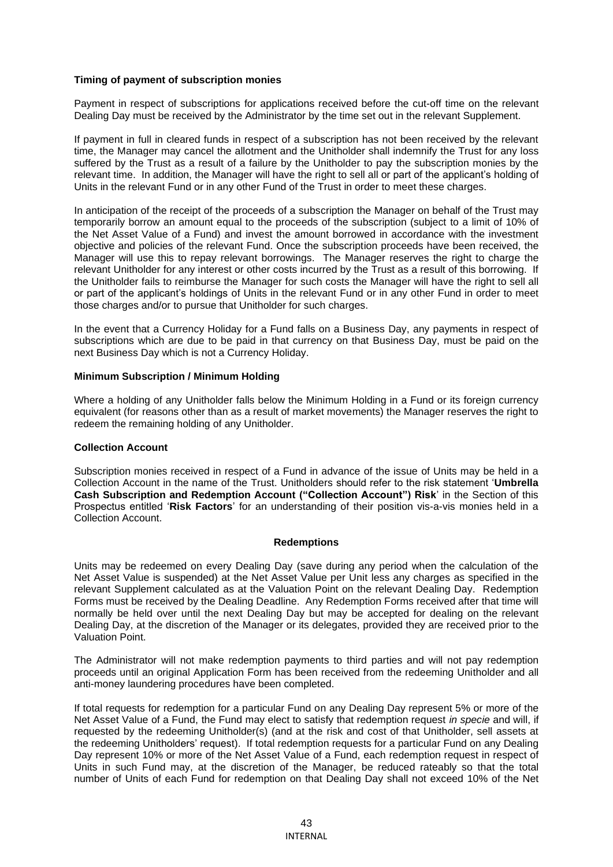# **Timing of payment of subscription monies**

Payment in respect of subscriptions for applications received before the cut-off time on the relevant Dealing Day must be received by the Administrator by the time set out in the relevant Supplement.

If payment in full in cleared funds in respect of a subscription has not been received by the relevant time, the Manager may cancel the allotment and the Unitholder shall indemnify the Trust for any loss suffered by the Trust as a result of a failure by the Unitholder to pay the subscription monies by the relevant time. In addition, the Manager will have the right to sell all or part of the applicant's holding of Units in the relevant Fund or in any other Fund of the Trust in order to meet these charges.

In anticipation of the receipt of the proceeds of a subscription the Manager on behalf of the Trust may temporarily borrow an amount equal to the proceeds of the subscription (subject to a limit of 10% of the Net Asset Value of a Fund) and invest the amount borrowed in accordance with the investment objective and policies of the relevant Fund. Once the subscription proceeds have been received, the Manager will use this to repay relevant borrowings. The Manager reserves the right to charge the relevant Unitholder for any interest or other costs incurred by the Trust as a result of this borrowing. If the Unitholder fails to reimburse the Manager for such costs the Manager will have the right to sell all or part of the applicant's holdings of Units in the relevant Fund or in any other Fund in order to meet those charges and/or to pursue that Unitholder for such charges.

In the event that a Currency Holiday for a Fund falls on a Business Day, any payments in respect of subscriptions which are due to be paid in that currency on that Business Day, must be paid on the next Business Day which is not a Currency Holiday.

#### **Minimum Subscription / Minimum Holding**

Where a holding of any Unitholder falls below the Minimum Holding in a Fund or its foreign currency equivalent (for reasons other than as a result of market movements) the Manager reserves the right to redeem the remaining holding of any Unitholder.

#### **Collection Account**

Subscription monies received in respect of a Fund in advance of the issue of Units may be held in a Collection Account in the name of the Trust. Unitholders should refer to the risk statement '**Umbrella Cash Subscription and Redemption Account ("Collection Account") Risk**' in the Section of this Prospectus entitled '**Risk Factors**' for an understanding of their position vis-a-vis monies held in a Collection Account.

#### **Redemptions**

Units may be redeemed on every Dealing Day (save during any period when the calculation of the Net Asset Value is suspended) at the Net Asset Value per Unit less any charges as specified in the relevant Supplement calculated as at the Valuation Point on the relevant Dealing Day. Redemption Forms must be received by the Dealing Deadline. Any Redemption Forms received after that time will normally be held over until the next Dealing Day but may be accepted for dealing on the relevant Dealing Day, at the discretion of the Manager or its delegates, provided they are received prior to the Valuation Point.

The Administrator will not make redemption payments to third parties and will not pay redemption proceeds until an original Application Form has been received from the redeeming Unitholder and all anti-money laundering procedures have been completed.

If total requests for redemption for a particular Fund on any Dealing Day represent 5% or more of the Net Asset Value of a Fund, the Fund may elect to satisfy that redemption request *in specie* and will, if requested by the redeeming Unitholder(s) (and at the risk and cost of that Unitholder, sell assets at the redeeming Unitholders' request). If total redemption requests for a particular Fund on any Dealing Day represent 10% or more of the Net Asset Value of a Fund, each redemption request in respect of Units in such Fund may, at the discretion of the Manager, be reduced rateably so that the total number of Units of each Fund for redemption on that Dealing Day shall not exceed 10% of the Net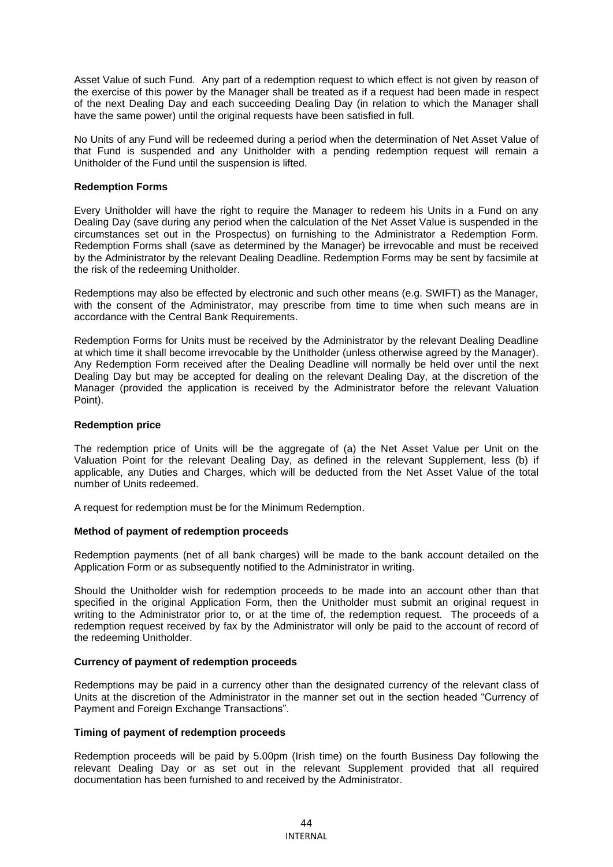Asset Value of such Fund. Any part of a redemption request to which effect is not given by reason of the exercise of this power by the Manager shall be treated as if a request had been made in respect of the next Dealing Day and each succeeding Dealing Day (in relation to which the Manager shall have the same power) until the original requests have been satisfied in full.

No Units of any Fund will be redeemed during a period when the determination of Net Asset Value of that Fund is suspended and any Unitholder with a pending redemption request will remain a Unitholder of the Fund until the suspension is lifted.

#### **Redemption Forms**

Every Unitholder will have the right to require the Manager to redeem his Units in a Fund on any Dealing Day (save during any period when the calculation of the Net Asset Value is suspended in the circumstances set out in the Prospectus) on furnishing to the Administrator a Redemption Form. Redemption Forms shall (save as determined by the Manager) be irrevocable and must be received by the Administrator by the relevant Dealing Deadline. Redemption Forms may be sent by facsimile at the risk of the redeeming Unitholder.

Redemptions may also be effected by electronic and such other means (e.g. SWIFT) as the Manager, with the consent of the Administrator, may prescribe from time to time when such means are in accordance with the Central Bank Requirements.

Redemption Forms for Units must be received by the Administrator by the relevant Dealing Deadline at which time it shall become irrevocable by the Unitholder (unless otherwise agreed by the Manager). Any Redemption Form received after the Dealing Deadline will normally be held over until the next Dealing Day but may be accepted for dealing on the relevant Dealing Day, at the discretion of the Manager (provided the application is received by the Administrator before the relevant Valuation Point).

# **Redemption price**

The redemption price of Units will be the aggregate of (a) the Net Asset Value per Unit on the Valuation Point for the relevant Dealing Day, as defined in the relevant Supplement, less (b) if applicable, any Duties and Charges, which will be deducted from the Net Asset Value of the total number of Units redeemed.

A request for redemption must be for the Minimum Redemption.

# **Method of payment of redemption proceeds**

Redemption payments (net of all bank charges) will be made to the bank account detailed on the Application Form or as subsequently notified to the Administrator in writing.

Should the Unitholder wish for redemption proceeds to be made into an account other than that specified in the original Application Form, then the Unitholder must submit an original request in writing to the Administrator prior to, or at the time of, the redemption request. The proceeds of a redemption request received by fax by the Administrator will only be paid to the account of record of the redeeming Unitholder.

#### **Currency of payment of redemption proceeds**

Redemptions may be paid in a currency other than the designated currency of the relevant class of Units at the discretion of the Administrator in the manner set out in the section headed "Currency of Payment and Foreign Exchange Transactions".

#### **Timing of payment of redemption proceeds**

Redemption proceeds will be paid by 5.00pm (Irish time) on the fourth Business Day following the relevant Dealing Day or as set out in the relevant Supplement provided that all required documentation has been furnished to and received by the Administrator.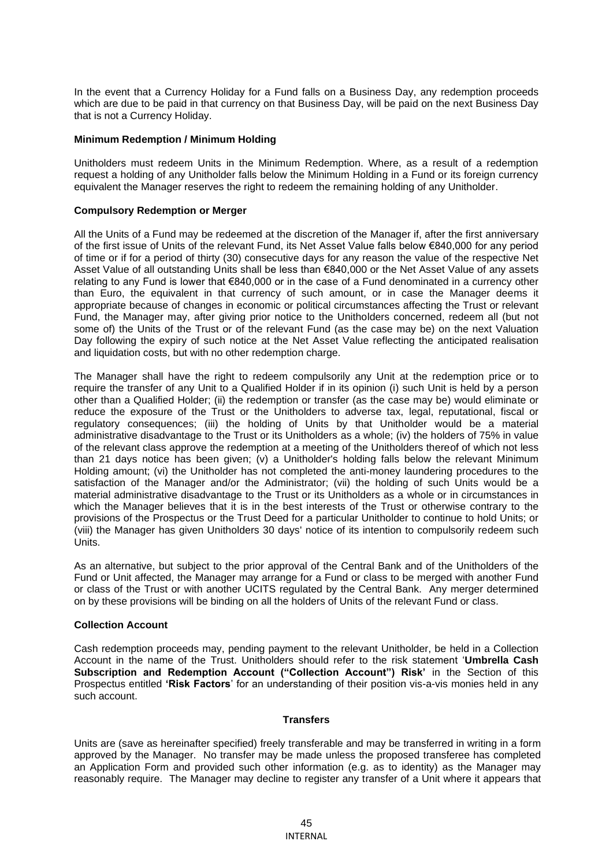In the event that a Currency Holiday for a Fund falls on a Business Day, any redemption proceeds which are due to be paid in that currency on that Business Day, will be paid on the next Business Day that is not a Currency Holiday.

### **Minimum Redemption / Minimum Holding**

Unitholders must redeem Units in the Minimum Redemption. Where, as a result of a redemption request a holding of any Unitholder falls below the Minimum Holding in a Fund or its foreign currency equivalent the Manager reserves the right to redeem the remaining holding of any Unitholder.

# **Compulsory Redemption or Merger**

All the Units of a Fund may be redeemed at the discretion of the Manager if, after the first anniversary of the first issue of Units of the relevant Fund, its Net Asset Value falls below €840,000 for any period of time or if for a period of thirty (30) consecutive days for any reason the value of the respective Net Asset Value of all outstanding Units shall be less than €840,000 or the Net Asset Value of any assets relating to any Fund is lower that €840,000 or in the case of a Fund denominated in a currency other than Euro, the equivalent in that currency of such amount, or in case the Manager deems it appropriate because of changes in economic or political circumstances affecting the Trust or relevant Fund, the Manager may, after giving prior notice to the Unitholders concerned, redeem all (but not some of) the Units of the Trust or of the relevant Fund (as the case may be) on the next Valuation Day following the expiry of such notice at the Net Asset Value reflecting the anticipated realisation and liquidation costs, but with no other redemption charge.

The Manager shall have the right to redeem compulsorily any Unit at the redemption price or to require the transfer of any Unit to a Qualified Holder if in its opinion (i) such Unit is held by a person other than a Qualified Holder; (ii) the redemption or transfer (as the case may be) would eliminate or reduce the exposure of the Trust or the Unitholders to adverse tax, legal, reputational, fiscal or regulatory consequences; (iii) the holding of Units by that Unitholder would be a material administrative disadvantage to the Trust or its Unitholders as a whole; (iv) the holders of 75% in value of the relevant class approve the redemption at a meeting of the Unitholders thereof of which not less than 21 days notice has been given; (v) a Unitholder's holding falls below the relevant Minimum Holding amount; (vi) the Unitholder has not completed the anti-money laundering procedures to the satisfaction of the Manager and/or the Administrator; (vii) the holding of such Units would be a material administrative disadvantage to the Trust or its Unitholders as a whole or in circumstances in which the Manager believes that it is in the best interests of the Trust or otherwise contrary to the provisions of the Prospectus or the Trust Deed for a particular Unitholder to continue to hold Units; or (viii) the Manager has given Unitholders 30 days' notice of its intention to compulsorily redeem such Units.

As an alternative, but subject to the prior approval of the Central Bank and of the Unitholders of the Fund or Unit affected, the Manager may arrange for a Fund or class to be merged with another Fund or class of the Trust or with another UCITS regulated by the Central Bank. Any merger determined on by these provisions will be binding on all the holders of Units of the relevant Fund or class.

# **Collection Account**

Cash redemption proceeds may, pending payment to the relevant Unitholder, be held in a Collection Account in the name of the Trust. Unitholders should refer to the risk statement '**Umbrella Cash Subscription and Redemption Account ("Collection Account") Risk'** in the Section of this Prospectus entitled **'Risk Factors**' for an understanding of their position vis-a-vis monies held in any such account.

#### **Transfers**

Units are (save as hereinafter specified) freely transferable and may be transferred in writing in a form approved by the Manager. No transfer may be made unless the proposed transferee has completed an Application Form and provided such other information (e.g. as to identity) as the Manager may reasonably require. The Manager may decline to register any transfer of a Unit where it appears that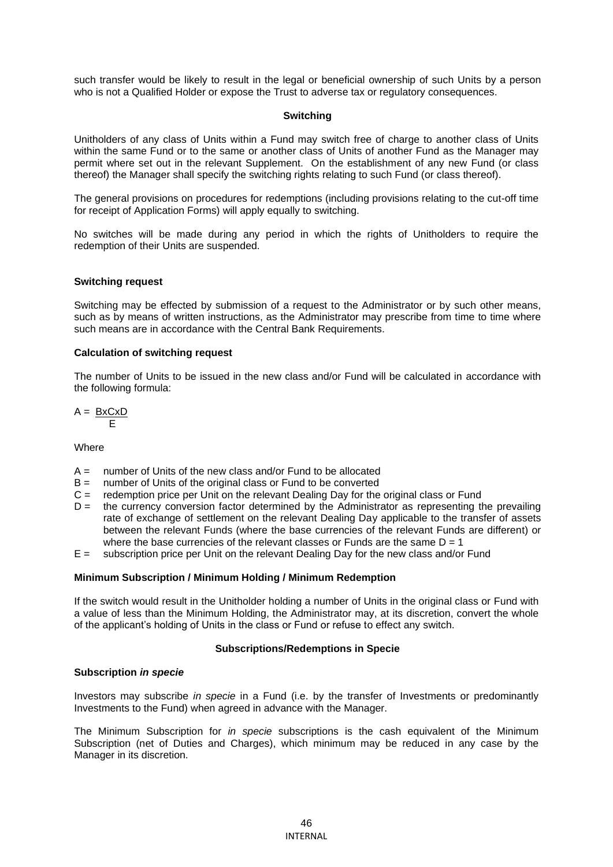such transfer would be likely to result in the legal or beneficial ownership of such Units by a person who is not a Qualified Holder or expose the Trust to adverse tax or regulatory consequences.

# **Switching**

Unitholders of any class of Units within a Fund may switch free of charge to another class of Units within the same Fund or to the same or another class of Units of another Fund as the Manager may permit where set out in the relevant Supplement. On the establishment of any new Fund (or class thereof) the Manager shall specify the switching rights relating to such Fund (or class thereof).

The general provisions on procedures for redemptions (including provisions relating to the cut-off time for receipt of Application Forms) will apply equally to switching.

No switches will be made during any period in which the rights of Unitholders to require the redemption of their Units are suspended.

# **Switching request**

Switching may be effected by submission of a request to the Administrator or by such other means, such as by means of written instructions, as the Administrator may prescribe from time to time where such means are in accordance with the Central Bank Requirements.

# **Calculation of switching request**

The number of Units to be issued in the new class and/or Fund will be calculated in accordance with the following formula:

$$
A = \frac{BxCxD}{E}
$$

**Where** 

- $A =$  number of Units of the new class and/or Fund to be allocated
- $B =$  number of Units of the original class or Fund to be converted
- $C =$  redemption price per Unit on the relevant Dealing Day for the original class or Fund
- $D =$  the currency conversion factor determined by the Administrator as representing the prevailing rate of exchange of settlement on the relevant Dealing Day applicable to the transfer of assets between the relevant Funds (where the base currencies of the relevant Funds are different) or where the base currencies of the relevant classes or Funds are the same  $D = 1$
- E = subscription price per Unit on the relevant Dealing Day for the new class and/or Fund

#### **Minimum Subscription / Minimum Holding / Minimum Redemption**

If the switch would result in the Unitholder holding a number of Units in the original class or Fund with a value of less than the Minimum Holding, the Administrator may, at its discretion, convert the whole of the applicant's holding of Units in the class or Fund or refuse to effect any switch.

#### **Subscriptions/Redemptions in Specie**

### **Subscription** *in specie*

Investors may subscribe *in specie* in a Fund (i.e. by the transfer of Investments or predominantly Investments to the Fund) when agreed in advance with the Manager.

The Minimum Subscription for *in specie* subscriptions is the cash equivalent of the Minimum Subscription (net of Duties and Charges), which minimum may be reduced in any case by the Manager in its discretion.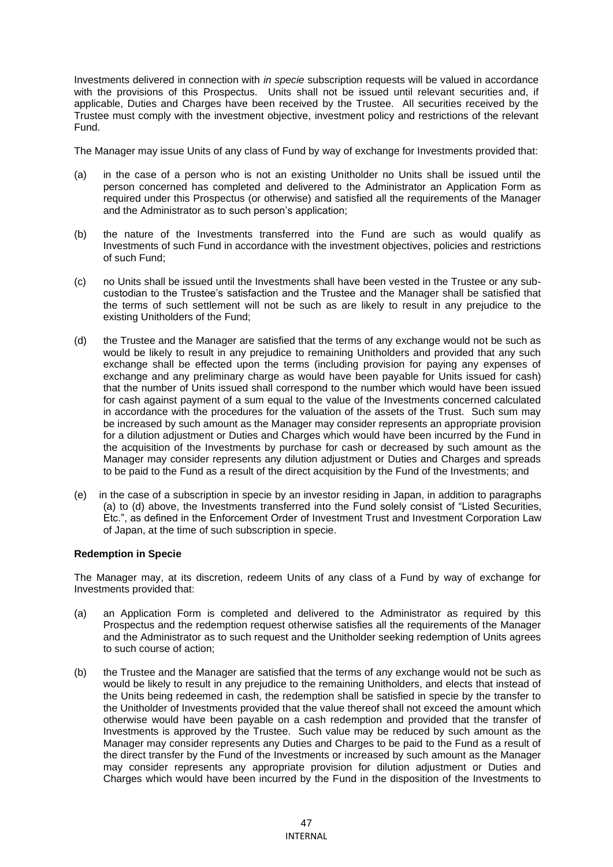Investments delivered in connection with *in specie* subscription requests will be valued in accordance with the provisions of this Prospectus. Units shall not be issued until relevant securities and, if applicable, Duties and Charges have been received by the Trustee. All securities received by the Trustee must comply with the investment objective, investment policy and restrictions of the relevant Fund.

The Manager may issue Units of any class of Fund by way of exchange for Investments provided that:

- (a) in the case of a person who is not an existing Unitholder no Units shall be issued until the person concerned has completed and delivered to the Administrator an Application Form as required under this Prospectus (or otherwise) and satisfied all the requirements of the Manager and the Administrator as to such person's application;
- (b) the nature of the Investments transferred into the Fund are such as would qualify as Investments of such Fund in accordance with the investment objectives, policies and restrictions of such Fund;
- (c) no Units shall be issued until the Investments shall have been vested in the Trustee or any subcustodian to the Trustee's satisfaction and the Trustee and the Manager shall be satisfied that the terms of such settlement will not be such as are likely to result in any prejudice to the existing Unitholders of the Fund;
- (d) the Trustee and the Manager are satisfied that the terms of any exchange would not be such as would be likely to result in any prejudice to remaining Unitholders and provided that any such exchange shall be effected upon the terms (including provision for paying any expenses of exchange and any preliminary charge as would have been payable for Units issued for cash) that the number of Units issued shall correspond to the number which would have been issued for cash against payment of a sum equal to the value of the Investments concerned calculated in accordance with the procedures for the valuation of the assets of the Trust. Such sum may be increased by such amount as the Manager may consider represents an appropriate provision for a dilution adjustment or Duties and Charges which would have been incurred by the Fund in the acquisition of the Investments by purchase for cash or decreased by such amount as the Manager may consider represents any dilution adjustment or Duties and Charges and spreads to be paid to the Fund as a result of the direct acquisition by the Fund of the Investments; and
- (e) in the case of a subscription in specie by an investor residing in Japan, in addition to paragraphs (a) to (d) above, the Investments transferred into the Fund solely consist of "Listed Securities, Etc.", as defined in the Enforcement Order of Investment Trust and Investment Corporation Law of Japan, at the time of such subscription in specie.

# **Redemption in Specie**

The Manager may, at its discretion, redeem Units of any class of a Fund by way of exchange for Investments provided that:

- (a) an Application Form is completed and delivered to the Administrator as required by this Prospectus and the redemption request otherwise satisfies all the requirements of the Manager and the Administrator as to such request and the Unitholder seeking redemption of Units agrees to such course of action;
- (b) the Trustee and the Manager are satisfied that the terms of any exchange would not be such as would be likely to result in any prejudice to the remaining Unitholders, and elects that instead of the Units being redeemed in cash, the redemption shall be satisfied in specie by the transfer to the Unitholder of Investments provided that the value thereof shall not exceed the amount which otherwise would have been payable on a cash redemption and provided that the transfer of Investments is approved by the Trustee. Such value may be reduced by such amount as the Manager may consider represents any Duties and Charges to be paid to the Fund as a result of the direct transfer by the Fund of the Investments or increased by such amount as the Manager may consider represents any appropriate provision for dilution adjustment or Duties and Charges which would have been incurred by the Fund in the disposition of the Investments to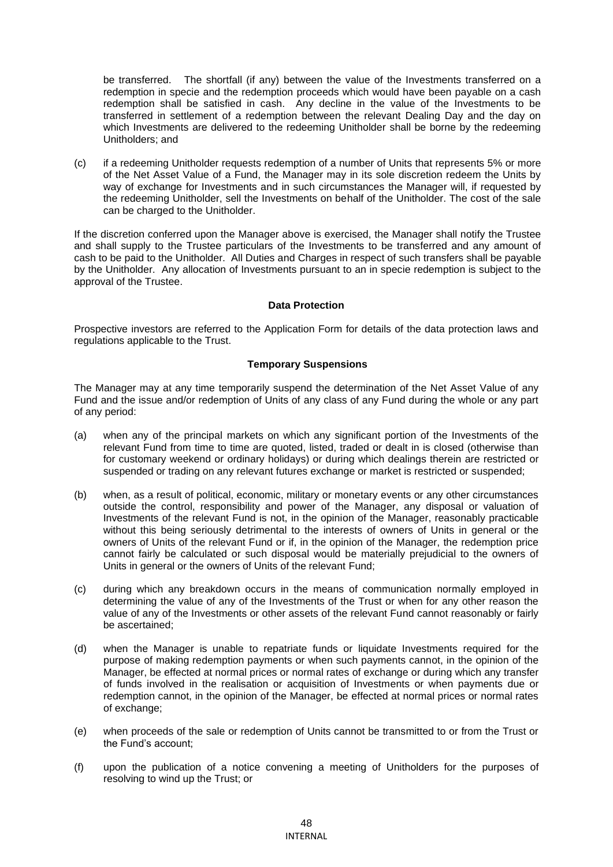be transferred. The shortfall (if any) between the value of the Investments transferred on a redemption in specie and the redemption proceeds which would have been payable on a cash redemption shall be satisfied in cash. Any decline in the value of the Investments to be transferred in settlement of a redemption between the relevant Dealing Day and the day on which Investments are delivered to the redeeming Unitholder shall be borne by the redeeming Unitholders; and

(c) if a redeeming Unitholder requests redemption of a number of Units that represents 5% or more of the Net Asset Value of a Fund, the Manager may in its sole discretion redeem the Units by way of exchange for Investments and in such circumstances the Manager will, if requested by the redeeming Unitholder, sell the Investments on behalf of the Unitholder. The cost of the sale can be charged to the Unitholder.

If the discretion conferred upon the Manager above is exercised, the Manager shall notify the Trustee and shall supply to the Trustee particulars of the Investments to be transferred and any amount of cash to be paid to the Unitholder. All Duties and Charges in respect of such transfers shall be payable by the Unitholder. Any allocation of Investments pursuant to an in specie redemption is subject to the approval of the Trustee.

# **Data Protection**

Prospective investors are referred to the Application Form for details of the data protection laws and regulations applicable to the Trust.

# **Temporary Suspensions**

The Manager may at any time temporarily suspend the determination of the Net Asset Value of any Fund and the issue and/or redemption of Units of any class of any Fund during the whole or any part of any period:

- (a) when any of the principal markets on which any significant portion of the Investments of the relevant Fund from time to time are quoted, listed, traded or dealt in is closed (otherwise than for customary weekend or ordinary holidays) or during which dealings therein are restricted or suspended or trading on any relevant futures exchange or market is restricted or suspended;
- (b) when, as a result of political, economic, military or monetary events or any other circumstances outside the control, responsibility and power of the Manager, any disposal or valuation of Investments of the relevant Fund is not, in the opinion of the Manager, reasonably practicable without this being seriously detrimental to the interests of owners of Units in general or the owners of Units of the relevant Fund or if, in the opinion of the Manager, the redemption price cannot fairly be calculated or such disposal would be materially prejudicial to the owners of Units in general or the owners of Units of the relevant Fund;
- (c) during which any breakdown occurs in the means of communication normally employed in determining the value of any of the Investments of the Trust or when for any other reason the value of any of the Investments or other assets of the relevant Fund cannot reasonably or fairly be ascertained;
- (d) when the Manager is unable to repatriate funds or liquidate Investments required for the purpose of making redemption payments or when such payments cannot, in the opinion of the Manager, be effected at normal prices or normal rates of exchange or during which any transfer of funds involved in the realisation or acquisition of Investments or when payments due or redemption cannot, in the opinion of the Manager, be effected at normal prices or normal rates of exchange;
- (e) when proceeds of the sale or redemption of Units cannot be transmitted to or from the Trust or the Fund's account;
- (f) upon the publication of a notice convening a meeting of Unitholders for the purposes of resolving to wind up the Trust; or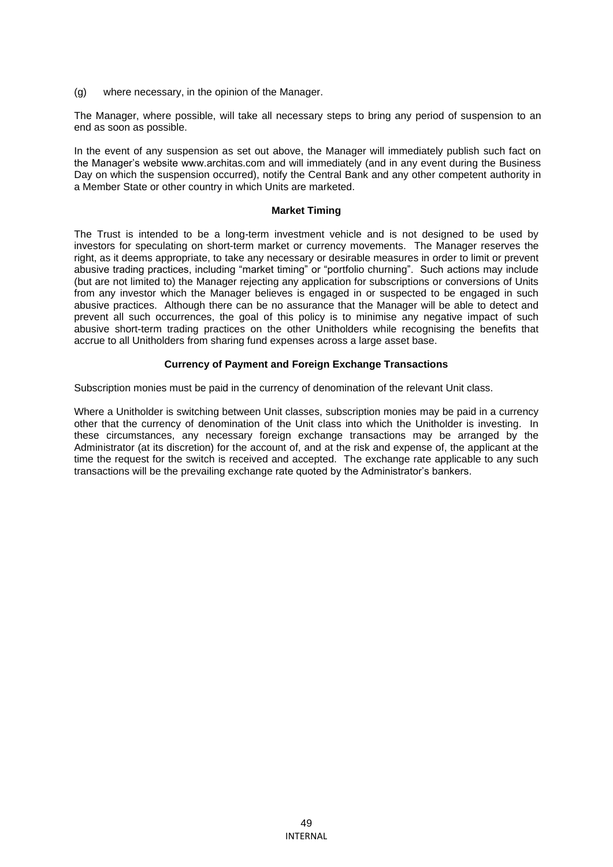(g) where necessary, in the opinion of the Manager.

The Manager, where possible, will take all necessary steps to bring any period of suspension to an end as soon as possible.

In the event of any suspension as set out above, the Manager will immediately publish such fact on the Manager's website www.architas.com and will immediately (and in any event during the Business Day on which the suspension occurred), notify the Central Bank and any other competent authority in a Member State or other country in which Units are marketed.

#### **Market Timing**

The Trust is intended to be a long-term investment vehicle and is not designed to be used by investors for speculating on short-term market or currency movements. The Manager reserves the right, as it deems appropriate, to take any necessary or desirable measures in order to limit or prevent abusive trading practices, including "market timing" or "portfolio churning". Such actions may include (but are not limited to) the Manager rejecting any application for subscriptions or conversions of Units from any investor which the Manager believes is engaged in or suspected to be engaged in such abusive practices. Although there can be no assurance that the Manager will be able to detect and prevent all such occurrences, the goal of this policy is to minimise any negative impact of such abusive short-term trading practices on the other Unitholders while recognising the benefits that accrue to all Unitholders from sharing fund expenses across a large asset base.

# **Currency of Payment and Foreign Exchange Transactions**

Subscription monies must be paid in the currency of denomination of the relevant Unit class.

Where a Unitholder is switching between Unit classes, subscription monies may be paid in a currency other that the currency of denomination of the Unit class into which the Unitholder is investing. In these circumstances, any necessary foreign exchange transactions may be arranged by the Administrator (at its discretion) for the account of, and at the risk and expense of, the applicant at the time the request for the switch is received and accepted. The exchange rate applicable to any such transactions will be the prevailing exchange rate quoted by the Administrator's bankers.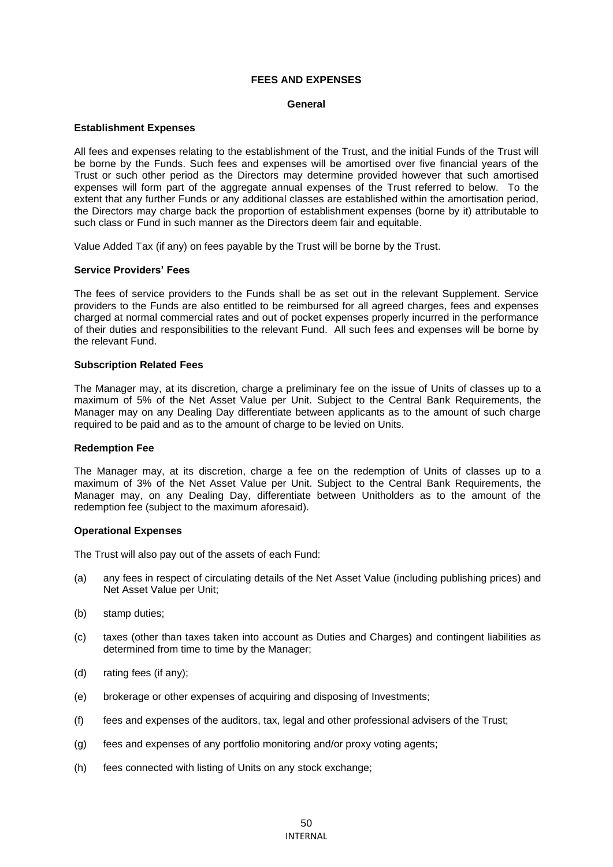# **FEES AND EXPENSES**

#### **General**

### **Establishment Expenses**

All fees and expenses relating to the establishment of the Trust, and the initial Funds of the Trust will be borne by the Funds. Such fees and expenses will be amortised over five financial years of the Trust or such other period as the Directors may determine provided however that such amortised expenses will form part of the aggregate annual expenses of the Trust referred to below. To the extent that any further Funds or any additional classes are established within the amortisation period, the Directors may charge back the proportion of establishment expenses (borne by it) attributable to such class or Fund in such manner as the Directors deem fair and equitable.

Value Added Tax (if any) on fees payable by the Trust will be borne by the Trust.

# **Service Providers' Fees**

The fees of service providers to the Funds shall be as set out in the relevant Supplement. Service providers to the Funds are also entitled to be reimbursed for all agreed charges, fees and expenses charged at normal commercial rates and out of pocket expenses properly incurred in the performance of their duties and responsibilities to the relevant Fund. All such fees and expenses will be borne by the relevant Fund.

#### **Subscription Related Fees**

The Manager may, at its discretion, charge a preliminary fee on the issue of Units of classes up to a maximum of 5% of the Net Asset Value per Unit. Subject to the Central Bank Requirements, the Manager may on any Dealing Day differentiate between applicants as to the amount of such charge required to be paid and as to the amount of charge to be levied on Units.

#### **Redemption Fee**

The Manager may, at its discretion, charge a fee on the redemption of Units of classes up to a maximum of 3% of the Net Asset Value per Unit. Subject to the Central Bank Requirements, the Manager may, on any Dealing Day, differentiate between Unitholders as to the amount of the redemption fee (subject to the maximum aforesaid).

#### **Operational Expenses**

The Trust will also pay out of the assets of each Fund:

- (a) any fees in respect of circulating details of the Net Asset Value (including publishing prices) and Net Asset Value per Unit;
- (b) stamp duties;
- (c) taxes (other than taxes taken into account as Duties and Charges) and contingent liabilities as determined from time to time by the Manager;
- (d) rating fees (if any);
- (e) brokerage or other expenses of acquiring and disposing of Investments;
- (f) fees and expenses of the auditors, tax, legal and other professional advisers of the Trust;
- (g) fees and expenses of any portfolio monitoring and/or proxy voting agents;
- (h) fees connected with listing of Units on any stock exchange;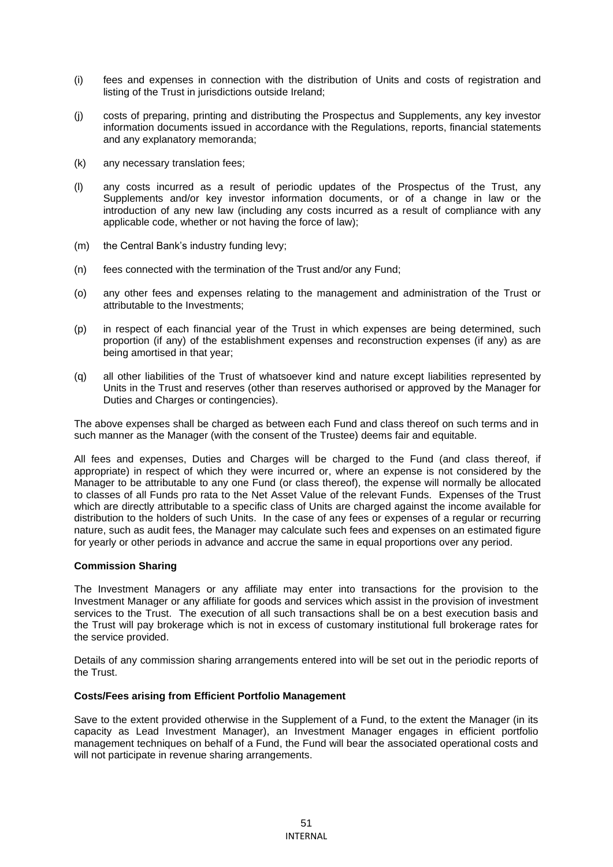- (i) fees and expenses in connection with the distribution of Units and costs of registration and listing of the Trust in jurisdictions outside Ireland;
- (j) costs of preparing, printing and distributing the Prospectus and Supplements, any key investor information documents issued in accordance with the Regulations, reports, financial statements and any explanatory memoranda;
- (k) any necessary translation fees;
- (l) any costs incurred as a result of periodic updates of the Prospectus of the Trust, any Supplements and/or key investor information documents, or of a change in law or the introduction of any new law (including any costs incurred as a result of compliance with any applicable code, whether or not having the force of law);
- (m) the Central Bank's industry funding levy;
- (n) fees connected with the termination of the Trust and/or any Fund;
- (o) any other fees and expenses relating to the management and administration of the Trust or attributable to the Investments;
- (p) in respect of each financial year of the Trust in which expenses are being determined, such proportion (if any) of the establishment expenses and reconstruction expenses (if any) as are being amortised in that year;
- (q) all other liabilities of the Trust of whatsoever kind and nature except liabilities represented by Units in the Trust and reserves (other than reserves authorised or approved by the Manager for Duties and Charges or contingencies).

The above expenses shall be charged as between each Fund and class thereof on such terms and in such manner as the Manager (with the consent of the Trustee) deems fair and equitable.

All fees and expenses, Duties and Charges will be charged to the Fund (and class thereof, if appropriate) in respect of which they were incurred or, where an expense is not considered by the Manager to be attributable to any one Fund (or class thereof), the expense will normally be allocated to classes of all Funds pro rata to the Net Asset Value of the relevant Funds. Expenses of the Trust which are directly attributable to a specific class of Units are charged against the income available for distribution to the holders of such Units. In the case of any fees or expenses of a regular or recurring nature, such as audit fees, the Manager may calculate such fees and expenses on an estimated figure for yearly or other periods in advance and accrue the same in equal proportions over any period.

# **Commission Sharing**

The Investment Managers or any affiliate may enter into transactions for the provision to the Investment Manager or any affiliate for goods and services which assist in the provision of investment services to the Trust. The execution of all such transactions shall be on a best execution basis and the Trust will pay brokerage which is not in excess of customary institutional full brokerage rates for the service provided.

Details of any commission sharing arrangements entered into will be set out in the periodic reports of the Trust.

#### **Costs/Fees arising from Efficient Portfolio Management**

Save to the extent provided otherwise in the Supplement of a Fund, to the extent the Manager (in its capacity as Lead Investment Manager), an Investment Manager engages in efficient portfolio management techniques on behalf of a Fund, the Fund will bear the associated operational costs and will not participate in revenue sharing arrangements.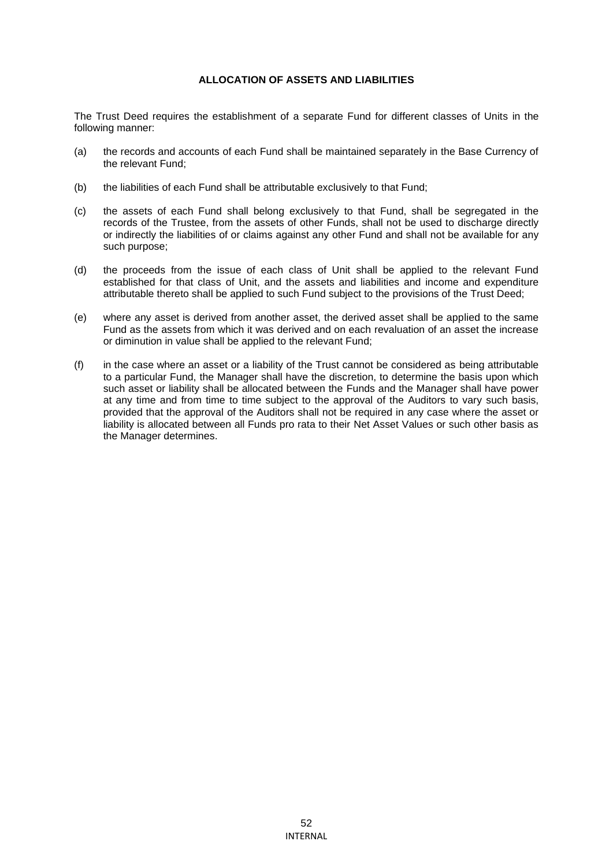# **ALLOCATION OF ASSETS AND LIABILITIES**

The Trust Deed requires the establishment of a separate Fund for different classes of Units in the following manner:

- (a) the records and accounts of each Fund shall be maintained separately in the Base Currency of the relevant Fund;
- (b) the liabilities of each Fund shall be attributable exclusively to that Fund;
- (c) the assets of each Fund shall belong exclusively to that Fund, shall be segregated in the records of the Trustee, from the assets of other Funds, shall not be used to discharge directly or indirectly the liabilities of or claims against any other Fund and shall not be available for any such purpose;
- (d) the proceeds from the issue of each class of Unit shall be applied to the relevant Fund established for that class of Unit, and the assets and liabilities and income and expenditure attributable thereto shall be applied to such Fund subject to the provisions of the Trust Deed;
- (e) where any asset is derived from another asset, the derived asset shall be applied to the same Fund as the assets from which it was derived and on each revaluation of an asset the increase or diminution in value shall be applied to the relevant Fund;
- (f) in the case where an asset or a liability of the Trust cannot be considered as being attributable to a particular Fund, the Manager shall have the discretion, to determine the basis upon which such asset or liability shall be allocated between the Funds and the Manager shall have power at any time and from time to time subject to the approval of the Auditors to vary such basis, provided that the approval of the Auditors shall not be required in any case where the asset or liability is allocated between all Funds pro rata to their Net Asset Values or such other basis as the Manager determines.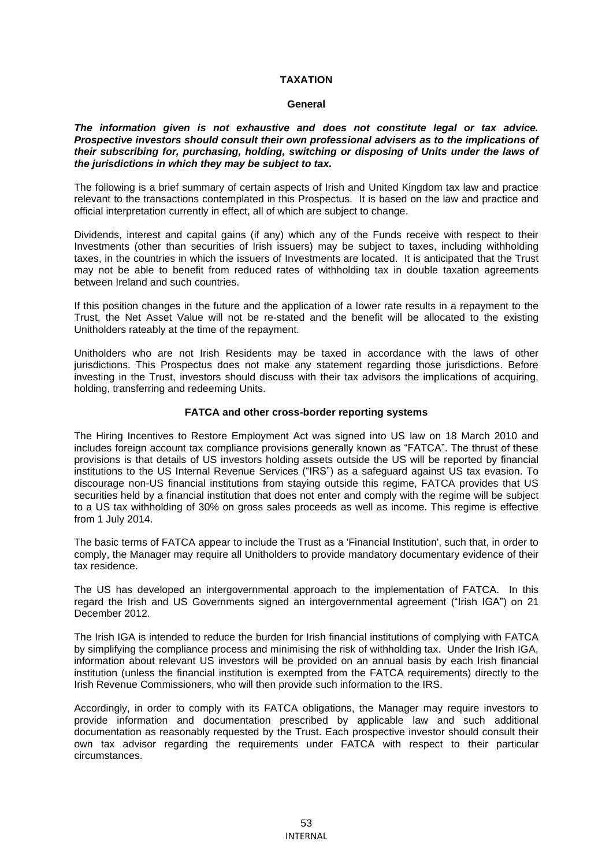# **TAXATION**

#### **General**

*The information given is not exhaustive and does not constitute legal or tax advice. Prospective investors should consult their own professional advisers as to the implications of their subscribing for, purchasing, holding, switching or disposing of Units under the laws of the jurisdictions in which they may be subject to tax.*

The following is a brief summary of certain aspects of Irish and United Kingdom tax law and practice relevant to the transactions contemplated in this Prospectus. It is based on the law and practice and official interpretation currently in effect, all of which are subject to change.

Dividends, interest and capital gains (if any) which any of the Funds receive with respect to their Investments (other than securities of Irish issuers) may be subject to taxes, including withholding taxes, in the countries in which the issuers of Investments are located. It is anticipated that the Trust may not be able to benefit from reduced rates of withholding tax in double taxation agreements between Ireland and such countries.

If this position changes in the future and the application of a lower rate results in a repayment to the Trust, the Net Asset Value will not be re-stated and the benefit will be allocated to the existing Unitholders rateably at the time of the repayment.

Unitholders who are not Irish Residents may be taxed in accordance with the laws of other jurisdictions. This Prospectus does not make any statement regarding those jurisdictions. Before investing in the Trust, investors should discuss with their tax advisors the implications of acquiring, holding, transferring and redeeming Units.

#### **FATCA and other cross-border reporting systems**

The Hiring Incentives to Restore Employment Act was signed into US law on 18 March 2010 and includes foreign account tax compliance provisions generally known as "FATCA". The thrust of these provisions is that details of US investors holding assets outside the US will be reported by financial institutions to the US Internal Revenue Services ("IRS") as a safeguard against US tax evasion. To discourage non-US financial institutions from staying outside this regime, FATCA provides that US securities held by a financial institution that does not enter and comply with the regime will be subject to a US tax withholding of 30% on gross sales proceeds as well as income. This regime is effective from 1 July 2014.

The basic terms of FATCA appear to include the Trust as a 'Financial Institution', such that, in order to comply, the Manager may require all Unitholders to provide mandatory documentary evidence of their tax residence.

The US has developed an intergovernmental approach to the implementation of FATCA. In this regard the Irish and US Governments signed an intergovernmental agreement ("Irish IGA") on 21 December 2012.

The Irish IGA is intended to reduce the burden for Irish financial institutions of complying with FATCA by simplifying the compliance process and minimising the risk of withholding tax. Under the Irish IGA, information about relevant US investors will be provided on an annual basis by each Irish financial institution (unless the financial institution is exempted from the FATCA requirements) directly to the Irish Revenue Commissioners, who will then provide such information to the IRS.

Accordingly, in order to comply with its FATCA obligations, the Manager may require investors to provide information and documentation prescribed by applicable law and such additional documentation as reasonably requested by the Trust. Each prospective investor should consult their own tax advisor regarding the requirements under FATCA with respect to their particular circumstances.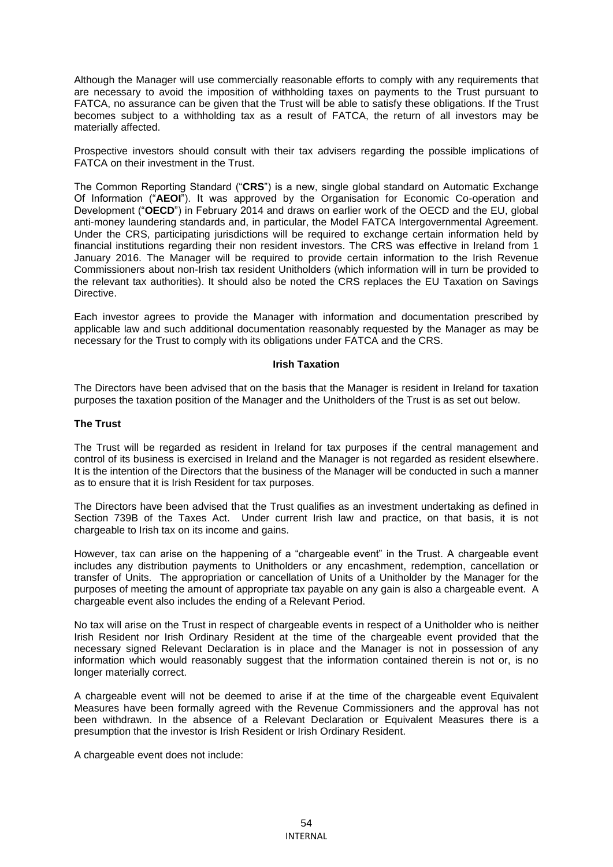Although the Manager will use commercially reasonable efforts to comply with any requirements that are necessary to avoid the imposition of withholding taxes on payments to the Trust pursuant to FATCA, no assurance can be given that the Trust will be able to satisfy these obligations. If the Trust becomes subject to a withholding tax as a result of FATCA, the return of all investors may be materially affected.

Prospective investors should consult with their tax advisers regarding the possible implications of FATCA on their investment in the Trust.

The Common Reporting Standard ("**CRS**") is a new, single global standard on Automatic Exchange Of Information ("**AEOI**"). It was approved by the Organisation for Economic Co-operation and Development ("**OECD**") in February 2014 and draws on earlier work of the OECD and the EU, global anti-money laundering standards and, in particular, the Model FATCA Intergovernmental Agreement. Under the CRS, participating jurisdictions will be required to exchange certain information held by financial institutions regarding their non resident investors. The CRS was effective in Ireland from 1 January 2016. The Manager will be required to provide certain information to the Irish Revenue Commissioners about non-Irish tax resident Unitholders (which information will in turn be provided to the relevant tax authorities). It should also be noted the CRS replaces the EU Taxation on Savings Directive.

Each investor agrees to provide the Manager with information and documentation prescribed by applicable law and such additional documentation reasonably requested by the Manager as may be necessary for the Trust to comply with its obligations under FATCA and the CRS.

#### **Irish Taxation**

The Directors have been advised that on the basis that the Manager is resident in Ireland for taxation purposes the taxation position of the Manager and the Unitholders of the Trust is as set out below.

#### **The Trust**

The Trust will be regarded as resident in Ireland for tax purposes if the central management and control of its business is exercised in Ireland and the Manager is not regarded as resident elsewhere. It is the intention of the Directors that the business of the Manager will be conducted in such a manner as to ensure that it is Irish Resident for tax purposes.

The Directors have been advised that the Trust qualifies as an investment undertaking as defined in Section 739B of the Taxes Act. Under current Irish law and practice, on that basis, it is not chargeable to Irish tax on its income and gains.

However, tax can arise on the happening of a "chargeable event" in the Trust. A chargeable event includes any distribution payments to Unitholders or any encashment, redemption, cancellation or transfer of Units. The appropriation or cancellation of Units of a Unitholder by the Manager for the purposes of meeting the amount of appropriate tax payable on any gain is also a chargeable event. A chargeable event also includes the ending of a Relevant Period.

No tax will arise on the Trust in respect of chargeable events in respect of a Unitholder who is neither Irish Resident nor Irish Ordinary Resident at the time of the chargeable event provided that the necessary signed Relevant Declaration is in place and the Manager is not in possession of any information which would reasonably suggest that the information contained therein is not or, is no longer materially correct.

A chargeable event will not be deemed to arise if at the time of the chargeable event Equivalent Measures have been formally agreed with the Revenue Commissioners and the approval has not been withdrawn. In the absence of a Relevant Declaration or Equivalent Measures there is a presumption that the investor is Irish Resident or Irish Ordinary Resident.

A chargeable event does not include: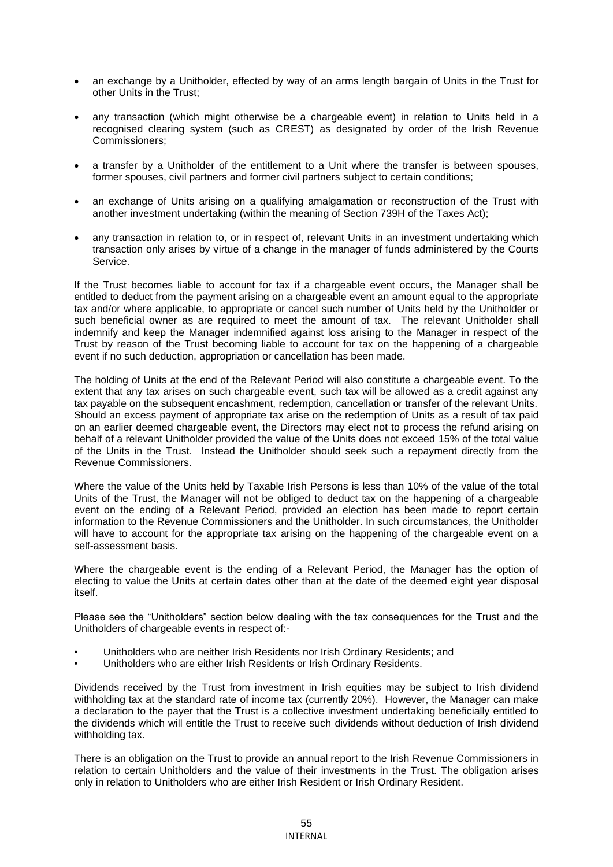- an exchange by a Unitholder, effected by way of an arms length bargain of Units in the Trust for other Units in the Trust;
- any transaction (which might otherwise be a chargeable event) in relation to Units held in a recognised clearing system (such as CREST) as designated by order of the Irish Revenue Commissioners;
- a transfer by a Unitholder of the entitlement to a Unit where the transfer is between spouses, former spouses, civil partners and former civil partners subject to certain conditions;
- an exchange of Units arising on a qualifying amalgamation or reconstruction of the Trust with another investment undertaking (within the meaning of Section 739H of the Taxes Act);
- any transaction in relation to, or in respect of, relevant Units in an investment undertaking which transaction only arises by virtue of a change in the manager of funds administered by the Courts Service.

If the Trust becomes liable to account for tax if a chargeable event occurs, the Manager shall be entitled to deduct from the payment arising on a chargeable event an amount equal to the appropriate tax and/or where applicable, to appropriate or cancel such number of Units held by the Unitholder or such beneficial owner as are required to meet the amount of tax. The relevant Unitholder shall indemnify and keep the Manager indemnified against loss arising to the Manager in respect of the Trust by reason of the Trust becoming liable to account for tax on the happening of a chargeable event if no such deduction, appropriation or cancellation has been made.

The holding of Units at the end of the Relevant Period will also constitute a chargeable event. To the extent that any tax arises on such chargeable event, such tax will be allowed as a credit against any tax payable on the subsequent encashment, redemption, cancellation or transfer of the relevant Units. Should an excess payment of appropriate tax arise on the redemption of Units as a result of tax paid on an earlier deemed chargeable event, the Directors may elect not to process the refund arising on behalf of a relevant Unitholder provided the value of the Units does not exceed 15% of the total value of the Units in the Trust. Instead the Unitholder should seek such a repayment directly from the Revenue Commissioners.

Where the value of the Units held by Taxable Irish Persons is less than 10% of the value of the total Units of the Trust, the Manager will not be obliged to deduct tax on the happening of a chargeable event on the ending of a Relevant Period, provided an election has been made to report certain information to the Revenue Commissioners and the Unitholder. In such circumstances, the Unitholder will have to account for the appropriate tax arising on the happening of the chargeable event on a self-assessment basis.

Where the chargeable event is the ending of a Relevant Period, the Manager has the option of electing to value the Units at certain dates other than at the date of the deemed eight year disposal itself.

Please see the "Unitholders" section below dealing with the tax consequences for the Trust and the Unitholders of chargeable events in respect of:-

- Unitholders who are neither Irish Residents nor Irish Ordinary Residents; and
- Unitholders who are either Irish Residents or Irish Ordinary Residents.

Dividends received by the Trust from investment in Irish equities may be subject to Irish dividend withholding tax at the standard rate of income tax (currently 20%). However, the Manager can make a declaration to the payer that the Trust is a collective investment undertaking beneficially entitled to the dividends which will entitle the Trust to receive such dividends without deduction of Irish dividend withholding tax.

There is an obligation on the Trust to provide an annual report to the Irish Revenue Commissioners in relation to certain Unitholders and the value of their investments in the Trust. The obligation arises only in relation to Unitholders who are either Irish Resident or Irish Ordinary Resident.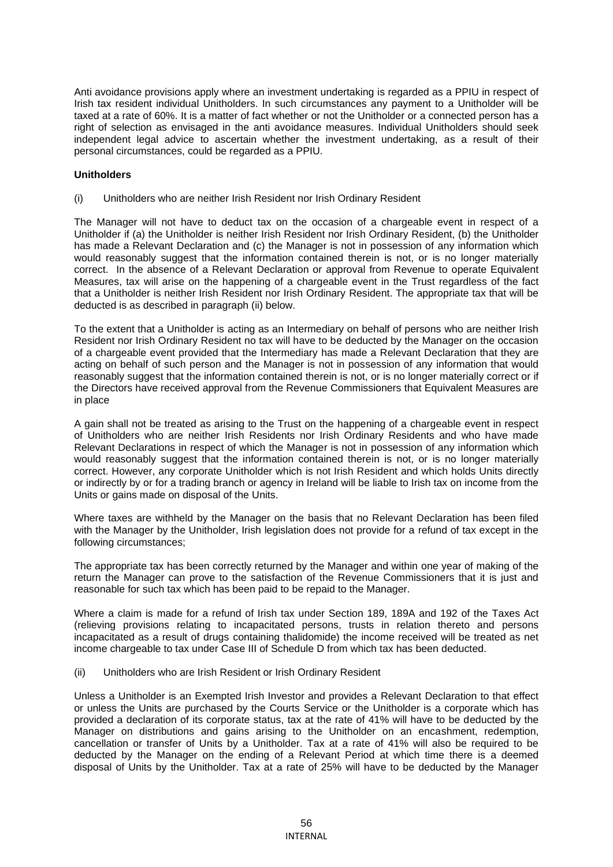Anti avoidance provisions apply where an investment undertaking is regarded as a PPIU in respect of Irish tax resident individual Unitholders. In such circumstances any payment to a Unitholder will be taxed at a rate of 60%. It is a matter of fact whether or not the Unitholder or a connected person has a right of selection as envisaged in the anti avoidance measures. Individual Unitholders should seek independent legal advice to ascertain whether the investment undertaking, as a result of their personal circumstances, could be regarded as a PPIU.

# **Unitholders**

(i) Unitholders who are neither Irish Resident nor Irish Ordinary Resident

The Manager will not have to deduct tax on the occasion of a chargeable event in respect of a Unitholder if (a) the Unitholder is neither Irish Resident nor Irish Ordinary Resident, (b) the Unitholder has made a Relevant Declaration and (c) the Manager is not in possession of any information which would reasonably suggest that the information contained therein is not, or is no longer materially correct. In the absence of a Relevant Declaration or approval from Revenue to operate Equivalent Measures, tax will arise on the happening of a chargeable event in the Trust regardless of the fact that a Unitholder is neither Irish Resident nor Irish Ordinary Resident. The appropriate tax that will be deducted is as described in paragraph (ii) below.

To the extent that a Unitholder is acting as an Intermediary on behalf of persons who are neither Irish Resident nor Irish Ordinary Resident no tax will have to be deducted by the Manager on the occasion of a chargeable event provided that the Intermediary has made a Relevant Declaration that they are acting on behalf of such person and the Manager is not in possession of any information that would reasonably suggest that the information contained therein is not, or is no longer materially correct or if the Directors have received approval from the Revenue Commissioners that Equivalent Measures are in place

A gain shall not be treated as arising to the Trust on the happening of a chargeable event in respect of Unitholders who are neither Irish Residents nor Irish Ordinary Residents and who have made Relevant Declarations in respect of which the Manager is not in possession of any information which would reasonably suggest that the information contained therein is not, or is no longer materially correct. However, any corporate Unitholder which is not Irish Resident and which holds Units directly or indirectly by or for a trading branch or agency in Ireland will be liable to Irish tax on income from the Units or gains made on disposal of the Units.

Where taxes are withheld by the Manager on the basis that no Relevant Declaration has been filed with the Manager by the Unitholder, Irish legislation does not provide for a refund of tax except in the following circumstances;

The appropriate tax has been correctly returned by the Manager and within one year of making of the return the Manager can prove to the satisfaction of the Revenue Commissioners that it is just and reasonable for such tax which has been paid to be repaid to the Manager.

Where a claim is made for a refund of Irish tax under Section 189, 189A and 192 of the Taxes Act (relieving provisions relating to incapacitated persons, trusts in relation thereto and persons incapacitated as a result of drugs containing thalidomide) the income received will be treated as net income chargeable to tax under Case III of Schedule D from which tax has been deducted.

(ii) Unitholders who are Irish Resident or Irish Ordinary Resident

Unless a Unitholder is an Exempted Irish Investor and provides a Relevant Declaration to that effect or unless the Units are purchased by the Courts Service or the Unitholder is a corporate which has provided a declaration of its corporate status, tax at the rate of 41% will have to be deducted by the Manager on distributions and gains arising to the Unitholder on an encashment, redemption, cancellation or transfer of Units by a Unitholder. Tax at a rate of 41% will also be required to be deducted by the Manager on the ending of a Relevant Period at which time there is a deemed disposal of Units by the Unitholder. Tax at a rate of 25% will have to be deducted by the Manager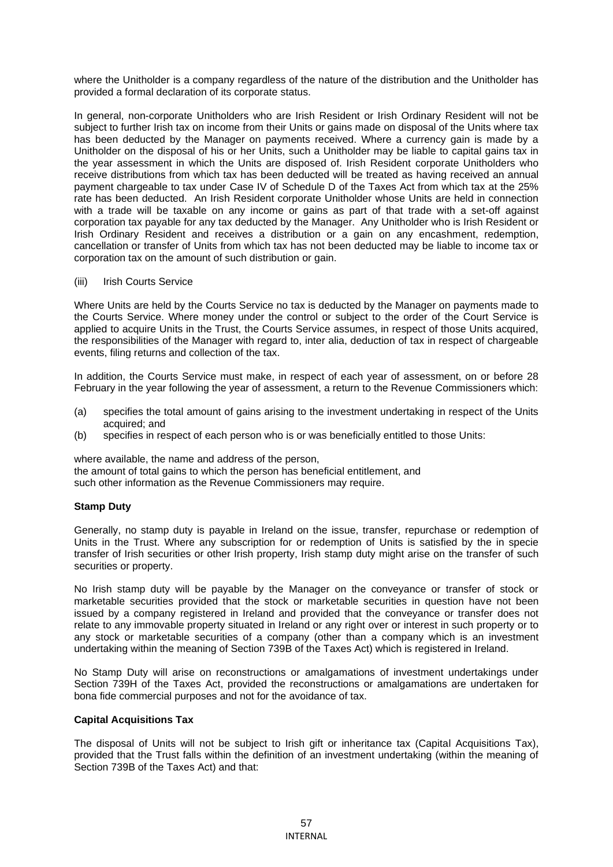where the Unitholder is a company regardless of the nature of the distribution and the Unitholder has provided a formal declaration of its corporate status.

In general, non-corporate Unitholders who are Irish Resident or Irish Ordinary Resident will not be subject to further Irish tax on income from their Units or gains made on disposal of the Units where tax has been deducted by the Manager on payments received. Where a currency gain is made by a Unitholder on the disposal of his or her Units, such a Unitholder may be liable to capital gains tax in the year assessment in which the Units are disposed of. Irish Resident corporate Unitholders who receive distributions from which tax has been deducted will be treated as having received an annual payment chargeable to tax under Case IV of Schedule D of the Taxes Act from which tax at the 25% rate has been deducted. An Irish Resident corporate Unitholder whose Units are held in connection with a trade will be taxable on any income or gains as part of that trade with a set-off against corporation tax payable for any tax deducted by the Manager. Any Unitholder who is Irish Resident or Irish Ordinary Resident and receives a distribution or a gain on any encashment, redemption, cancellation or transfer of Units from which tax has not been deducted may be liable to income tax or corporation tax on the amount of such distribution or gain.

(iii) Irish Courts Service

Where Units are held by the Courts Service no tax is deducted by the Manager on payments made to the Courts Service. Where money under the control or subject to the order of the Court Service is applied to acquire Units in the Trust, the Courts Service assumes, in respect of those Units acquired, the responsibilities of the Manager with regard to, inter alia, deduction of tax in respect of chargeable events, filing returns and collection of the tax.

In addition, the Courts Service must make, in respect of each year of assessment, on or before 28 February in the year following the year of assessment, a return to the Revenue Commissioners which:

- (a) specifies the total amount of gains arising to the investment undertaking in respect of the Units acquired; and
- (b) specifies in respect of each person who is or was beneficially entitled to those Units:

where available, the name and address of the person,

the amount of total gains to which the person has beneficial entitlement, and such other information as the Revenue Commissioners may require.

#### **Stamp Duty**

Generally, no stamp duty is payable in Ireland on the issue, transfer, repurchase or redemption of Units in the Trust. Where any subscription for or redemption of Units is satisfied by the in specie transfer of Irish securities or other Irish property, Irish stamp duty might arise on the transfer of such securities or property.

No Irish stamp duty will be payable by the Manager on the conveyance or transfer of stock or marketable securities provided that the stock or marketable securities in question have not been issued by a company registered in Ireland and provided that the conveyance or transfer does not relate to any immovable property situated in Ireland or any right over or interest in such property or to any stock or marketable securities of a company (other than a company which is an investment undertaking within the meaning of Section 739B of the Taxes Act) which is registered in Ireland.

No Stamp Duty will arise on reconstructions or amalgamations of investment undertakings under Section 739H of the Taxes Act, provided the reconstructions or amalgamations are undertaken for bona fide commercial purposes and not for the avoidance of tax.

# **Capital Acquisitions Tax**

The disposal of Units will not be subject to Irish gift or inheritance tax (Capital Acquisitions Tax), provided that the Trust falls within the definition of an investment undertaking (within the meaning of Section 739B of the Taxes Act) and that: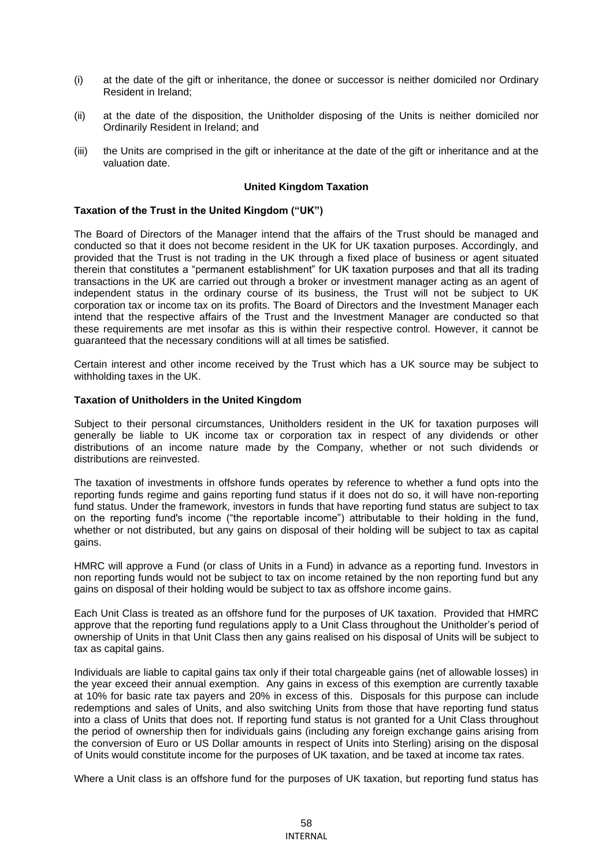- (i) at the date of the gift or inheritance, the donee or successor is neither domiciled nor Ordinary Resident in Ireland;
- (ii) at the date of the disposition, the Unitholder disposing of the Units is neither domiciled nor Ordinarily Resident in Ireland; and
- (iii) the Units are comprised in the gift or inheritance at the date of the gift or inheritance and at the valuation date.

### **United Kingdom Taxation**

# **Taxation of the Trust in the United Kingdom ("UK")**

The Board of Directors of the Manager intend that the affairs of the Trust should be managed and conducted so that it does not become resident in the UK for UK taxation purposes. Accordingly, and provided that the Trust is not trading in the UK through a fixed place of business or agent situated therein that constitutes a "permanent establishment" for UK taxation purposes and that all its trading transactions in the UK are carried out through a broker or investment manager acting as an agent of independent status in the ordinary course of its business, the Trust will not be subject to UK corporation tax or income tax on its profits. The Board of Directors and the Investment Manager each intend that the respective affairs of the Trust and the Investment Manager are conducted so that these requirements are met insofar as this is within their respective control. However, it cannot be guaranteed that the necessary conditions will at all times be satisfied.

Certain interest and other income received by the Trust which has a UK source may be subject to withholding taxes in the UK.

# **Taxation of Unitholders in the United Kingdom**

Subject to their personal circumstances, Unitholders resident in the UK for taxation purposes will generally be liable to UK income tax or corporation tax in respect of any dividends or other distributions of an income nature made by the Company, whether or not such dividends or distributions are reinvested.

The taxation of investments in offshore funds operates by reference to whether a fund opts into the reporting funds regime and gains reporting fund status if it does not do so, it will have non-reporting fund status. Under the framework, investors in funds that have reporting fund status are subject to tax on the reporting fund's income ("the reportable income") attributable to their holding in the fund, whether or not distributed, but any gains on disposal of their holding will be subject to tax as capital gains.

HMRC will approve a Fund (or class of Units in a Fund) in advance as a reporting fund. Investors in non reporting funds would not be subject to tax on income retained by the non reporting fund but any gains on disposal of their holding would be subject to tax as offshore income gains.

Each Unit Class is treated as an offshore fund for the purposes of UK taxation. Provided that HMRC approve that the reporting fund regulations apply to a Unit Class throughout the Unitholder's period of ownership of Units in that Unit Class then any gains realised on his disposal of Units will be subject to tax as capital gains.

Individuals are liable to capital gains tax only if their total chargeable gains (net of allowable losses) in the year exceed their annual exemption. Any gains in excess of this exemption are currently taxable at 10% for basic rate tax payers and 20% in excess of this. Disposals for this purpose can include redemptions and sales of Units, and also switching Units from those that have reporting fund status into a class of Units that does not. If reporting fund status is not granted for a Unit Class throughout the period of ownership then for individuals gains (including any foreign exchange gains arising from the conversion of Euro or US Dollar amounts in respect of Units into Sterling) arising on the disposal of Units would constitute income for the purposes of UK taxation, and be taxed at income tax rates.

Where a Unit class is an offshore fund for the purposes of UK taxation, but reporting fund status has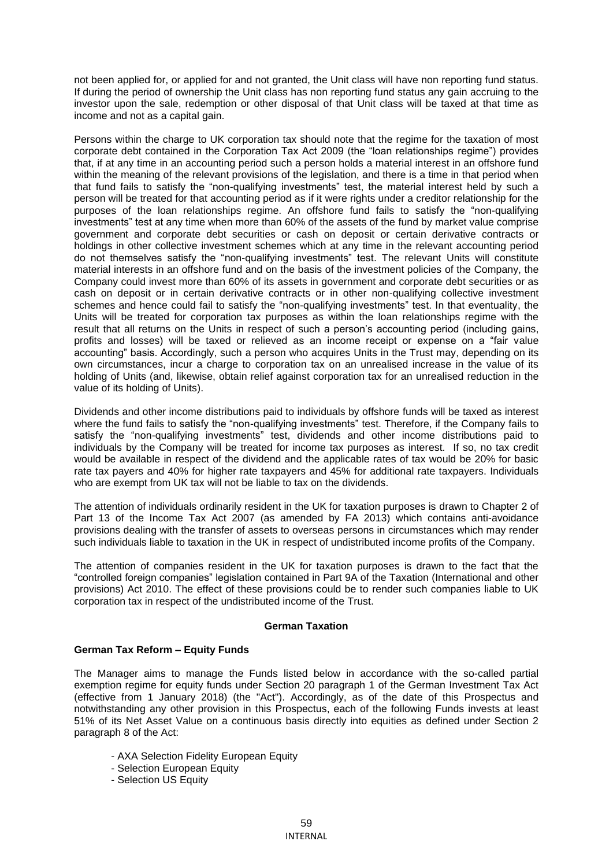not been applied for, or applied for and not granted, the Unit class will have non reporting fund status. If during the period of ownership the Unit class has non reporting fund status any gain accruing to the investor upon the sale, redemption or other disposal of that Unit class will be taxed at that time as income and not as a capital gain.

Persons within the charge to UK corporation tax should note that the regime for the taxation of most corporate debt contained in the Corporation Tax Act 2009 (the "loan relationships regime") provides that, if at any time in an accounting period such a person holds a material interest in an offshore fund within the meaning of the relevant provisions of the legislation, and there is a time in that period when that fund fails to satisfy the "non-qualifying investments" test, the material interest held by such a person will be treated for that accounting period as if it were rights under a creditor relationship for the purposes of the loan relationships regime. An offshore fund fails to satisfy the "non-qualifying investments" test at any time when more than 60% of the assets of the fund by market value comprise government and corporate debt securities or cash on deposit or certain derivative contracts or holdings in other collective investment schemes which at any time in the relevant accounting period do not themselves satisfy the "non-qualifying investments" test. The relevant Units will constitute material interests in an offshore fund and on the basis of the investment policies of the Company, the Company could invest more than 60% of its assets in government and corporate debt securities or as cash on deposit or in certain derivative contracts or in other non-qualifying collective investment schemes and hence could fail to satisfy the "non-qualifying investments" test. In that eventuality, the Units will be treated for corporation tax purposes as within the loan relationships regime with the result that all returns on the Units in respect of such a person's accounting period (including gains, profits and losses) will be taxed or relieved as an income receipt or expense on a "fair value accounting" basis. Accordingly, such a person who acquires Units in the Trust may, depending on its own circumstances, incur a charge to corporation tax on an unrealised increase in the value of its holding of Units (and, likewise, obtain relief against corporation tax for an unrealised reduction in the value of its holding of Units).

Dividends and other income distributions paid to individuals by offshore funds will be taxed as interest where the fund fails to satisfy the "non-qualifying investments" test. Therefore, if the Company fails to satisfy the "non-qualifying investments" test, dividends and other income distributions paid to individuals by the Company will be treated for income tax purposes as interest. If so, no tax credit would be available in respect of the dividend and the applicable rates of tax would be 20% for basic rate tax payers and 40% for higher rate taxpayers and 45% for additional rate taxpayers. Individuals who are exempt from UK tax will not be liable to tax on the dividends.

The attention of individuals ordinarily resident in the UK for taxation purposes is drawn to Chapter 2 of Part 13 of the Income Tax Act 2007 (as amended by FA 2013) which contains anti-avoidance provisions dealing with the transfer of assets to overseas persons in circumstances which may render such individuals liable to taxation in the UK in respect of undistributed income profits of the Company.

The attention of companies resident in the UK for taxation purposes is drawn to the fact that the "controlled foreign companies" legislation contained in Part 9A of the Taxation (International and other provisions) Act 2010. The effect of these provisions could be to render such companies liable to UK corporation tax in respect of the undistributed income of the Trust.

#### **German Taxation**

# **German Tax Reform – Equity Funds**

The Manager aims to manage the Funds listed below in accordance with the so-called partial exemption regime for equity funds under Section 20 paragraph 1 of the German Investment Tax Act (effective from 1 January 2018) (the "Act"). Accordingly, as of the date of this Prospectus and notwithstanding any other provision in this Prospectus, each of the following Funds invests at least 51% of its Net Asset Value on a continuous basis directly into equities as defined under Section 2 paragraph 8 of the Act:

- AXA Selection Fidelity European Equity
- Selection European Equity
- Selection US Equity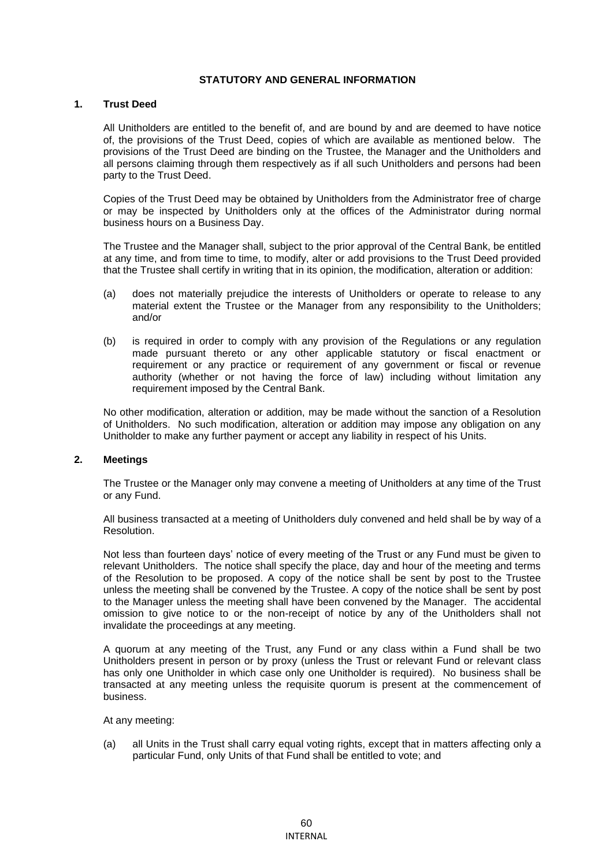# **STATUTORY AND GENERAL INFORMATION**

#### **1. Trust Deed**

All Unitholders are entitled to the benefit of, and are bound by and are deemed to have notice of, the provisions of the Trust Deed, copies of which are available as mentioned below. The provisions of the Trust Deed are binding on the Trustee, the Manager and the Unitholders and all persons claiming through them respectively as if all such Unitholders and persons had been party to the Trust Deed.

Copies of the Trust Deed may be obtained by Unitholders from the Administrator free of charge or may be inspected by Unitholders only at the offices of the Administrator during normal business hours on a Business Day.

The Trustee and the Manager shall, subject to the prior approval of the Central Bank, be entitled at any time, and from time to time, to modify, alter or add provisions to the Trust Deed provided that the Trustee shall certify in writing that in its opinion, the modification, alteration or addition:

- (a) does not materially prejudice the interests of Unitholders or operate to release to any material extent the Trustee or the Manager from any responsibility to the Unitholders; and/or
- (b) is required in order to comply with any provision of the Regulations or any regulation made pursuant thereto or any other applicable statutory or fiscal enactment or requirement or any practice or requirement of any government or fiscal or revenue authority (whether or not having the force of law) including without limitation any requirement imposed by the Central Bank.

No other modification, alteration or addition, may be made without the sanction of a Resolution of Unitholders. No such modification, alteration or addition may impose any obligation on any Unitholder to make any further payment or accept any liability in respect of his Units.

#### **2. Meetings**

The Trustee or the Manager only may convene a meeting of Unitholders at any time of the Trust or any Fund.

All business transacted at a meeting of Unitholders duly convened and held shall be by way of a Resolution.

Not less than fourteen days' notice of every meeting of the Trust or any Fund must be given to relevant Unitholders. The notice shall specify the place, day and hour of the meeting and terms of the Resolution to be proposed. A copy of the notice shall be sent by post to the Trustee unless the meeting shall be convened by the Trustee. A copy of the notice shall be sent by post to the Manager unless the meeting shall have been convened by the Manager. The accidental omission to give notice to or the non-receipt of notice by any of the Unitholders shall not invalidate the proceedings at any meeting.

A quorum at any meeting of the Trust, any Fund or any class within a Fund shall be two Unitholders present in person or by proxy (unless the Trust or relevant Fund or relevant class has only one Unitholder in which case only one Unitholder is required). No business shall be transacted at any meeting unless the requisite quorum is present at the commencement of business.

#### At any meeting:

(a) all Units in the Trust shall carry equal voting rights, except that in matters affecting only a particular Fund, only Units of that Fund shall be entitled to vote; and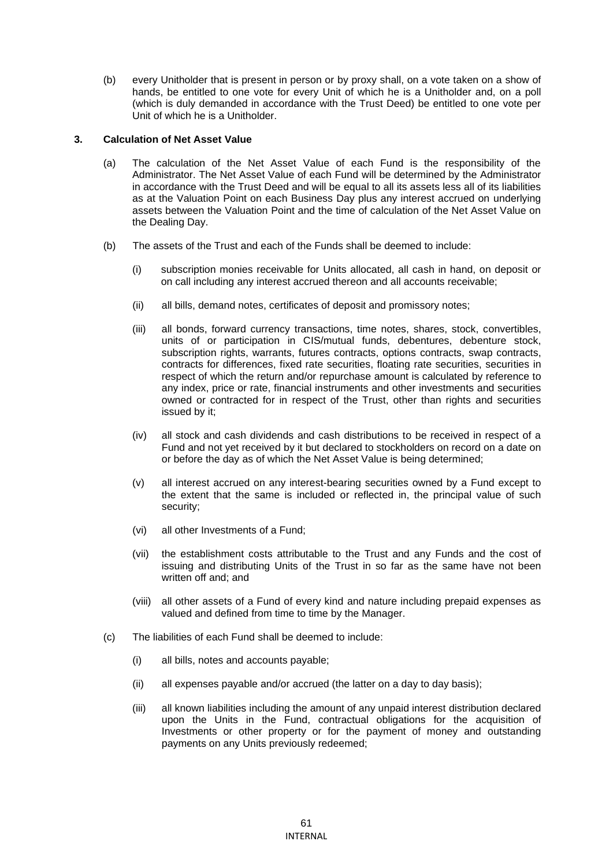(b) every Unitholder that is present in person or by proxy shall, on a vote taken on a show of hands, be entitled to one vote for every Unit of which he is a Unitholder and, on a poll (which is duly demanded in accordance with the Trust Deed) be entitled to one vote per Unit of which he is a Unitholder.

# **3. Calculation of Net Asset Value**

- (a) The calculation of the Net Asset Value of each Fund is the responsibility of the Administrator. The Net Asset Value of each Fund will be determined by the Administrator in accordance with the Trust Deed and will be equal to all its assets less all of its liabilities as at the Valuation Point on each Business Day plus any interest accrued on underlying assets between the Valuation Point and the time of calculation of the Net Asset Value on the Dealing Day.
- (b) The assets of the Trust and each of the Funds shall be deemed to include:
	- (i) subscription monies receivable for Units allocated, all cash in hand, on deposit or on call including any interest accrued thereon and all accounts receivable;
	- (ii) all bills, demand notes, certificates of deposit and promissory notes;
	- (iii) all bonds, forward currency transactions, time notes, shares, stock, convertibles, units of or participation in CIS/mutual funds, debentures, debenture stock, subscription rights, warrants, futures contracts, options contracts, swap contracts, contracts for differences, fixed rate securities, floating rate securities, securities in respect of which the return and/or repurchase amount is calculated by reference to any index, price or rate, financial instruments and other investments and securities owned or contracted for in respect of the Trust, other than rights and securities issued by it;
	- (iv) all stock and cash dividends and cash distributions to be received in respect of a Fund and not yet received by it but declared to stockholders on record on a date on or before the day as of which the Net Asset Value is being determined;
	- (v) all interest accrued on any interest-bearing securities owned by a Fund except to the extent that the same is included or reflected in, the principal value of such security;
	- (vi) all other Investments of a Fund;
	- (vii) the establishment costs attributable to the Trust and any Funds and the cost of issuing and distributing Units of the Trust in so far as the same have not been written off and; and
	- (viii) all other assets of a Fund of every kind and nature including prepaid expenses as valued and defined from time to time by the Manager.
- (c) The liabilities of each Fund shall be deemed to include:
	- (i) all bills, notes and accounts payable;
	- (ii) all expenses payable and/or accrued (the latter on a day to day basis);
	- (iii) all known liabilities including the amount of any unpaid interest distribution declared upon the Units in the Fund, contractual obligations for the acquisition of Investments or other property or for the payment of money and outstanding payments on any Units previously redeemed;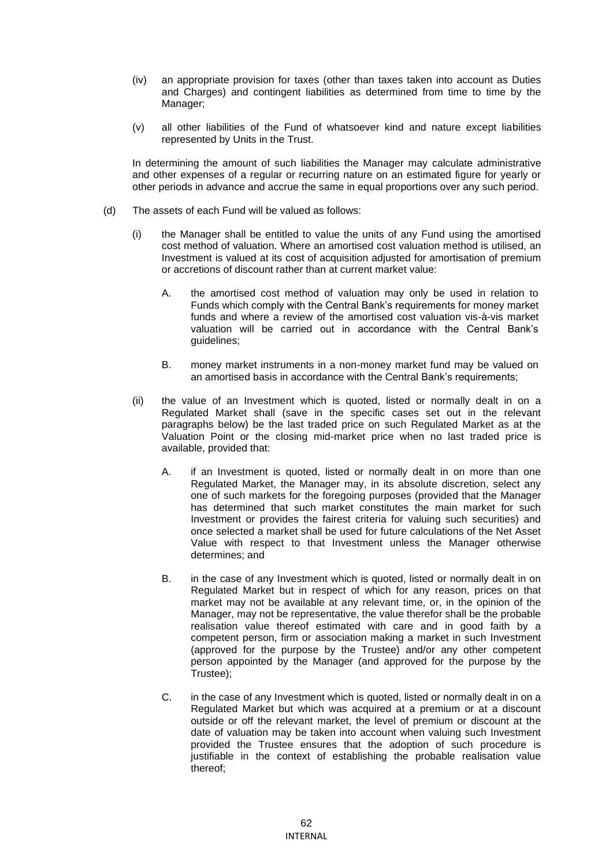- (iv) an appropriate provision for taxes (other than taxes taken into account as Duties and Charges) and contingent liabilities as determined from time to time by the Manager;
- (v) all other liabilities of the Fund of whatsoever kind and nature except liabilities represented by Units in the Trust.

In determining the amount of such liabilities the Manager may calculate administrative and other expenses of a regular or recurring nature on an estimated figure for yearly or other periods in advance and accrue the same in equal proportions over any such period.

- (d) The assets of each Fund will be valued as follows:
	- (i) the Manager shall be entitled to value the units of any Fund using the amortised cost method of valuation. Where an amortised cost valuation method is utilised, an Investment is valued at its cost of acquisition adjusted for amortisation of premium or accretions of discount rather than at current market value:
		- A. the amortised cost method of valuation may only be used in relation to Funds which comply with the Central Bank's requirements for money market funds and where a review of the amortised cost valuation vis-à-vis market valuation will be carried out in accordance with the Central Bank's guidelines;
		- B. money market instruments in a non-money market fund may be valued on an amortised basis in accordance with the Central Bank's requirements;
	- (ii) the value of an Investment which is quoted, listed or normally dealt in on a Regulated Market shall (save in the specific cases set out in the relevant paragraphs below) be the last traded price on such Regulated Market as at the Valuation Point or the closing mid-market price when no last traded price is available, provided that:
		- A. if an Investment is quoted, listed or normally dealt in on more than one Regulated Market, the Manager may, in its absolute discretion, select any one of such markets for the foregoing purposes (provided that the Manager has determined that such market constitutes the main market for such Investment or provides the fairest criteria for valuing such securities) and once selected a market shall be used for future calculations of the Net Asset Value with respect to that Investment unless the Manager otherwise determines; and
		- B. in the case of any Investment which is quoted, listed or normally dealt in on Regulated Market but in respect of which for any reason, prices on that market may not be available at any relevant time, or, in the opinion of the Manager, may not be representative, the value therefor shall be the probable realisation value thereof estimated with care and in good faith by a competent person, firm or association making a market in such Investment (approved for the purpose by the Trustee) and/or any other competent person appointed by the Manager (and approved for the purpose by the Trustee);
		- C. in the case of any Investment which is quoted, listed or normally dealt in on a Regulated Market but which was acquired at a premium or at a discount outside or off the relevant market, the level of premium or discount at the date of valuation may be taken into account when valuing such Investment provided the Trustee ensures that the adoption of such procedure is justifiable in the context of establishing the probable realisation value thereof;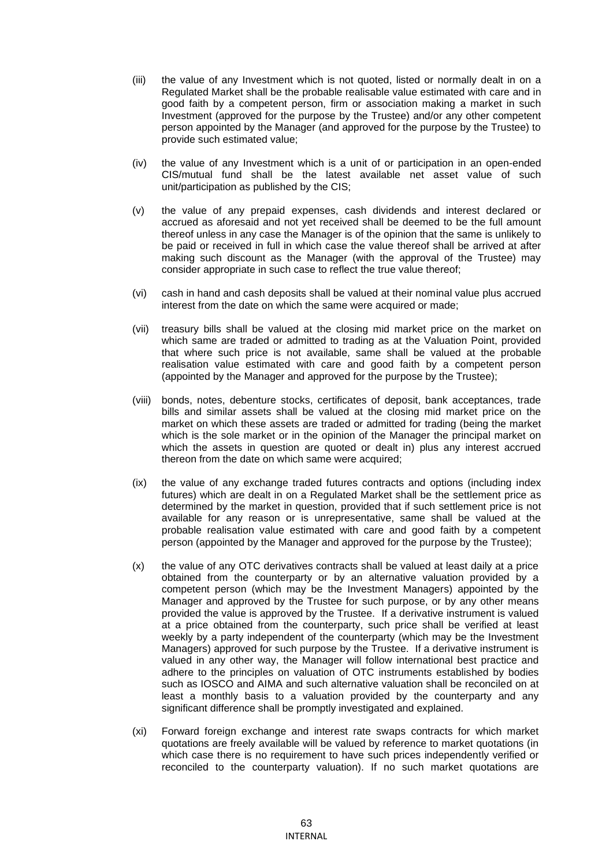- (iii) the value of any Investment which is not quoted, listed or normally dealt in on a Regulated Market shall be the probable realisable value estimated with care and in good faith by a competent person, firm or association making a market in such Investment (approved for the purpose by the Trustee) and/or any other competent person appointed by the Manager (and approved for the purpose by the Trustee) to provide such estimated value;
- (iv) the value of any Investment which is a unit of or participation in an open-ended CIS/mutual fund shall be the latest available net asset value of such unit/participation as published by the CIS;
- (v) the value of any prepaid expenses, cash dividends and interest declared or accrued as aforesaid and not yet received shall be deemed to be the full amount thereof unless in any case the Manager is of the opinion that the same is unlikely to be paid or received in full in which case the value thereof shall be arrived at after making such discount as the Manager (with the approval of the Trustee) may consider appropriate in such case to reflect the true value thereof;
- (vi) cash in hand and cash deposits shall be valued at their nominal value plus accrued interest from the date on which the same were acquired or made;
- (vii) treasury bills shall be valued at the closing mid market price on the market on which same are traded or admitted to trading as at the Valuation Point, provided that where such price is not available, same shall be valued at the probable realisation value estimated with care and good faith by a competent person (appointed by the Manager and approved for the purpose by the Trustee);
- (viii) bonds, notes, debenture stocks, certificates of deposit, bank acceptances, trade bills and similar assets shall be valued at the closing mid market price on the market on which these assets are traded or admitted for trading (being the market which is the sole market or in the opinion of the Manager the principal market on which the assets in question are quoted or dealt in) plus any interest accrued thereon from the date on which same were acquired;
- (ix) the value of any exchange traded futures contracts and options (including index futures) which are dealt in on a Regulated Market shall be the settlement price as determined by the market in question, provided that if such settlement price is not available for any reason or is unrepresentative, same shall be valued at the probable realisation value estimated with care and good faith by a competent person (appointed by the Manager and approved for the purpose by the Trustee);
- (x) the value of any OTC derivatives contracts shall be valued at least daily at a price obtained from the counterparty or by an alternative valuation provided by a competent person (which may be the Investment Managers) appointed by the Manager and approved by the Trustee for such purpose, or by any other means provided the value is approved by the Trustee. If a derivative instrument is valued at a price obtained from the counterparty, such price shall be verified at least weekly by a party independent of the counterparty (which may be the Investment Managers) approved for such purpose by the Trustee. If a derivative instrument is valued in any other way, the Manager will follow international best practice and adhere to the principles on valuation of OTC instruments established by bodies such as IOSCO and AIMA and such alternative valuation shall be reconciled on at least a monthly basis to a valuation provided by the counterparty and any significant difference shall be promptly investigated and explained.
- (xi) Forward foreign exchange and interest rate swaps contracts for which market quotations are freely available will be valued by reference to market quotations (in which case there is no requirement to have such prices independently verified or reconciled to the counterparty valuation). If no such market quotations are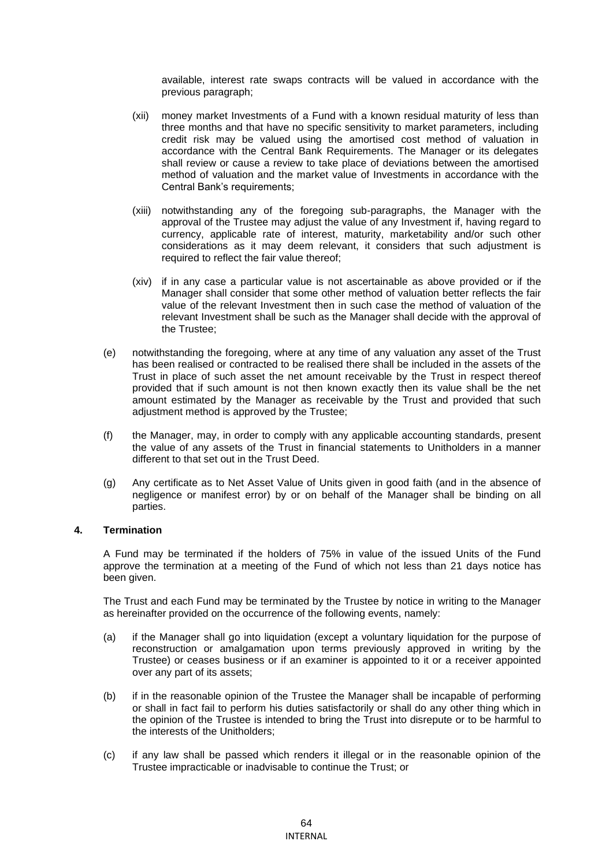available, interest rate swaps contracts will be valued in accordance with the previous paragraph;

- (xii) money market Investments of a Fund with a known residual maturity of less than three months and that have no specific sensitivity to market parameters, including credit risk may be valued using the amortised cost method of valuation in accordance with the Central Bank Requirements. The Manager or its delegates shall review or cause a review to take place of deviations between the amortised method of valuation and the market value of Investments in accordance with the Central Bank's requirements;
- (xiii) notwithstanding any of the foregoing sub-paragraphs, the Manager with the approval of the Trustee may adjust the value of any Investment if, having regard to currency, applicable rate of interest, maturity, marketability and/or such other considerations as it may deem relevant, it considers that such adjustment is required to reflect the fair value thereof;
- (xiv) if in any case a particular value is not ascertainable as above provided or if the Manager shall consider that some other method of valuation better reflects the fair value of the relevant Investment then in such case the method of valuation of the relevant Investment shall be such as the Manager shall decide with the approval of the Trustee;
- (e) notwithstanding the foregoing, where at any time of any valuation any asset of the Trust has been realised or contracted to be realised there shall be included in the assets of the Trust in place of such asset the net amount receivable by the Trust in respect thereof provided that if such amount is not then known exactly then its value shall be the net amount estimated by the Manager as receivable by the Trust and provided that such adjustment method is approved by the Trustee;
- (f) the Manager, may, in order to comply with any applicable accounting standards, present the value of any assets of the Trust in financial statements to Unitholders in a manner different to that set out in the Trust Deed.
- (g) Any certificate as to Net Asset Value of Units given in good faith (and in the absence of negligence or manifest error) by or on behalf of the Manager shall be binding on all parties.

#### **4. Termination**

A Fund may be terminated if the holders of 75% in value of the issued Units of the Fund approve the termination at a meeting of the Fund of which not less than 21 days notice has been given.

The Trust and each Fund may be terminated by the Trustee by notice in writing to the Manager as hereinafter provided on the occurrence of the following events, namely:

- (a) if the Manager shall go into liquidation (except a voluntary liquidation for the purpose of reconstruction or amalgamation upon terms previously approved in writing by the Trustee) or ceases business or if an examiner is appointed to it or a receiver appointed over any part of its assets;
- (b) if in the reasonable opinion of the Trustee the Manager shall be incapable of performing or shall in fact fail to perform his duties satisfactorily or shall do any other thing which in the opinion of the Trustee is intended to bring the Trust into disrepute or to be harmful to the interests of the Unitholders;
- (c) if any law shall be passed which renders it illegal or in the reasonable opinion of the Trustee impracticable or inadvisable to continue the Trust; or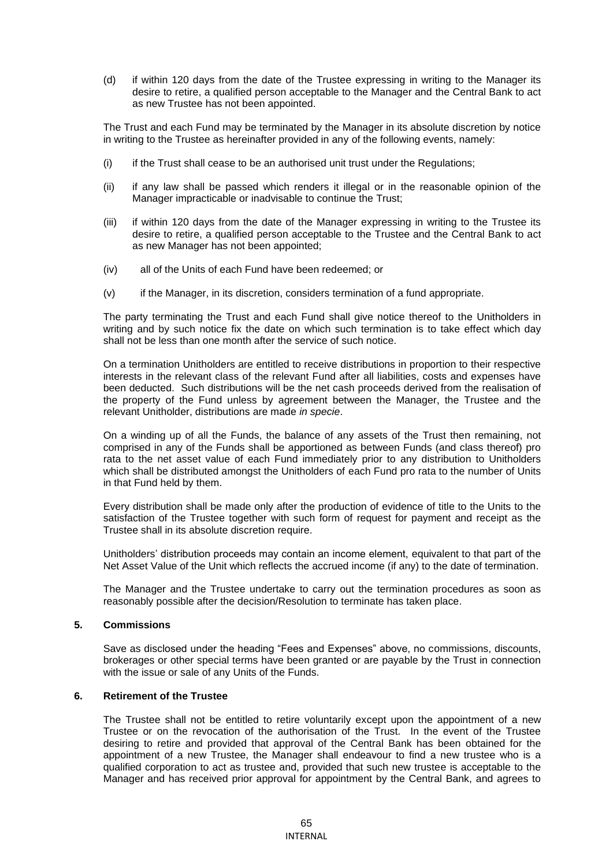(d) if within 120 days from the date of the Trustee expressing in writing to the Manager its desire to retire, a qualified person acceptable to the Manager and the Central Bank to act as new Trustee has not been appointed.

The Trust and each Fund may be terminated by the Manager in its absolute discretion by notice in writing to the Trustee as hereinafter provided in any of the following events, namely:

- (i) if the Trust shall cease to be an authorised unit trust under the Regulations;
- (ii) if any law shall be passed which renders it illegal or in the reasonable opinion of the Manager impracticable or inadvisable to continue the Trust;
- (iii) if within 120 days from the date of the Manager expressing in writing to the Trustee its desire to retire, a qualified person acceptable to the Trustee and the Central Bank to act as new Manager has not been appointed;
- (iv) all of the Units of each Fund have been redeemed; or
- (v) if the Manager, in its discretion, considers termination of a fund appropriate.

The party terminating the Trust and each Fund shall give notice thereof to the Unitholders in writing and by such notice fix the date on which such termination is to take effect which day shall not be less than one month after the service of such notice.

On a termination Unitholders are entitled to receive distributions in proportion to their respective interests in the relevant class of the relevant Fund after all liabilities, costs and expenses have been deducted. Such distributions will be the net cash proceeds derived from the realisation of the property of the Fund unless by agreement between the Manager, the Trustee and the relevant Unitholder, distributions are made *in specie*.

On a winding up of all the Funds, the balance of any assets of the Trust then remaining, not comprised in any of the Funds shall be apportioned as between Funds (and class thereof) pro rata to the net asset value of each Fund immediately prior to any distribution to Unitholders which shall be distributed amongst the Unitholders of each Fund pro rata to the number of Units in that Fund held by them.

Every distribution shall be made only after the production of evidence of title to the Units to the satisfaction of the Trustee together with such form of request for payment and receipt as the Trustee shall in its absolute discretion require.

Unitholders' distribution proceeds may contain an income element, equivalent to that part of the Net Asset Value of the Unit which reflects the accrued income (if any) to the date of termination.

The Manager and the Trustee undertake to carry out the termination procedures as soon as reasonably possible after the decision/Resolution to terminate has taken place.

# **5. Commissions**

Save as disclosed under the heading "Fees and Expenses" above, no commissions, discounts, brokerages or other special terms have been granted or are payable by the Trust in connection with the issue or sale of any Units of the Funds.

#### **6. Retirement of the Trustee**

The Trustee shall not be entitled to retire voluntarily except upon the appointment of a new Trustee or on the revocation of the authorisation of the Trust. In the event of the Trustee desiring to retire and provided that approval of the Central Bank has been obtained for the appointment of a new Trustee, the Manager shall endeavour to find a new trustee who is a qualified corporation to act as trustee and, provided that such new trustee is acceptable to the Manager and has received prior approval for appointment by the Central Bank, and agrees to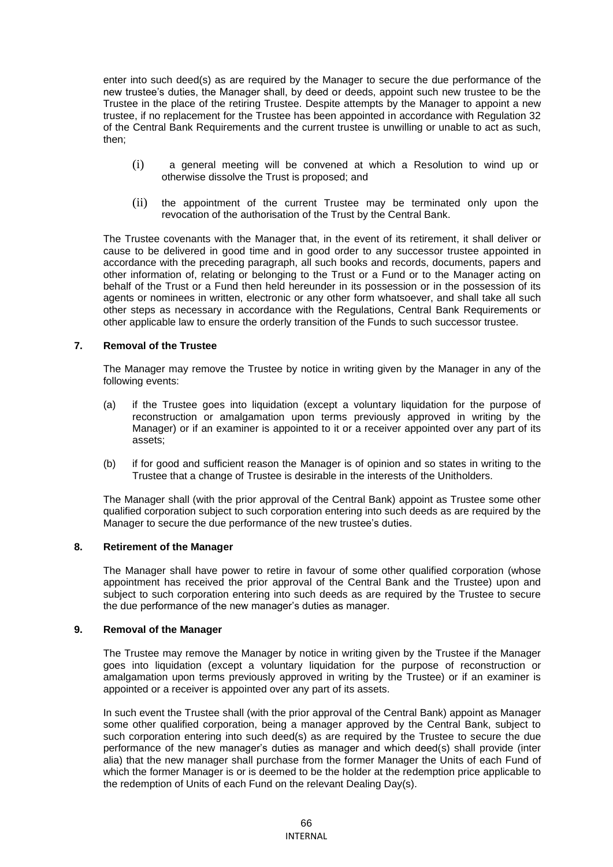enter into such deed(s) as are required by the Manager to secure the due performance of the new trustee's duties, the Manager shall, by deed or deeds, appoint such new trustee to be the Trustee in the place of the retiring Trustee. Despite attempts by the Manager to appoint a new trustee, if no replacement for the Trustee has been appointed in accordance with Regulation 32 of the Central Bank Requirements and the current trustee is unwilling or unable to act as such, then;

- (i) a general meeting will be convened at which a Resolution to wind up or otherwise dissolve the Trust is proposed; and
- (ii) the appointment of the current Trustee may be terminated only upon the revocation of the authorisation of the Trust by the Central Bank.

The Trustee covenants with the Manager that, in the event of its retirement, it shall deliver or cause to be delivered in good time and in good order to any successor trustee appointed in accordance with the preceding paragraph, all such books and records, documents, papers and other information of, relating or belonging to the Trust or a Fund or to the Manager acting on behalf of the Trust or a Fund then held hereunder in its possession or in the possession of its agents or nominees in written, electronic or any other form whatsoever, and shall take all such other steps as necessary in accordance with the Regulations, Central Bank Requirements or other applicable law to ensure the orderly transition of the Funds to such successor trustee.

# **7. Removal of the Trustee**

The Manager may remove the Trustee by notice in writing given by the Manager in any of the following events:

- (a) if the Trustee goes into liquidation (except a voluntary liquidation for the purpose of reconstruction or amalgamation upon terms previously approved in writing by the Manager) or if an examiner is appointed to it or a receiver appointed over any part of its assets;
- (b) if for good and sufficient reason the Manager is of opinion and so states in writing to the Trustee that a change of Trustee is desirable in the interests of the Unitholders.

The Manager shall (with the prior approval of the Central Bank) appoint as Trustee some other qualified corporation subject to such corporation entering into such deeds as are required by the Manager to secure the due performance of the new trustee's duties.

#### **8. Retirement of the Manager**

The Manager shall have power to retire in favour of some other qualified corporation (whose appointment has received the prior approval of the Central Bank and the Trustee) upon and subject to such corporation entering into such deeds as are required by the Trustee to secure the due performance of the new manager's duties as manager.

#### **9. Removal of the Manager**

The Trustee may remove the Manager by notice in writing given by the Trustee if the Manager goes into liquidation (except a voluntary liquidation for the purpose of reconstruction or amalgamation upon terms previously approved in writing by the Trustee) or if an examiner is appointed or a receiver is appointed over any part of its assets.

In such event the Trustee shall (with the prior approval of the Central Bank) appoint as Manager some other qualified corporation, being a manager approved by the Central Bank, subject to such corporation entering into such deed(s) as are required by the Trustee to secure the due performance of the new manager's duties as manager and which deed(s) shall provide (inter alia) that the new manager shall purchase from the former Manager the Units of each Fund of which the former Manager is or is deemed to be the holder at the redemption price applicable to the redemption of Units of each Fund on the relevant Dealing Day(s).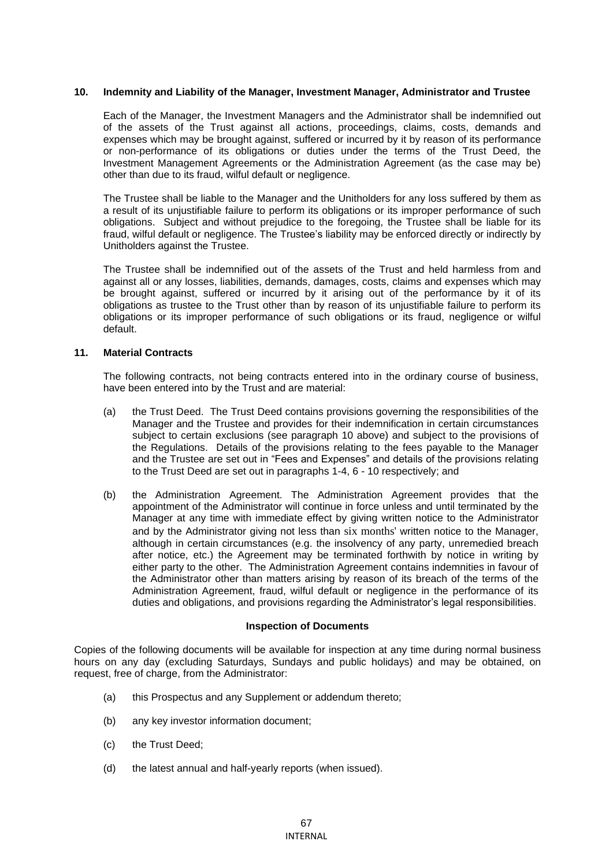### **10. Indemnity and Liability of the Manager, Investment Manager, Administrator and Trustee**

Each of the Manager, the Investment Managers and the Administrator shall be indemnified out of the assets of the Trust against all actions, proceedings, claims, costs, demands and expenses which may be brought against, suffered or incurred by it by reason of its performance or non-performance of its obligations or duties under the terms of the Trust Deed, the Investment Management Agreements or the Administration Agreement (as the case may be) other than due to its fraud, wilful default or negligence.

The Trustee shall be liable to the Manager and the Unitholders for any loss suffered by them as a result of its unjustifiable failure to perform its obligations or its improper performance of such obligations. Subject and without prejudice to the foregoing, the Trustee shall be liable for its fraud, wilful default or negligence. The Trustee's liability may be enforced directly or indirectly by Unitholders against the Trustee.

The Trustee shall be indemnified out of the assets of the Trust and held harmless from and against all or any losses, liabilities, demands, damages, costs, claims and expenses which may be brought against, suffered or incurred by it arising out of the performance by it of its obligations as trustee to the Trust other than by reason of its unjustifiable failure to perform its obligations or its improper performance of such obligations or its fraud, negligence or wilful default.

# **11. Material Contracts**

The following contracts, not being contracts entered into in the ordinary course of business, have been entered into by the Trust and are material:

- (a) the Trust Deed. The Trust Deed contains provisions governing the responsibilities of the Manager and the Trustee and provides for their indemnification in certain circumstances subject to certain exclusions (see paragraph 10 above) and subject to the provisions of the Regulations. Details of the provisions relating to the fees payable to the Manager and the Trustee are set out in "Fees and Expenses" and details of the provisions relating to the Trust Deed are set out in paragraphs 1-4, 6 - 10 respectively; and
- (b) the Administration Agreement. The Administration Agreement provides that the appointment of the Administrator will continue in force unless and until terminated by the Manager at any time with immediate effect by giving written notice to the Administrator and by the Administrator giving not less than six months' written notice to the Manager, although in certain circumstances (e.g. the insolvency of any party, unremedied breach after notice, etc.) the Agreement may be terminated forthwith by notice in writing by either party to the other. The Administration Agreement contains indemnities in favour of the Administrator other than matters arising by reason of its breach of the terms of the Administration Agreement, fraud, wilful default or negligence in the performance of its duties and obligations, and provisions regarding the Administrator's legal responsibilities.

#### **Inspection of Documents**

Copies of the following documents will be available for inspection at any time during normal business hours on any day (excluding Saturdays, Sundays and public holidays) and may be obtained, on request, free of charge, from the Administrator:

- (a) this Prospectus and any Supplement or addendum thereto;
- (b) any key investor information document;
- (c) the Trust Deed;
- (d) the latest annual and half-yearly reports (when issued).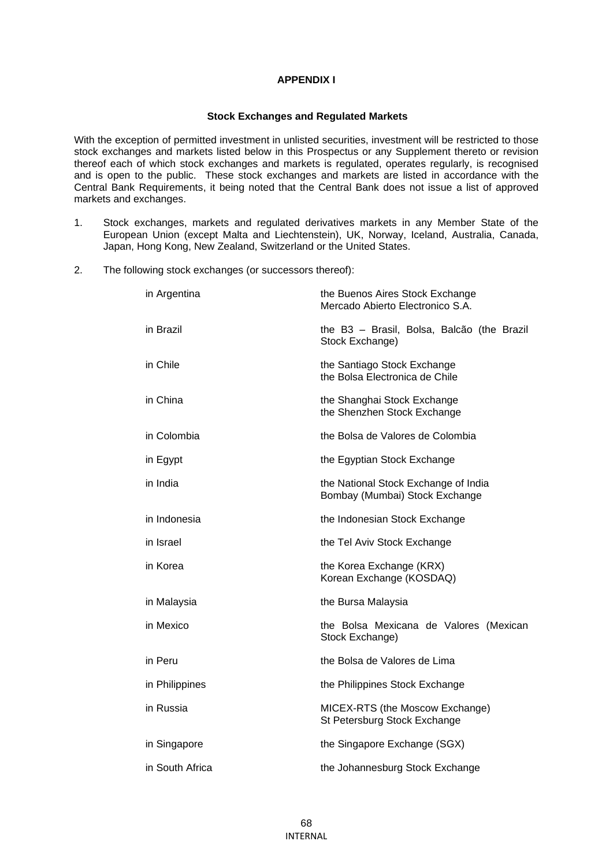# **APPENDIX I**

#### **Stock Exchanges and Regulated Markets**

With the exception of permitted investment in unlisted securities, investment will be restricted to those stock exchanges and markets listed below in this Prospectus or any Supplement thereto or revision thereof each of which stock exchanges and markets is regulated, operates regularly, is recognised and is open to the public. These stock exchanges and markets are listed in accordance with the Central Bank Requirements, it being noted that the Central Bank does not issue a list of approved markets and exchanges.

- 1. Stock exchanges, markets and regulated derivatives markets in any Member State of the European Union (except Malta and Liechtenstein), UK, Norway, Iceland, Australia, Canada, Japan, Hong Kong, New Zealand, Switzerland or the United States.
- 2. The following stock exchanges (or successors thereof):

| in Argentina    | the Buenos Aires Stock Exchange<br>Mercado Abierto Electronico S.A.    |
|-----------------|------------------------------------------------------------------------|
| in Brazil       | the B3 - Brasil, Bolsa, Balcão (the Brazil<br>Stock Exchange)          |
| in Chile        | the Santiago Stock Exchange<br>the Bolsa Electronica de Chile          |
| in China        | the Shanghai Stock Exchange<br>the Shenzhen Stock Exchange             |
| in Colombia     | the Bolsa de Valores de Colombia                                       |
| in Egypt        | the Egyptian Stock Exchange                                            |
| in India        | the National Stock Exchange of India<br>Bombay (Mumbai) Stock Exchange |
| in Indonesia    | the Indonesian Stock Exchange                                          |
| in Israel       | the Tel Aviv Stock Exchange                                            |
| in Korea        | the Korea Exchange (KRX)<br>Korean Exchange (KOSDAQ)                   |
| in Malaysia     | the Bursa Malaysia                                                     |
| in Mexico       | the Bolsa Mexicana de Valores (Mexican<br>Stock Exchange)              |
| in Peru         | the Bolsa de Valores de Lima                                           |
| in Philippines  | the Philippines Stock Exchange                                         |
| in Russia       | MICEX-RTS (the Moscow Exchange)<br>St Petersburg Stock Exchange        |
| in Singapore    | the Singapore Exchange (SGX)                                           |
| in South Africa | the Johannesburg Stock Exchange                                        |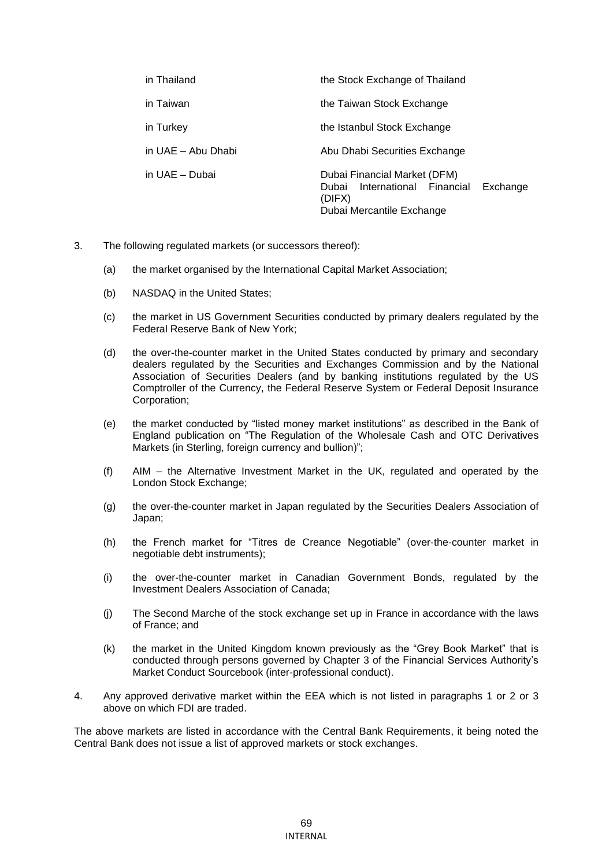| in Thailand        | the Stock Exchange of Thailand                                                                                   |
|--------------------|------------------------------------------------------------------------------------------------------------------|
| in Taiwan          | the Taiwan Stock Exchange                                                                                        |
| in Turkey          | the Istanbul Stock Exchange                                                                                      |
| in UAE - Abu Dhabi | Abu Dhabi Securities Exchange                                                                                    |
| in UAE - Dubai     | Dubai Financial Market (DFM)<br>Dubai International Financial<br>Exchange<br>(DIFX)<br>Dubai Mercantile Exchange |

- 3. The following regulated markets (or successors thereof):
	- (a) the market organised by the International Capital Market Association;
	- (b) NASDAQ in the United States;
	- (c) the market in US Government Securities conducted by primary dealers regulated by the Federal Reserve Bank of New York;
	- (d) the over-the-counter market in the United States conducted by primary and secondary dealers regulated by the Securities and Exchanges Commission and by the National Association of Securities Dealers (and by banking institutions regulated by the US Comptroller of the Currency, the Federal Reserve System or Federal Deposit Insurance Corporation;
	- (e) the market conducted by "listed money market institutions" as described in the Bank of England publication on "The Regulation of the Wholesale Cash and OTC Derivatives Markets (in Sterling, foreign currency and bullion)";
	- (f) AIM the Alternative Investment Market in the UK, regulated and operated by the London Stock Exchange;
	- (g) the over-the-counter market in Japan regulated by the Securities Dealers Association of Japan;
	- (h) the French market for "Titres de Creance Negotiable" (over-the-counter market in negotiable debt instruments);
	- (i) the over-the-counter market in Canadian Government Bonds, regulated by the Investment Dealers Association of Canada;
	- (j) The Second Marche of the stock exchange set up in France in accordance with the laws of France; and
	- (k) the market in the United Kingdom known previously as the "Grey Book Market" that is conducted through persons governed by Chapter 3 of the Financial Services Authority's Market Conduct Sourcebook (inter-professional conduct).
- 4. Any approved derivative market within the EEA which is not listed in paragraphs 1 or 2 or 3 above on which FDI are traded.

The above markets are listed in accordance with the Central Bank Requirements, it being noted the Central Bank does not issue a list of approved markets or stock exchanges.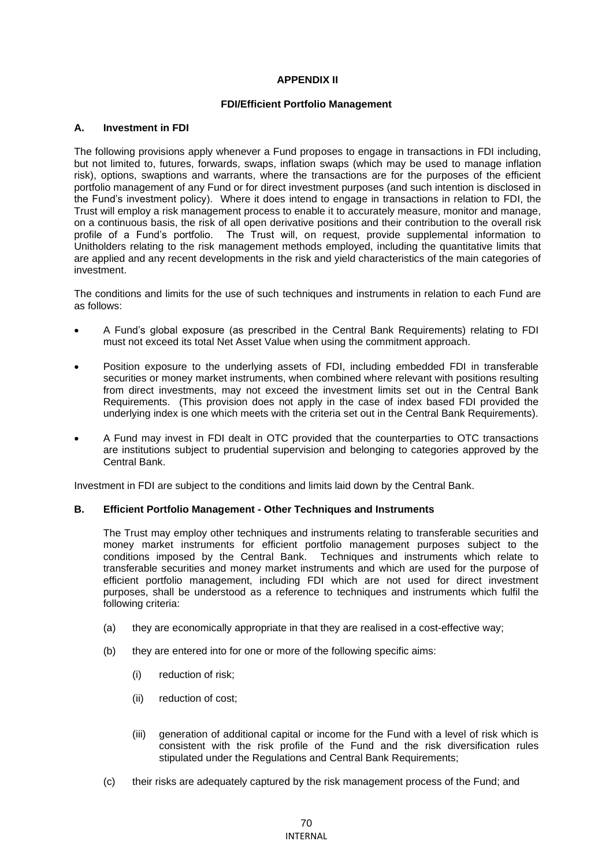# **APPENDIX II**

# **FDI/Efficient Portfolio Management**

### **A. Investment in FDI**

The following provisions apply whenever a Fund proposes to engage in transactions in FDI including, but not limited to, futures, forwards, swaps, inflation swaps (which may be used to manage inflation risk), options, swaptions and warrants, where the transactions are for the purposes of the efficient portfolio management of any Fund or for direct investment purposes (and such intention is disclosed in the Fund's investment policy). Where it does intend to engage in transactions in relation to FDI, the Trust will employ a risk management process to enable it to accurately measure, monitor and manage, on a continuous basis, the risk of all open derivative positions and their contribution to the overall risk profile of a Fund's portfolio. The Trust will, on request, provide supplemental information to Unitholders relating to the risk management methods employed, including the quantitative limits that are applied and any recent developments in the risk and yield characteristics of the main categories of investment.

The conditions and limits for the use of such techniques and instruments in relation to each Fund are as follows:

- A Fund's global exposure (as prescribed in the Central Bank Requirements) relating to FDI must not exceed its total Net Asset Value when using the commitment approach.
- Position exposure to the underlying assets of FDI, including embedded FDI in transferable securities or money market instruments, when combined where relevant with positions resulting from direct investments, may not exceed the investment limits set out in the Central Bank Requirements. (This provision does not apply in the case of index based FDI provided the underlying index is one which meets with the criteria set out in the Central Bank Requirements).
- A Fund may invest in FDI dealt in OTC provided that the counterparties to OTC transactions are institutions subject to prudential supervision and belonging to categories approved by the Central Bank.

Investment in FDI are subject to the conditions and limits laid down by the Central Bank.

#### **B. Efficient Portfolio Management - Other Techniques and Instruments**

The Trust may employ other techniques and instruments relating to transferable securities and money market instruments for efficient portfolio management purposes subject to the conditions imposed by the Central Bank. Techniques and instruments which relate to transferable securities and money market instruments and which are used for the purpose of efficient portfolio management, including FDI which are not used for direct investment purposes, shall be understood as a reference to techniques and instruments which fulfil the following criteria:

- (a) they are economically appropriate in that they are realised in a cost-effective way;
- (b) they are entered into for one or more of the following specific aims:
	- (i) reduction of risk;
	- (ii) reduction of cost;
	- (iii) generation of additional capital or income for the Fund with a level of risk which is consistent with the risk profile of the Fund and the risk diversification rules stipulated under the Regulations and Central Bank Requirements;
- (c) their risks are adequately captured by the risk management process of the Fund; and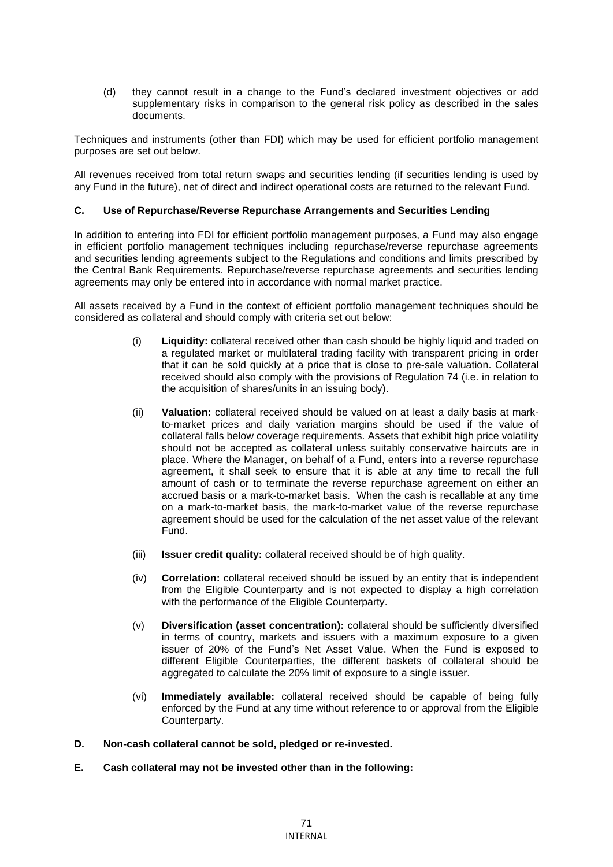(d) they cannot result in a change to the Fund's declared investment objectives or add supplementary risks in comparison to the general risk policy as described in the sales documents.

Techniques and instruments (other than FDI) which may be used for efficient portfolio management purposes are set out below.

All revenues received from total return swaps and securities lending (if securities lending is used by any Fund in the future), net of direct and indirect operational costs are returned to the relevant Fund.

# **C. Use of Repurchase/Reverse Repurchase Arrangements and Securities Lending**

In addition to entering into FDI for efficient portfolio management purposes, a Fund may also engage in efficient portfolio management techniques including repurchase/reverse repurchase agreements and securities lending agreements subject to the Regulations and conditions and limits prescribed by the Central Bank Requirements. Repurchase/reverse repurchase agreements and securities lending agreements may only be entered into in accordance with normal market practice.

All assets received by a Fund in the context of efficient portfolio management techniques should be considered as collateral and should comply with criteria set out below:

- (i) **Liquidity:** collateral received other than cash should be highly liquid and traded on a regulated market or multilateral trading facility with transparent pricing in order that it can be sold quickly at a price that is close to pre-sale valuation. Collateral received should also comply with the provisions of Regulation 74 (i.e. in relation to the acquisition of shares/units in an issuing body).
- (ii) **Valuation:** collateral received should be valued on at least a daily basis at markto-market prices and daily variation margins should be used if the value of collateral falls below coverage requirements. Assets that exhibit high price volatility should not be accepted as collateral unless suitably conservative haircuts are in place. Where the Manager, on behalf of a Fund, enters into a reverse repurchase agreement, it shall seek to ensure that it is able at any time to recall the full amount of cash or to terminate the reverse repurchase agreement on either an accrued basis or a mark-to-market basis. When the cash is recallable at any time on a mark-to-market basis, the mark-to-market value of the reverse repurchase agreement should be used for the calculation of the net asset value of the relevant Fund.
- (iii) **Issuer credit quality:** collateral received should be of high quality.
- (iv) **Correlation:** collateral received should be issued by an entity that is independent from the Eligible Counterparty and is not expected to display a high correlation with the performance of the Eligible Counterparty.
- (v) **Diversification (asset concentration):** collateral should be sufficiently diversified in terms of country, markets and issuers with a maximum exposure to a given issuer of 20% of the Fund's Net Asset Value. When the Fund is exposed to different Eligible Counterparties, the different baskets of collateral should be aggregated to calculate the 20% limit of exposure to a single issuer.
- (vi) **Immediately available:** collateral received should be capable of being fully enforced by the Fund at any time without reference to or approval from the Eligible Counterparty.
- **D. Non-cash collateral cannot be sold, pledged or re-invested.**
- **E. Cash collateral may not be invested other than in the following:**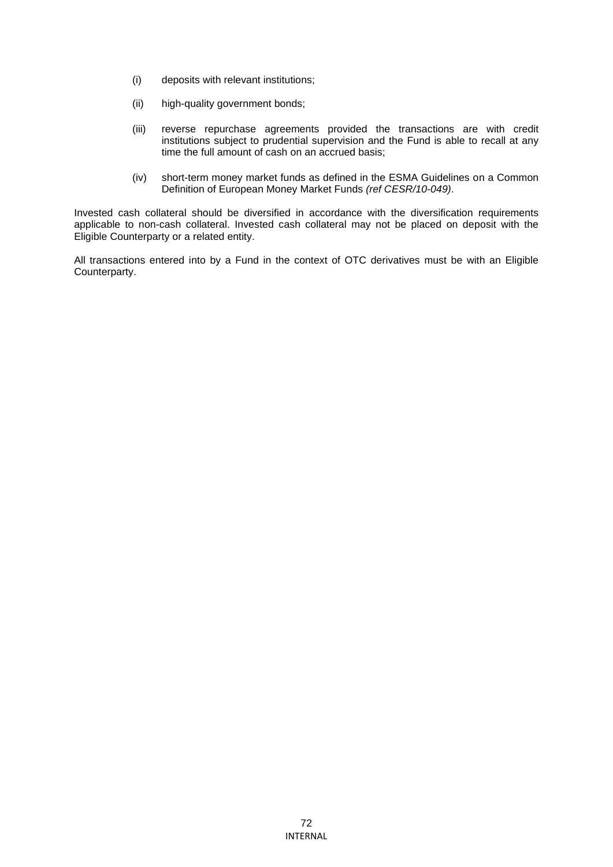- (i) deposits with relevant institutions;
- (ii) high-quality government bonds;
- (iii) reverse repurchase agreements provided the transactions are with credit institutions subject to prudential supervision and the Fund is able to recall at any time the full amount of cash on an accrued basis;
- (iv) short-term money market funds as defined in the ESMA Guidelines on a Common Definition of European Money Market Funds *(ref CESR/10-049)*.

Invested cash collateral should be diversified in accordance with the diversification requirements applicable to non-cash collateral. Invested cash collateral may not be placed on deposit with the Eligible Counterparty or a related entity.

All transactions entered into by a Fund in the context of OTC derivatives must be with an Eligible Counterparty.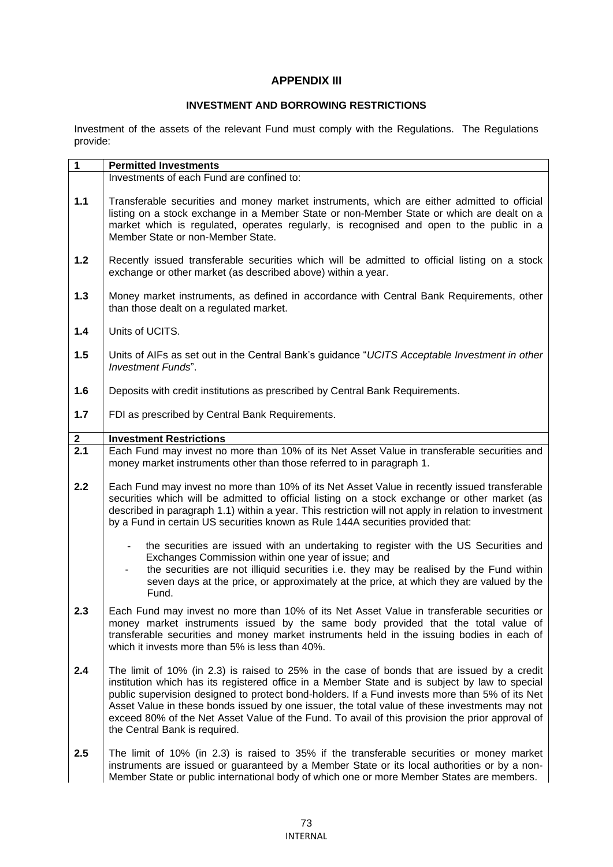## **APPENDIX III**

### **INVESTMENT AND BORROWING RESTRICTIONS**

Investment of the assets of the relevant Fund must comply with the Regulations. The Regulations provide:

| $\mathbf{1}$     | <b>Permitted Investments</b>                                                                                                                                                                                                                                                                                                                                                                                                                                                                                                         |  |
|------------------|--------------------------------------------------------------------------------------------------------------------------------------------------------------------------------------------------------------------------------------------------------------------------------------------------------------------------------------------------------------------------------------------------------------------------------------------------------------------------------------------------------------------------------------|--|
|                  | Investments of each Fund are confined to:                                                                                                                                                                                                                                                                                                                                                                                                                                                                                            |  |
| $1.1$            | Transferable securities and money market instruments, which are either admitted to official<br>listing on a stock exchange in a Member State or non-Member State or which are dealt on a<br>market which is regulated, operates regularly, is recognised and open to the public in a<br>Member State or non-Member State.                                                                                                                                                                                                            |  |
| $1.2$            | Recently issued transferable securities which will be admitted to official listing on a stock<br>exchange or other market (as described above) within a year.                                                                                                                                                                                                                                                                                                                                                                        |  |
| $1.3$            | Money market instruments, as defined in accordance with Central Bank Requirements, other<br>than those dealt on a regulated market.                                                                                                                                                                                                                                                                                                                                                                                                  |  |
| 1.4              | Units of UCITS.                                                                                                                                                                                                                                                                                                                                                                                                                                                                                                                      |  |
| 1.5              | Units of AIFs as set out in the Central Bank's guidance "UCITS Acceptable Investment in other<br><b>Investment Funds".</b>                                                                                                                                                                                                                                                                                                                                                                                                           |  |
| 1.6              | Deposits with credit institutions as prescribed by Central Bank Requirements.                                                                                                                                                                                                                                                                                                                                                                                                                                                        |  |
| 1.7              | FDI as prescribed by Central Bank Requirements.                                                                                                                                                                                                                                                                                                                                                                                                                                                                                      |  |
| $\mathbf{2}$     | <b>Investment Restrictions</b>                                                                                                                                                                                                                                                                                                                                                                                                                                                                                                       |  |
| $\overline{2.1}$ | Each Fund may invest no more than 10% of its Net Asset Value in transferable securities and<br>money market instruments other than those referred to in paragraph 1.                                                                                                                                                                                                                                                                                                                                                                 |  |
| 2.2              | Each Fund may invest no more than 10% of its Net Asset Value in recently issued transferable<br>securities which will be admitted to official listing on a stock exchange or other market (as<br>described in paragraph 1.1) within a year. This restriction will not apply in relation to investment<br>by a Fund in certain US securities known as Rule 144A securities provided that:                                                                                                                                             |  |
|                  | the securities are issued with an undertaking to register with the US Securities and<br>$\blacksquare$<br>Exchanges Commission within one year of issue; and<br>the securities are not illiquid securities i.e. they may be realised by the Fund within<br>seven days at the price, or approximately at the price, at which they are valued by the<br>Fund.                                                                                                                                                                          |  |
| 2.3              | Each Fund may invest no more than 10% of its Net Asset Value in transferable securities or<br>money market instruments issued by the same body provided that the total value of<br>transferable securities and money market instruments held in the issuing bodies in each of<br>which it invests more than 5% is less than 40%.                                                                                                                                                                                                     |  |
| 2.4              | The limit of 10% (in 2.3) is raised to 25% in the case of bonds that are issued by a credit<br>institution which has its registered office in a Member State and is subject by law to special<br>public supervision designed to protect bond-holders. If a Fund invests more than 5% of its Net<br>Asset Value in these bonds issued by one issuer, the total value of these investments may not<br>exceed 80% of the Net Asset Value of the Fund. To avail of this provision the prior approval of<br>the Central Bank is required. |  |
| 2.5              | The limit of 10% (in 2.3) is raised to 35% if the transferable securities or money market<br>instruments are issued or guaranteed by a Member State or its local authorities or by a non-<br>Member State or public international body of which one or more Member States are members.                                                                                                                                                                                                                                               |  |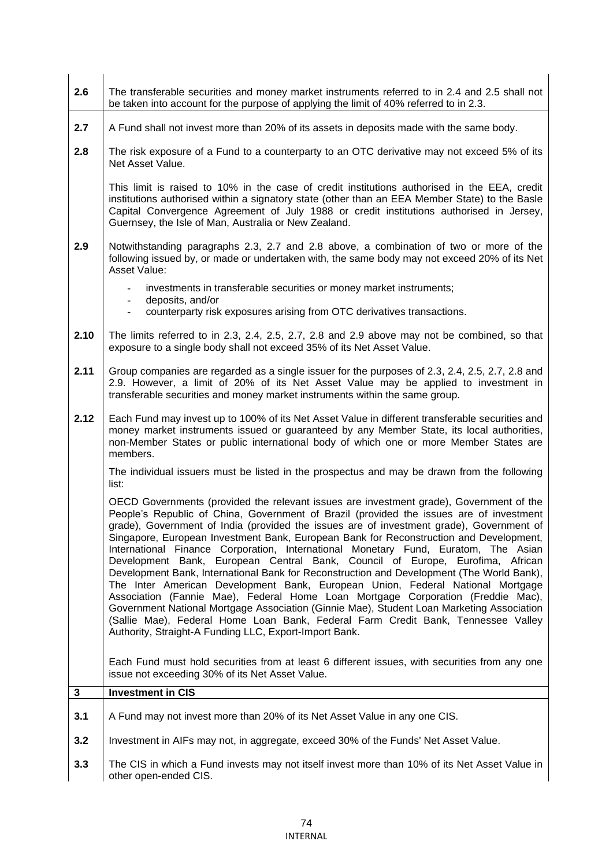| 2.6  | The transferable securities and money market instruments referred to in 2.4 and 2.5 shall not<br>be taken into account for the purpose of applying the limit of 40% referred to in 2.3.                                                                                                                                                                                                                                                                                                                                                                                                                                                                                                                                                                                                                                                                                                                                                                                                                                                                      |  |
|------|--------------------------------------------------------------------------------------------------------------------------------------------------------------------------------------------------------------------------------------------------------------------------------------------------------------------------------------------------------------------------------------------------------------------------------------------------------------------------------------------------------------------------------------------------------------------------------------------------------------------------------------------------------------------------------------------------------------------------------------------------------------------------------------------------------------------------------------------------------------------------------------------------------------------------------------------------------------------------------------------------------------------------------------------------------------|--|
| 2.7  | A Fund shall not invest more than 20% of its assets in deposits made with the same body.                                                                                                                                                                                                                                                                                                                                                                                                                                                                                                                                                                                                                                                                                                                                                                                                                                                                                                                                                                     |  |
| 2.8  | The risk exposure of a Fund to a counterparty to an OTC derivative may not exceed 5% of its<br>Net Asset Value.                                                                                                                                                                                                                                                                                                                                                                                                                                                                                                                                                                                                                                                                                                                                                                                                                                                                                                                                              |  |
|      | This limit is raised to 10% in the case of credit institutions authorised in the EEA, credit<br>institutions authorised within a signatory state (other than an EEA Member State) to the Basle<br>Capital Convergence Agreement of July 1988 or credit institutions authorised in Jersey,<br>Guernsey, the Isle of Man, Australia or New Zealand.                                                                                                                                                                                                                                                                                                                                                                                                                                                                                                                                                                                                                                                                                                            |  |
| 2.9  | Notwithstanding paragraphs 2.3, 2.7 and 2.8 above, a combination of two or more of the<br>following issued by, or made or undertaken with, the same body may not exceed 20% of its Net<br>Asset Value:                                                                                                                                                                                                                                                                                                                                                                                                                                                                                                                                                                                                                                                                                                                                                                                                                                                       |  |
|      | investments in transferable securities or money market instruments;<br>deposits, and/or                                                                                                                                                                                                                                                                                                                                                                                                                                                                                                                                                                                                                                                                                                                                                                                                                                                                                                                                                                      |  |
|      | counterparty risk exposures arising from OTC derivatives transactions.<br>$\overline{\phantom{0}}$                                                                                                                                                                                                                                                                                                                                                                                                                                                                                                                                                                                                                                                                                                                                                                                                                                                                                                                                                           |  |
| 2.10 | The limits referred to in 2.3, 2.4, 2.5, 2.7, 2.8 and 2.9 above may not be combined, so that<br>exposure to a single body shall not exceed 35% of its Net Asset Value.                                                                                                                                                                                                                                                                                                                                                                                                                                                                                                                                                                                                                                                                                                                                                                                                                                                                                       |  |
| 2.11 | Group companies are regarded as a single issuer for the purposes of 2.3, 2.4, 2.5, 2.7, 2.8 and<br>2.9. However, a limit of 20% of its Net Asset Value may be applied to investment in<br>transferable securities and money market instruments within the same group.                                                                                                                                                                                                                                                                                                                                                                                                                                                                                                                                                                                                                                                                                                                                                                                        |  |
| 2.12 | Each Fund may invest up to 100% of its Net Asset Value in different transferable securities and<br>money market instruments issued or guaranteed by any Member State, its local authorities,<br>non-Member States or public international body of which one or more Member States are<br>members.                                                                                                                                                                                                                                                                                                                                                                                                                                                                                                                                                                                                                                                                                                                                                            |  |
|      | The individual issuers must be listed in the prospectus and may be drawn from the following<br>list:                                                                                                                                                                                                                                                                                                                                                                                                                                                                                                                                                                                                                                                                                                                                                                                                                                                                                                                                                         |  |
|      | OECD Governments (provided the relevant issues are investment grade), Government of the<br>People's Republic of China, Government of Brazil (provided the issues are of investment<br>grade), Government of India (provided the issues are of investment grade), Government of<br>Singapore, European Investment Bank, European Bank for Reconstruction and Development,<br>International Finance Corporation, International Monetary Fund, Euratom, The Asian<br>Development Bank, European Central Bank, Council of Europe, Eurofima, African<br>Development Bank, International Bank for Reconstruction and Development (The World Bank),<br>The Inter American Development Bank, European Union, Federal National Mortgage<br>Association (Fannie Mae), Federal Home Loan Mortgage Corporation (Freddie Mac),<br>Government National Mortgage Association (Ginnie Mae), Student Loan Marketing Association<br>(Sallie Mae), Federal Home Loan Bank, Federal Farm Credit Bank, Tennessee Valley<br>Authority, Straight-A Funding LLC, Export-Import Bank. |  |
|      | Each Fund must hold securities from at least 6 different issues, with securities from any one<br>issue not exceeding 30% of its Net Asset Value.                                                                                                                                                                                                                                                                                                                                                                                                                                                                                                                                                                                                                                                                                                                                                                                                                                                                                                             |  |
| 3    | <b>Investment in CIS</b>                                                                                                                                                                                                                                                                                                                                                                                                                                                                                                                                                                                                                                                                                                                                                                                                                                                                                                                                                                                                                                     |  |
| 3.1  | A Fund may not invest more than 20% of its Net Asset Value in any one CIS.                                                                                                                                                                                                                                                                                                                                                                                                                                                                                                                                                                                                                                                                                                                                                                                                                                                                                                                                                                                   |  |
| 3.2  | Investment in AIFs may not, in aggregate, exceed 30% of the Funds' Net Asset Value.                                                                                                                                                                                                                                                                                                                                                                                                                                                                                                                                                                                                                                                                                                                                                                                                                                                                                                                                                                          |  |
| 3.3  | The CIS in which a Fund invests may not itself invest more than 10% of its Net Asset Value in<br>other open-ended CIS.                                                                                                                                                                                                                                                                                                                                                                                                                                                                                                                                                                                                                                                                                                                                                                                                                                                                                                                                       |  |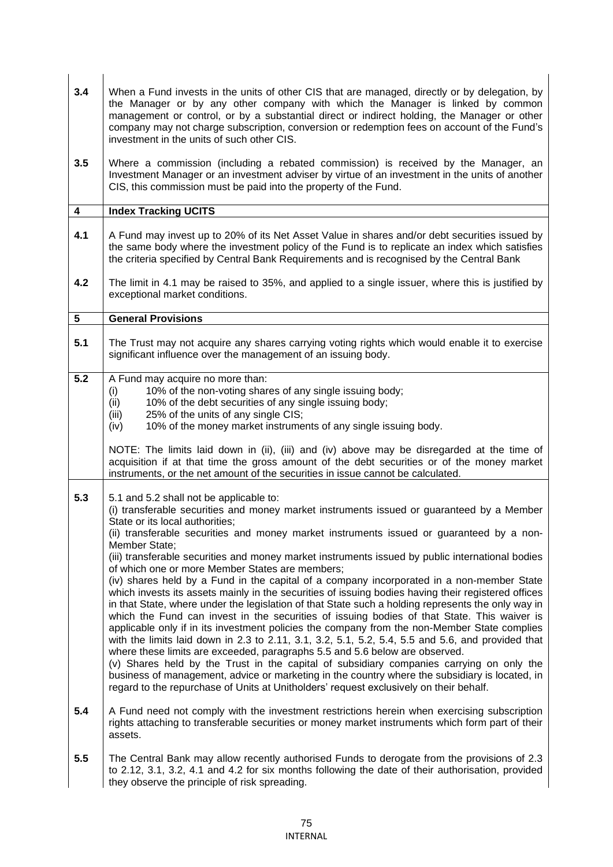| 3.4                     | When a Fund invests in the units of other CIS that are managed, directly or by delegation, by<br>the Manager or by any other company with which the Manager is linked by common<br>management or control, or by a substantial direct or indirect holding, the Manager or other<br>company may not charge subscription, conversion or redemption fees on account of the Fund's<br>investment in the units of such other CIS.                                                                                                                                                                                                                                                                                                                                                                                                                                                                                                                                                                                                                                                                                                                                                                                                                                                                                                                                                                                                      |  |
|-------------------------|----------------------------------------------------------------------------------------------------------------------------------------------------------------------------------------------------------------------------------------------------------------------------------------------------------------------------------------------------------------------------------------------------------------------------------------------------------------------------------------------------------------------------------------------------------------------------------------------------------------------------------------------------------------------------------------------------------------------------------------------------------------------------------------------------------------------------------------------------------------------------------------------------------------------------------------------------------------------------------------------------------------------------------------------------------------------------------------------------------------------------------------------------------------------------------------------------------------------------------------------------------------------------------------------------------------------------------------------------------------------------------------------------------------------------------|--|
| 3.5                     | Where a commission (including a rebated commission) is received by the Manager, an<br>Investment Manager or an investment adviser by virtue of an investment in the units of another<br>CIS, this commission must be paid into the property of the Fund.                                                                                                                                                                                                                                                                                                                                                                                                                                                                                                                                                                                                                                                                                                                                                                                                                                                                                                                                                                                                                                                                                                                                                                         |  |
| $\overline{\mathbf{4}}$ | <b>Index Tracking UCITS</b>                                                                                                                                                                                                                                                                                                                                                                                                                                                                                                                                                                                                                                                                                                                                                                                                                                                                                                                                                                                                                                                                                                                                                                                                                                                                                                                                                                                                      |  |
| 4.1                     | A Fund may invest up to 20% of its Net Asset Value in shares and/or debt securities issued by<br>the same body where the investment policy of the Fund is to replicate an index which satisfies<br>the criteria specified by Central Bank Requirements and is recognised by the Central Bank                                                                                                                                                                                                                                                                                                                                                                                                                                                                                                                                                                                                                                                                                                                                                                                                                                                                                                                                                                                                                                                                                                                                     |  |
| 4.2                     | The limit in 4.1 may be raised to 35%, and applied to a single issuer, where this is justified by<br>exceptional market conditions.                                                                                                                                                                                                                                                                                                                                                                                                                                                                                                                                                                                                                                                                                                                                                                                                                                                                                                                                                                                                                                                                                                                                                                                                                                                                                              |  |
| 5                       | <b>General Provisions</b>                                                                                                                                                                                                                                                                                                                                                                                                                                                                                                                                                                                                                                                                                                                                                                                                                                                                                                                                                                                                                                                                                                                                                                                                                                                                                                                                                                                                        |  |
| 5.1                     | The Trust may not acquire any shares carrying voting rights which would enable it to exercise<br>significant influence over the management of an issuing body.                                                                                                                                                                                                                                                                                                                                                                                                                                                                                                                                                                                                                                                                                                                                                                                                                                                                                                                                                                                                                                                                                                                                                                                                                                                                   |  |
| 5.2                     | A Fund may acquire no more than:<br>10% of the non-voting shares of any single issuing body;<br>(i)<br>(ii)<br>10% of the debt securities of any single issuing body;<br>25% of the units of any single CIS;<br>(iii)<br>10% of the money market instruments of any single issuing body.<br>(iv)<br>NOTE: The limits laid down in (ii), (iii) and (iv) above may be disregarded at the time of<br>acquisition if at that time the gross amount of the debt securities or of the money market<br>instruments, or the net amount of the securities in issue cannot be calculated.                                                                                                                                                                                                                                                                                                                                                                                                                                                                                                                                                                                                                                                                                                                                                                                                                                                  |  |
| 5.3                     | 5.1 and 5.2 shall not be applicable to:<br>(i) transferable securities and money market instruments issued or guaranteed by a Member<br>State or its local authorities;<br>(ii) transferable securities and money market instruments issued or guaranteed by a non-<br>Member State;<br>(iii) transferable securities and money market instruments issued by public international bodies<br>of which one or more Member States are members;<br>(iv) shares held by a Fund in the capital of a company incorporated in a non-member State<br>which invests its assets mainly in the securities of issuing bodies having their registered offices<br>in that State, where under the legislation of that State such a holding represents the only way in<br>which the Fund can invest in the securities of issuing bodies of that State. This waiver is<br>applicable only if in its investment policies the company from the non-Member State complies<br>with the limits laid down in 2.3 to 2.11, 3.1, 3.2, 5.1, 5.2, 5.4, 5.5 and 5.6, and provided that<br>where these limits are exceeded, paragraphs 5.5 and 5.6 below are observed.<br>(v) Shares held by the Trust in the capital of subsidiary companies carrying on only the<br>business of management, advice or marketing in the country where the subsidiary is located, in<br>regard to the repurchase of Units at Unitholders' request exclusively on their behalf. |  |
| 5.4                     | A Fund need not comply with the investment restrictions herein when exercising subscription<br>rights attaching to transferable securities or money market instruments which form part of their<br>assets.                                                                                                                                                                                                                                                                                                                                                                                                                                                                                                                                                                                                                                                                                                                                                                                                                                                                                                                                                                                                                                                                                                                                                                                                                       |  |
| 5.5                     | The Central Bank may allow recently authorised Funds to derogate from the provisions of 2.3<br>to 2.12, 3.1, 3.2, 4.1 and 4.2 for six months following the date of their authorisation, provided<br>they observe the principle of risk spreading.                                                                                                                                                                                                                                                                                                                                                                                                                                                                                                                                                                                                                                                                                                                                                                                                                                                                                                                                                                                                                                                                                                                                                                                |  |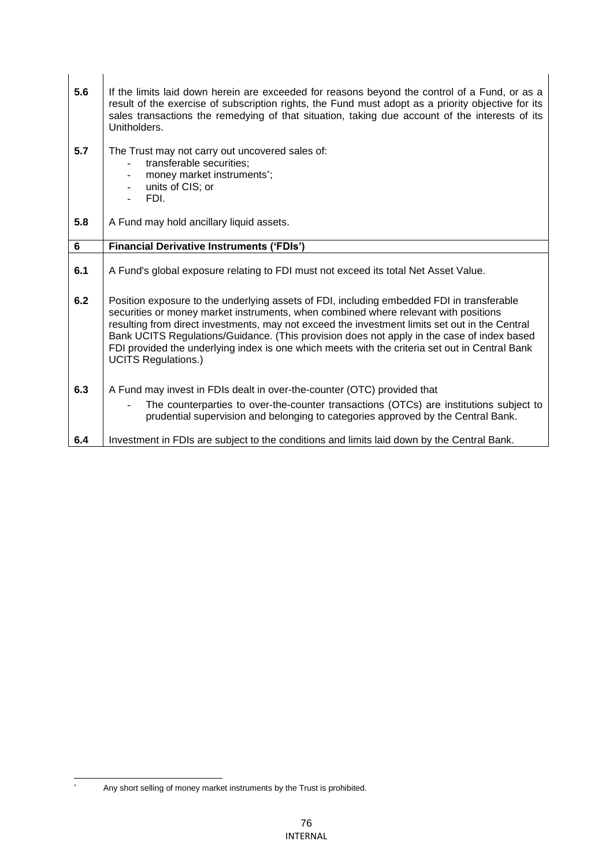| 5.6 | If the limits laid down herein are exceeded for reasons beyond the control of a Fund, or as a<br>result of the exercise of subscription rights, the Fund must adopt as a priority objective for its<br>sales transactions the remedying of that situation, taking due account of the interests of its<br>Unitholders.                                                                                                                                                                                            |  |
|-----|------------------------------------------------------------------------------------------------------------------------------------------------------------------------------------------------------------------------------------------------------------------------------------------------------------------------------------------------------------------------------------------------------------------------------------------------------------------------------------------------------------------|--|
| 5.7 | The Trust may not carry out uncovered sales of:<br>transferable securities;<br>money market instruments <sup>*</sup> ;<br>units of CIS; or<br>FDI.                                                                                                                                                                                                                                                                                                                                                               |  |
| 5.8 | A Fund may hold ancillary liquid assets.                                                                                                                                                                                                                                                                                                                                                                                                                                                                         |  |
| 6   | <b>Financial Derivative Instruments ('FDIs')</b>                                                                                                                                                                                                                                                                                                                                                                                                                                                                 |  |
| 6.1 | A Fund's global exposure relating to FDI must not exceed its total Net Asset Value.                                                                                                                                                                                                                                                                                                                                                                                                                              |  |
| 6.2 | Position exposure to the underlying assets of FDI, including embedded FDI in transferable<br>securities or money market instruments, when combined where relevant with positions<br>resulting from direct investments, may not exceed the investment limits set out in the Central<br>Bank UCITS Regulations/Guidance. (This provision does not apply in the case of index based<br>FDI provided the underlying index is one which meets with the criteria set out in Central Bank<br><b>UCITS Regulations.)</b> |  |
| 6.3 | A Fund may invest in FDIs dealt in over-the-counter (OTC) provided that                                                                                                                                                                                                                                                                                                                                                                                                                                          |  |
|     | The counterparties to over-the-counter transactions (OTCs) are institutions subject to<br>prudential supervision and belonging to categories approved by the Central Bank.                                                                                                                                                                                                                                                                                                                                       |  |
| 6.4 | Investment in FDIs are subject to the conditions and limits laid down by the Central Bank.                                                                                                                                                                                                                                                                                                                                                                                                                       |  |

<sup>\*</sup> Any short selling of money market instruments by the Trust is prohibited.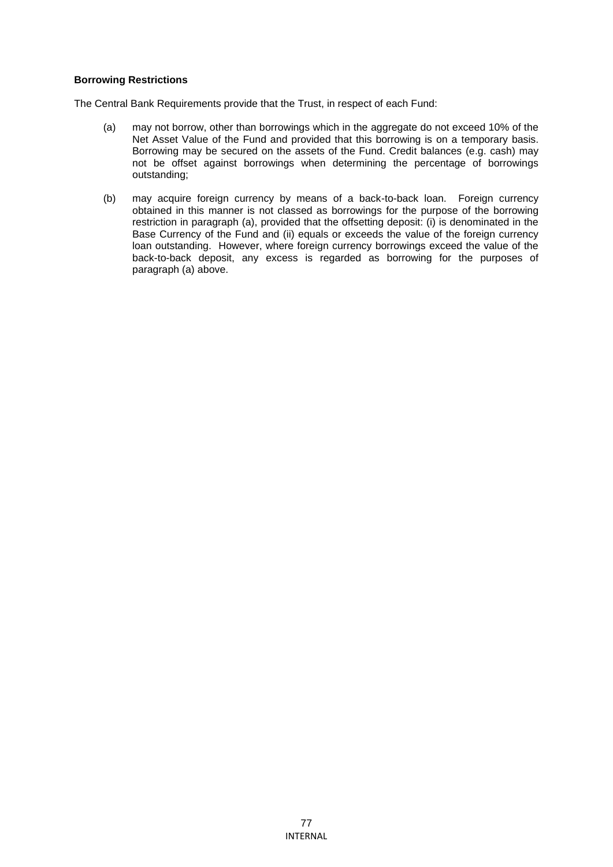#### **Borrowing Restrictions**

The Central Bank Requirements provide that the Trust, in respect of each Fund:

- (a) may not borrow, other than borrowings which in the aggregate do not exceed 10% of the Net Asset Value of the Fund and provided that this borrowing is on a temporary basis. Borrowing may be secured on the assets of the Fund. Credit balances (e.g. cash) may not be offset against borrowings when determining the percentage of borrowings outstanding;
- (b) may acquire foreign currency by means of a back-to-back loan. Foreign currency obtained in this manner is not classed as borrowings for the purpose of the borrowing restriction in paragraph (a), provided that the offsetting deposit: (i) is denominated in the Base Currency of the Fund and (ii) equals or exceeds the value of the foreign currency loan outstanding. However, where foreign currency borrowings exceed the value of the back-to-back deposit, any excess is regarded as borrowing for the purposes of paragraph (a) above.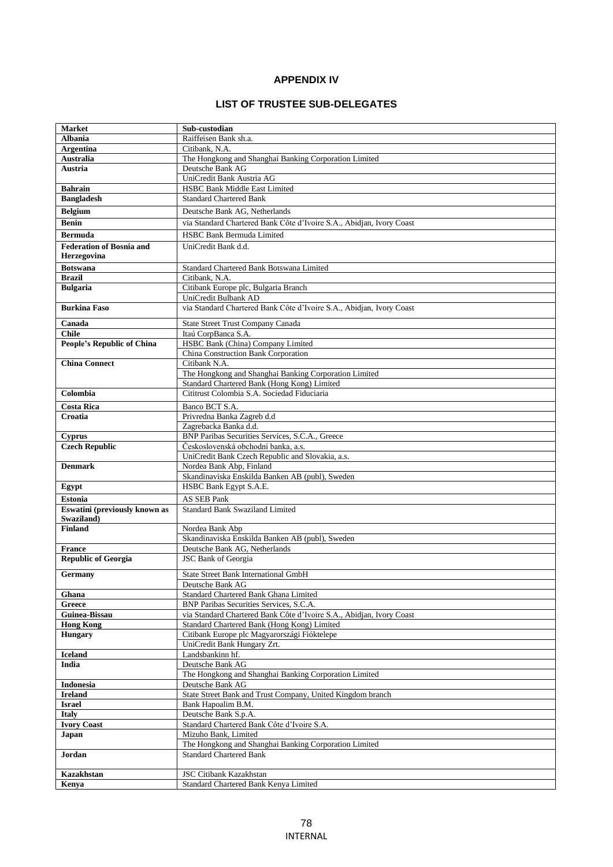# **APPENDIX IV**

## **LIST OF TRUSTEE SUB-DELEGATES**

| <b>Market</b>                     | Sub-custodian                                                                                                   |
|-----------------------------------|-----------------------------------------------------------------------------------------------------------------|
| <b>Albania</b>                    | Raiffeisen Bank sh.a.                                                                                           |
| <b>Argentina</b>                  | Citibank, N.A.                                                                                                  |
| Australia                         | The Hongkong and Shanghai Banking Corporation Limited                                                           |
| Austria                           | Deutsche Bank AG                                                                                                |
|                                   | UniCredit Bank Austria AG                                                                                       |
| <b>Bahrain</b>                    | HSBC Bank Middle East Limited                                                                                   |
| <b>Bangladesh</b>                 | <b>Standard Chartered Bank</b>                                                                                  |
| <b>Belgium</b>                    | Deutsche Bank AG, Netherlands                                                                                   |
| <b>Benin</b>                      | via Standard Chartered Bank Côte d'Ivoire S.A., Abidjan, Ivory Coast                                            |
|                                   |                                                                                                                 |
| <b>Bermuda</b>                    | <b>HSBC Bank Bermuda Limited</b>                                                                                |
| <b>Federation of Bosnia and</b>   | UniCredit Bank d.d.                                                                                             |
| Herzegovina                       |                                                                                                                 |
| <b>Botswana</b>                   | Standard Chartered Bank Botswana Limited                                                                        |
| <b>Brazil</b>                     | Citibank, N.A.                                                                                                  |
| <b>Bulgaria</b>                   | Citibank Europe plc, Bulgaria Branch                                                                            |
|                                   | UniCredit Bulbank AD                                                                                            |
| <b>Burkina Faso</b>               | via Standard Chartered Bank Côte d'Ivoire S.A., Abidjan, Ivory Coast                                            |
|                                   |                                                                                                                 |
| Canada                            | State Street Trust Company Canada                                                                               |
| <b>Chile</b>                      | Itaú CorpBanca S.A.                                                                                             |
| <b>People's Republic of China</b> | HSBC Bank (China) Company Limited                                                                               |
|                                   | China Construction Bank Corporation                                                                             |
| <b>China Connect</b>              | Citibank N.A.                                                                                                   |
|                                   | The Hongkong and Shanghai Banking Corporation Limited                                                           |
|                                   | Standard Chartered Bank (Hong Kong) Limited                                                                     |
| Colombia                          | Cititrust Colombia S.A. Sociedad Fiduciaria                                                                     |
| <b>Costa Rica</b>                 | Banco BCT S.A.                                                                                                  |
| Croatia                           | Privredna Banka Zagreb d.d                                                                                      |
|                                   | Zagrebacka Banka d.d.                                                                                           |
| <b>Cyprus</b>                     | BNP Paribas Securities Services, S.C.A., Greece                                                                 |
| <b>Czech Republic</b>             | Československá obchodní banka, a.s.                                                                             |
|                                   | UniCredit Bank Czech Republic and Slovakia, a.s.                                                                |
| <b>Denmark</b>                    | Nordea Bank Abp, Finland                                                                                        |
|                                   | Skandinaviska Enskilda Banken AB (publ), Sweden                                                                 |
| Egypt                             | HSBC Bank Egypt S.A.E.                                                                                          |
| <b>Estonia</b>                    | <b>AS SEB Pank</b>                                                                                              |
| Eswatini (previously known as     | <b>Standard Bank Swaziland Limited</b>                                                                          |
| Swaziland)                        |                                                                                                                 |
| <b>Finland</b>                    | Nordea Bank Abp                                                                                                 |
|                                   | Skandinaviska Enskilda Banken AB (publ), Sweden                                                                 |
| <b>France</b>                     | Deutsche Bank AG, Netherlands                                                                                   |
| <b>Republic of Georgia</b>        | <b>JSC Bank of Georgia</b>                                                                                      |
|                                   |                                                                                                                 |
| Germany                           | <b>State Street Bank International GmbH</b>                                                                     |
|                                   | Deutsche Bank AG                                                                                                |
| Ghana                             | Standard Chartered Bank Ghana Limited                                                                           |
| Greece                            | BNP Paribas Securities Services, S.C.A.<br>via Standard Chartered Bank Côte d'Ivoire S.A., Abidjan, Ivory Coast |
| Guinea-Bissau<br><b>Hong Kong</b> |                                                                                                                 |
|                                   | Standard Chartered Bank (Hong Kong) Limited<br>Citibank Europe plc Magyarországi Fióktelepe                     |
| <b>Hungary</b>                    | UniCredit Bank Hungary Zrt.                                                                                     |
| <b>Iceland</b>                    | Landsbankinn hf.                                                                                                |
| India                             | Deutsche Bank AG                                                                                                |
|                                   | The Hongkong and Shanghai Banking Corporation Limited                                                           |
| <b>Indonesia</b>                  | Deutsche Bank AG                                                                                                |
| <b>Ireland</b>                    | State Street Bank and Trust Company, United Kingdom branch                                                      |
| <b>Israel</b>                     | Bank Hapoalim B.M.                                                                                              |
| <b>Italy</b>                      | Deutsche Bank S.p.A.                                                                                            |
| <b>Ivory Coast</b>                | Standard Chartered Bank Côte d'Ivoire S.A.                                                                      |
| Japan                             | Mizuho Bank, Limited                                                                                            |
|                                   |                                                                                                                 |
| Jordan                            | The Hongkong and Shanghai Banking Corporation Limited<br><b>Standard Chartered Bank</b>                         |
|                                   |                                                                                                                 |
| Kazakhstan                        | <b>JSC Citibank Kazakhstan</b>                                                                                  |
| Kenya                             | Standard Chartered Bank Kenya Limited                                                                           |
|                                   |                                                                                                                 |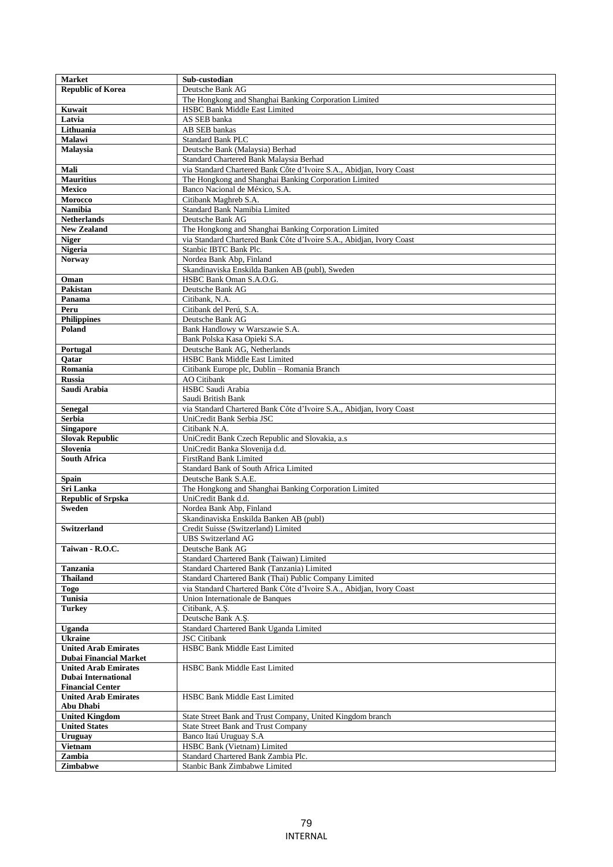| <b>Market</b>               | Sub-custodian                                                        |
|-----------------------------|----------------------------------------------------------------------|
| <b>Republic of Korea</b>    | Deutsche Bank AG                                                     |
|                             | The Hongkong and Shanghai Banking Corporation Limited                |
| Kuwait                      | <b>HSBC Bank Middle East Limited</b>                                 |
| Latvia                      | AS SEB banka                                                         |
| Lithuania                   | AB SEB bankas                                                        |
| Malawi                      | <b>Standard Bank PLC</b>                                             |
| Malaysia                    | Deutsche Bank (Malaysia) Berhad                                      |
|                             | Standard Chartered Bank Malaysia Berhad                              |
| Mali                        | via Standard Chartered Bank Côte d'Ivoire S.A., Abidjan, Ivory Coast |
|                             |                                                                      |
| <b>Mauritius</b>            | The Hongkong and Shanghai Banking Corporation Limited                |
| <b>Mexico</b>               | Banco Nacional de México, S.A.                                       |
| Morocco                     | Citibank Maghreb S.A.                                                |
| <b>Namibia</b>              | Standard Bank Namibia Limited                                        |
| <b>Netherlands</b>          | Deutsche Bank AG                                                     |
| <b>New Zealand</b>          | The Hongkong and Shanghai Banking Corporation Limited                |
| <b>Niger</b>                | via Standard Chartered Bank Côte d'Ivoire S.A., Abidjan, Ivory Coast |
| <b>Nigeria</b>              | Stanbic IBTC Bank Plc.                                               |
| <b>Norway</b>               | Nordea Bank Abp, Finland                                             |
|                             | Skandinaviska Enskilda Banken AB (publ), Sweden                      |
| Oman                        | HSBC Bank Oman S.A.O.G.                                              |
| <b>Pakistan</b>             | Deutsche Bank AG                                                     |
| Panama                      | Citibank, N.A.                                                       |
|                             |                                                                      |
| Peru                        | Citibank del Perú, S.A.                                              |
| <b>Philippines</b>          | Deutsche Bank AG                                                     |
| Poland                      | Bank Handlowy w Warszawie S.A.                                       |
|                             | Bank Polska Kasa Opieki S.A.                                         |
| Portugal                    | Deutsche Bank AG, Netherlands                                        |
| Oatar                       | HSBC Bank Middle East Limited                                        |
| Romania                     | Citibank Europe plc, Dublin - Romania Branch                         |
| <b>Russia</b>               | <b>AO</b> Citibank                                                   |
| Saudi Arabia                | HSBC Saudi Arabia                                                    |
|                             | Saudi British Bank                                                   |
| <b>Senegal</b>              | via Standard Chartered Bank Côte d'Ivoire S.A., Abidjan, Ivory Coast |
| <b>Serbia</b>               | UniCredit Bank Serbia JSC                                            |
| Singapore                   | Citibank N.A.                                                        |
| <b>Slovak Republic</b>      | UniCredit Bank Czech Republic and Slovakia, a.s                      |
|                             |                                                                      |
| Slovenia                    | UniCredit Banka Slovenija d.d.                                       |
| <b>South Africa</b>         | <b>FirstRand Bank Limited</b>                                        |
|                             | Standard Bank of South Africa Limited                                |
| Spain                       | Deutsche Bank S.A.E.                                                 |
| Sri Lanka                   | The Hongkong and Shanghai Banking Corporation Limited                |
| <b>Republic of Srpska</b>   | UniCredit Bank d.d.                                                  |
| <b>Sweden</b>               | Nordea Bank Abp, Finland                                             |
|                             | Skandinaviska Enskilda Banken AB (publ)                              |
| <b>Switzerland</b>          | Credit Suisse (Switzerland) Limited                                  |
|                             | <b>UBS</b> Switzerland AG                                            |
| Taiwan - R.O.C.             | Deutsche Bank AG                                                     |
|                             | Standard Chartered Bank (Taiwan) Limited                             |
| <b>Tanzania</b>             | Standard Chartered Bank (Tanzania) Limited                           |
| <b>Thailand</b>             | Standard Chartered Bank (Thai) Public Company Limited                |
| <b>Togo</b>                 | via Standard Chartered Bank Côte d'Ivoire S.A., Abidjan, Ivory Coast |
| Tunisia                     | Union Internationale de Banques                                      |
| <b>Turkey</b>               | Citibank, A.S.                                                       |
|                             |                                                                      |
|                             | Deutsche Bank A.Ş.                                                   |
| Uganda                      | Standard Chartered Bank Uganda Limited                               |
| <b>Ukraine</b>              | <b>JSC</b> Citibank                                                  |
| <b>United Arab Emirates</b> | <b>HSBC Bank Middle East Limited</b>                                 |
| Dubai Financial Market      |                                                                      |
| <b>United Arab Emirates</b> | <b>HSBC Bank Middle East Limited</b>                                 |
| <b>Dubai International</b>  |                                                                      |
| <b>Financial Center</b>     |                                                                      |
| <b>United Arab Emirates</b> | <b>HSBC Bank Middle East Limited</b>                                 |
| Abu Dhabi                   |                                                                      |
| <b>United Kingdom</b>       | State Street Bank and Trust Company, United Kingdom branch           |
| <b>United States</b>        | <b>State Street Bank and Trust Company</b>                           |
| <b>Uruguay</b>              | Banco Itaú Uruguay S.A                                               |
| <b>Vietnam</b>              | HSBC Bank (Vietnam) Limited                                          |
| Zambia                      | Standard Chartered Bank Zambia Plc.                                  |
|                             |                                                                      |
| Zimbabwe                    | Stanbic Bank Zimbabwe Limited                                        |